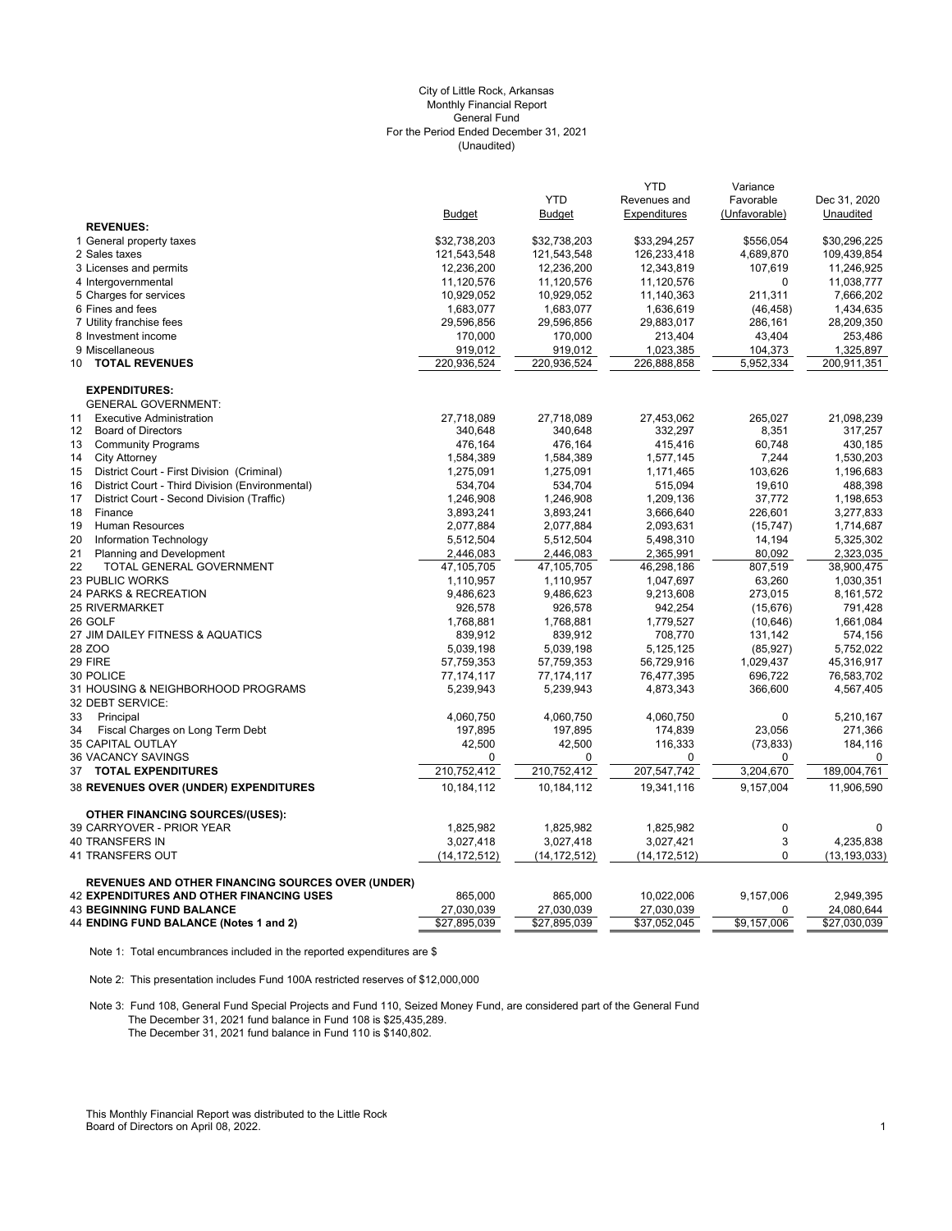## (Unaudited) City of Little Rock, Arkansas Monthly Financial Report General Fund For the Period Ended December 31, 2021

|                                                          |                |                | YTD            | Variance      |                |
|----------------------------------------------------------|----------------|----------------|----------------|---------------|----------------|
|                                                          |                | <b>YTD</b>     | Revenues and   | Favorable     | Dec 31, 2020   |
|                                                          | <b>Budget</b>  | <b>Budget</b>  | Expenditures   | (Unfavorable) | Unaudited      |
| <b>REVENUES:</b>                                         |                |                |                |               |                |
| 1 General property taxes                                 | \$32,738,203   | \$32,738,203   | \$33,294,257   | \$556,054     | \$30,296,225   |
| 2 Sales taxes                                            | 121,543,548    | 121,543,548    | 126,233,418    | 4,689,870     | 109,439,854    |
| 3 Licenses and permits                                   | 12,236,200     | 12,236,200     | 12,343,819     | 107,619       | 11,246,925     |
| 4 Intergovernmental                                      | 11,120,576     | 11,120,576     | 11,120,576     | $\Omega$      | 11,038,777     |
| 5 Charges for services                                   | 10,929,052     | 10,929,052     | 11,140,363     | 211,311       | 7,666,202      |
| 6 Fines and fees                                         | 1,683,077      | 1,683,077      | 1,636,619      | (46, 458)     | 1,434,635      |
| 7 Utility franchise fees                                 | 29,596,856     | 29,596,856     | 29,883,017     | 286,161       | 28,209,350     |
| 8 Investment income                                      | 170,000        | 170,000        | 213,404        | 43,404        | 253,486        |
| 9 Miscellaneous                                          | 919,012        | 919,012        | 1,023,385      | 104,373       | 1,325,897      |
| <b>TOTAL REVENUES</b><br>10                              | 220,936,524    | 220,936,524    | 226,888,858    | 5,952,334     | 200,911,351    |
| <b>EXPENDITURES:</b>                                     |                |                |                |               |                |
| <b>GENERAL GOVERNMENT:</b>                               |                |                |                |               |                |
| <b>Executive Administration</b><br>11                    | 27,718,089     | 27,718,089     | 27,453,062     | 265,027       | 21,098,239     |
| <b>Board of Directors</b><br>12                          | 340,648        | 340,648        | 332,297        | 8,351         | 317,257        |
| 13<br><b>Community Programs</b>                          | 476,164        | 476,164        | 415,416        | 60,748        | 430,185        |
| <b>City Attorney</b><br>14                               | 1,584,389      | 1,584,389      | 1,577,145      | 7,244         | 1,530,203      |
| District Court - First Division (Criminal)<br>15         | 1,275,091      | 1,275,091      | 1,171,465      | 103,626       | 1,196,683      |
| 16<br>District Court - Third Division (Environmental)    | 534,704        | 534,704        | 515,094        | 19,610        | 488,398        |
| District Court - Second Division (Traffic)<br>17         | 1,246,908      | 1,246,908      | 1,209,136      | 37,772        | 1,198,653      |
| 18<br>Finance                                            | 3,893,241      | 3,893,241      | 3,666,640      | 226,601       | 3,277,833      |
| <b>Human Resources</b><br>19                             | 2,077,884      | 2,077,884      | 2,093,631      | (15, 747)     | 1,714,687      |
| 20<br>Information Technology                             | 5,512,504      | 5,512,504      | 5,498,310      | 14,194        | 5,325,302      |
| 21<br>Planning and Development                           | 2,446,083      | 2,446,083      | 2,365,991      | 80,092        | 2,323,035      |
| 22<br>TOTAL GENERAL GOVERNMENT                           | 47,105,705     | 47,105,705     | 46,298,186     | 807,519       | 38,900,475     |
| <b>23 PUBLIC WORKS</b>                                   | 1,110,957      | 1,110,957      | 1,047,697      | 63,260        | 1,030,351      |
| 24 PARKS & RECREATION                                    | 9,486,623      | 9,486,623      | 9,213,608      | 273,015       | 8,161,572      |
| <b>25 RIVERMARKET</b>                                    | 926,578        | 926,578        | 942,254        | (15, 676)     | 791,428        |
| 26 GOLF                                                  | 1,768,881      | 1,768,881      | 1,779,527      | (10, 646)     | 1,661,084      |
| 27 JIM DAILEY FITNESS & AQUATICS                         | 839,912        | 839,912        | 708,770        | 131,142       | 574,156        |
| 28 ZOO                                                   | 5,039,198      | 5,039,198      | 5,125,125      | (85, 927)     | 5,752,022      |
| 29 FIRE                                                  | 57,759,353     | 57,759,353     | 56,729,916     | 1,029,437     | 45,316,917     |
| 30 POLICE                                                | 77, 174, 117   | 77, 174, 117   | 76,477,395     | 696,722       | 76,583,702     |
| 31 HOUSING & NEIGHBORHOOD PROGRAMS                       | 5,239,943      | 5,239,943      | 4,873,343      | 366,600       | 4,567,405      |
| 32 DEBT SERVICE:                                         |                |                |                |               |                |
| 33<br>Principal                                          | 4,060,750      | 4,060,750      | 4,060,750      | 0             | 5,210,167      |
| 34<br>Fiscal Charges on Long Term Debt                   | 197,895        | 197,895        | 174,839        | 23,056        | 271,366        |
| 35 CAPITAL OUTLAY                                        | 42,500         | 42,500         | 116,333        | (73, 833)     | 184,116        |
| <b>36 VACANCY SAVINGS</b>                                | 0              | 0              | $\Omega$       | 0             | $\mathbf 0$    |
| <b>TOTAL EXPENDITURES</b><br>37                          | 210,752,412    | 210,752,412    | 207,547,742    | 3,204,670     | 189,004,761    |
| 38 REVENUES OVER (UNDER) EXPENDITURES                    | 10,184,112     | 10,184,112     | 19,341,116     | 9,157,004     | 11,906,590     |
| <b>OTHER FINANCING SOURCES/(USES):</b>                   |                |                |                |               |                |
| 39 CARRYOVER - PRIOR YEAR                                | 1,825,982      | 1,825,982      | 1,825,982      | $\mathbf 0$   | $\mathbf 0$    |
| 40 TRANSFERS IN                                          | 3,027,418      | 3,027,418      | 3,027,421      | 3             | 4,235,838      |
| 41 TRANSFERS OUT                                         | (14, 172, 512) | (14, 172, 512) | (14, 172, 512) | $\mathbf{0}$  | (13, 193, 033) |
|                                                          |                |                |                |               |                |
| <b>REVENUES AND OTHER FINANCING SOURCES OVER (UNDER)</b> |                |                |                |               |                |
| <b>42 EXPENDITURES AND OTHER FINANCING USES</b>          | 865,000        | 865,000        | 10,022,006     | 9,157,006     | 2,949,395      |
| <b>43 BEGINNING FUND BALANCE</b>                         | 27,030,039     | 27,030,039     | 27,030,039     | 0             | 24,080,644     |
| 44 ENDING FUND BALANCE (Notes 1 and 2)                   | \$27,895,039   | \$27,895,039   | \$37,052,045   | \$9,157,006   | \$27,030,039   |

Note 1: Total encumbrances included in the reported expenditures are \$

Note 2: This presentation includes Fund 100A restricted reserves of \$12,000,000

Note 3: Fund 108, General Fund Special Projects and Fund 110, Seized Money Fund, are considered part of the General Fund The December 31, 2021 fund balance in Fund 108 is \$25,435,289. The December 31, 2021 fund balance in Fund 110 is \$140,802.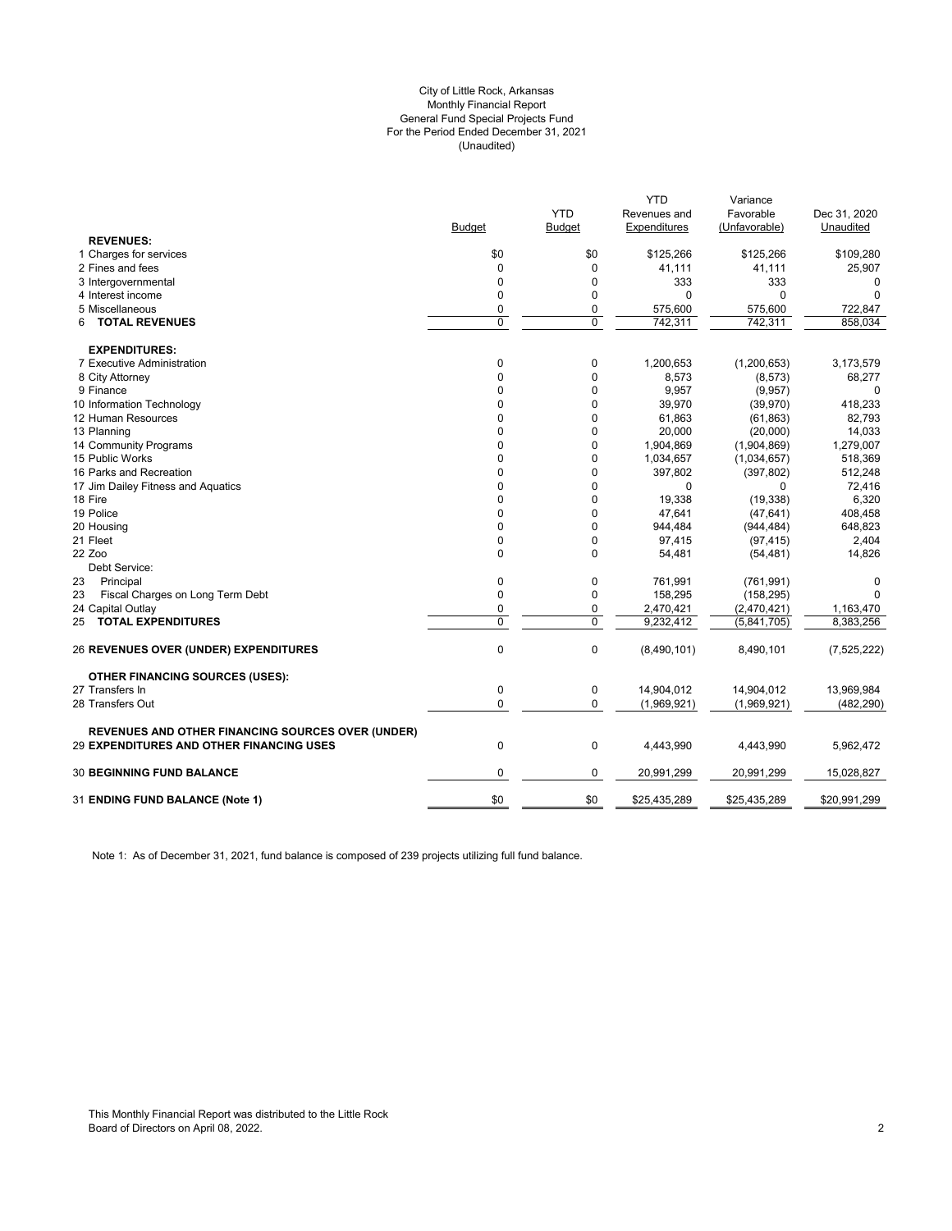### (Unaudited) City of Little Rock, Arkansas Monthly Financial Report General Fund Special Projects Fund For the Period Ended December 31, 2021

|                                                          |               | <b>YTD</b>    | <b>YTD</b><br>Revenues and | Variance<br>Favorable | Dec 31, 2020  |
|----------------------------------------------------------|---------------|---------------|----------------------------|-----------------------|---------------|
|                                                          | <b>Budget</b> | <b>Budget</b> | Expenditures               | (Unfavorable)         | Unaudited     |
| <b>REVENUES:</b>                                         |               |               |                            |                       |               |
| 1 Charges for services                                   | \$0           | \$0           | \$125,266                  | \$125,266             | \$109,280     |
| 2 Fines and fees                                         | $\mathbf 0$   | $\mathbf 0$   | 41,111                     | 41,111                | 25,907        |
| 3 Intergovernmental                                      | $\Omega$      | 0             | 333                        | 333                   | 0             |
| 4 Interest income                                        | 0             | 0             | $\Omega$                   | 0                     |               |
| 5 Miscellaneous                                          | 0             | 0             | 575,600                    | 575,600               | 722,847       |
| <b>TOTAL REVENUES</b><br>6                               | 0             | $\mathbf 0$   | 742,311                    | 742,311               | 858,034       |
| <b>EXPENDITURES:</b>                                     |               |               |                            |                       |               |
| 7 Executive Administration                               | 0             | 0             | 1,200,653                  | (1,200,653)           | 3,173,579     |
| 8 City Attorney                                          | 0             | $\mathbf 0$   | 8,573                      | (8, 573)              | 68,277        |
| 9 Finance                                                | 0             | 0             | 9,957                      | (9,957)               | $\Omega$      |
| 10 Information Technology                                | $\Omega$      | $\mathbf 0$   | 39,970                     | (39, 970)             | 418,233       |
| 12 Human Resources                                       | $\Omega$      | $\mathbf 0$   | 61,863                     | (61, 863)             | 82,793        |
| 13 Planning                                              | 0             | 0             | 20,000                     | (20,000)              | 14,033        |
| 14 Community Programs                                    | 0             | 0             | 1,904,869                  | (1,904,869)           | 1,279,007     |
| 15 Public Works                                          | 0             | $\mathbf 0$   | 1,034,657                  | (1,034,657)           | 518,369       |
| 16 Parks and Recreation                                  | $\Omega$      | 0             | 397,802                    | (397, 802)            | 512,248       |
| 17 Jim Dailey Fitness and Aquatics                       | 0             | 0             | $\mathbf 0$                | 0                     | 72,416        |
| 18 Fire                                                  | 0             | 0             | 19,338                     | (19, 338)             | 6,320         |
| 19 Police                                                | 0             | $\mathbf 0$   | 47,641                     | (47, 641)             | 408,458       |
| 20 Housing                                               | 0             | $\mathbf 0$   | 944,484                    | (944, 484)            | 648,823       |
| 21 Fleet                                                 | 0             | $\mathbf 0$   | 97,415                     | (97, 415)             | 2,404         |
| 22 Zoo                                                   | 0             | 0             | 54,481                     | (54, 481)             | 14,826        |
| Debt Service:                                            |               |               |                            |                       |               |
| 23<br>Principal                                          | 0             | 0             | 761,991                    | (761, 991)            | $\mathbf 0$   |
| 23<br>Fiscal Charges on Long Term Debt                   | 0             | 0             | 158,295                    | (158, 295)            | $\Omega$      |
| 24 Capital Outlay                                        | 0             | $\mathbf 0$   | 2,470,421                  | (2,470,421)           | 1,163,470     |
| <b>TOTAL EXPENDITURES</b><br>25                          | 0             | $\mathbf 0$   | 9,232,412                  | (5,841,705)           | 8,383,256     |
| <b>26 REVENUES OVER (UNDER) EXPENDITURES</b>             | $\pmb{0}$     | $\mathbf 0$   | (8,490,101)                | 8,490,101             | (7, 525, 222) |
| <b>OTHER FINANCING SOURCES (USES):</b>                   |               |               |                            |                       |               |
| 27 Transfers In                                          | $\pmb{0}$     | 0             | 14,904,012                 | 14,904,012            | 13,969,984    |
| 28 Transfers Out                                         | 0             | $\mathbf 0$   | (1,969,921)                | (1,969,921)           | (482, 290)    |
| <b>REVENUES AND OTHER FINANCING SOURCES OVER (UNDER)</b> |               |               |                            |                       |               |
| <b>29 EXPENDITURES AND OTHER FINANCING USES</b>          | $\mathbf 0$   | $\mathbf 0$   | 4,443,990                  | 4,443,990             | 5,962,472     |
| <b>30 BEGINNING FUND BALANCE</b>                         | 0             | 0             | 20,991,299                 | 20,991,299            | 15,028,827    |
| 31 ENDING FUND BALANCE (Note 1)                          | \$0           | \$0           | \$25,435,289               | \$25,435,289          | \$20,991,299  |
|                                                          |               |               |                            |                       |               |

Note 1: As of December 31, 2021, fund balance is composed of 239 projects utilizing full fund balance.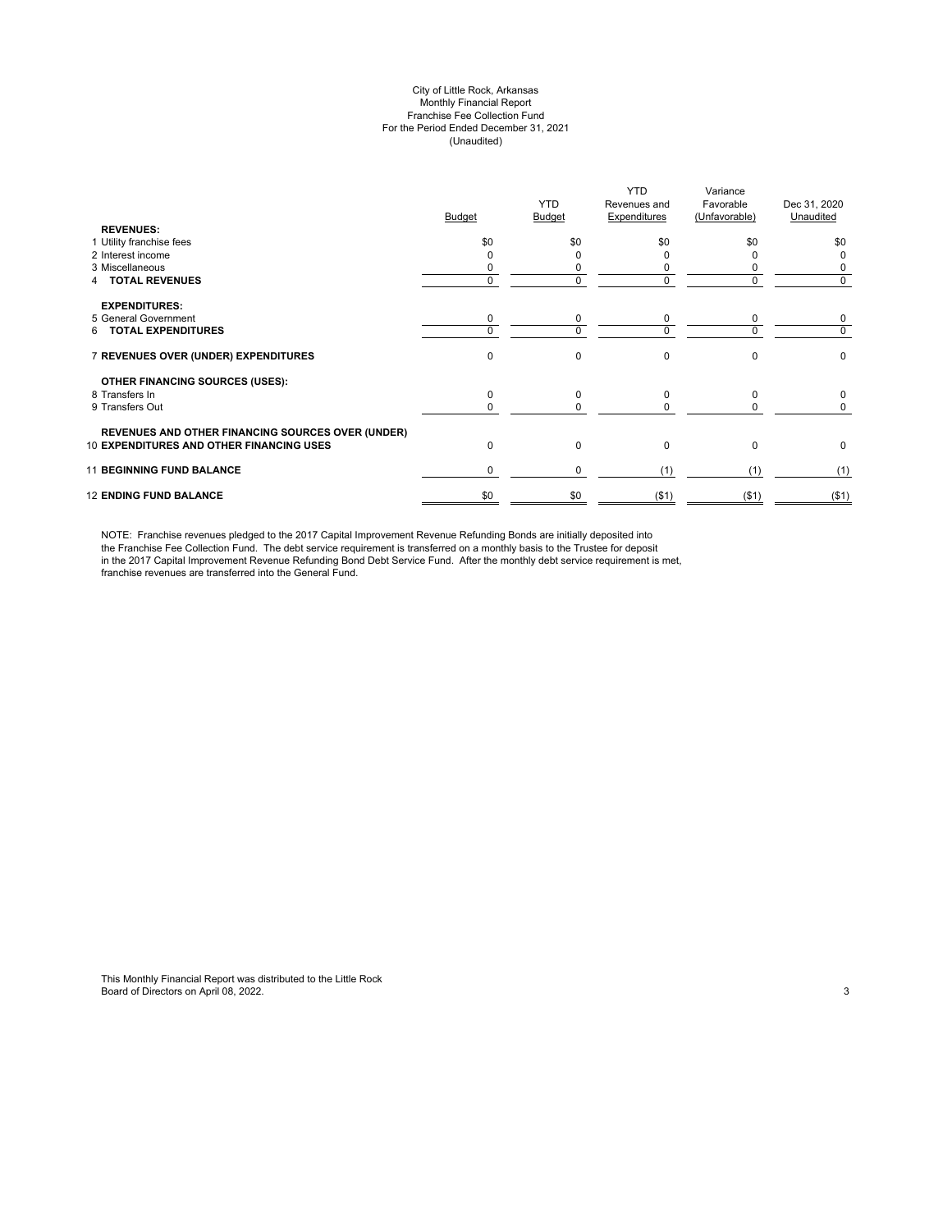#### City of Little Rock, Arkansas Monthly Financial Report Franchise Fee Collection Fund For the Period Ended December 31, 2021 (Unaudited)

| <b>REVENUES:</b>                                         | <b>Budget</b> | <b>YTD</b><br>Budget | <b>YTD</b><br>Revenues and<br>Expenditures | Variance<br>Favorable<br>(Unfavorable) | Dec 31, 2020<br>Unaudited |
|----------------------------------------------------------|---------------|----------------------|--------------------------------------------|----------------------------------------|---------------------------|
| 1 Utility franchise fees                                 | \$0           | \$0                  | \$0                                        | \$0                                    | \$0                       |
| 2 Interest income                                        |               |                      |                                            |                                        | 0                         |
| 3 Miscellaneous                                          |               | 0                    | C                                          |                                        | 0                         |
| <b>TOTAL REVENUES</b>                                    | 0             | 0                    | 0                                          | $\Omega$                               | 0                         |
| <b>EXPENDITURES:</b>                                     |               |                      |                                            |                                        |                           |
| 5 General Government                                     | 0             | 0                    | 0                                          | 0                                      | 0                         |
| <b>TOTAL EXPENDITURES</b><br>6.                          | $\Omega$      | 0                    | $\Omega$                                   | $\Omega$                               | 0                         |
| 7 REVENUES OVER (UNDER) EXPENDITURES                     | $\Omega$      | 0                    | $\mathbf 0$                                | $\Omega$                               | $\pmb{0}$                 |
| <b>OTHER FINANCING SOURCES (USES):</b>                   |               |                      |                                            |                                        |                           |
| 8 Transfers In                                           | $\Omega$      | 0                    | $\mathbf 0$                                | $\Omega$                               | 0                         |
| 9 Transfers Out                                          |               | 0                    | O                                          |                                        | 0                         |
| <b>REVENUES AND OTHER FINANCING SOURCES OVER (UNDER)</b> |               |                      |                                            |                                        |                           |
| <b>10 EXPENDITURES AND OTHER FINANCING USES</b>          | $\Omega$      | 0                    | $\Omega$                                   | $\Omega$                               | 0                         |
| <b>11 BEGINNING FUND BALANCE</b>                         | 0             | 0                    | (1)                                        | (1)                                    | (1)                       |
| <b>12 ENDING FUND BALANCE</b>                            | \$0           | \$0                  | ( \$1)                                     | $($ \$1)                               | ( \$1)                    |

NOTE: Franchise revenues pledged to the 2017 Capital Improvement Revenue Refunding Bonds are initially deposited into the Franchise Fee Collection Fund. The debt service requirement is transferred on a monthly basis to the Trustee for deposit in the 2017 Capital Improvement Revenue Refunding Bond Debt Service Fund. After the monthly debt service requirement is met, franchise revenues are transferred into the General Fund.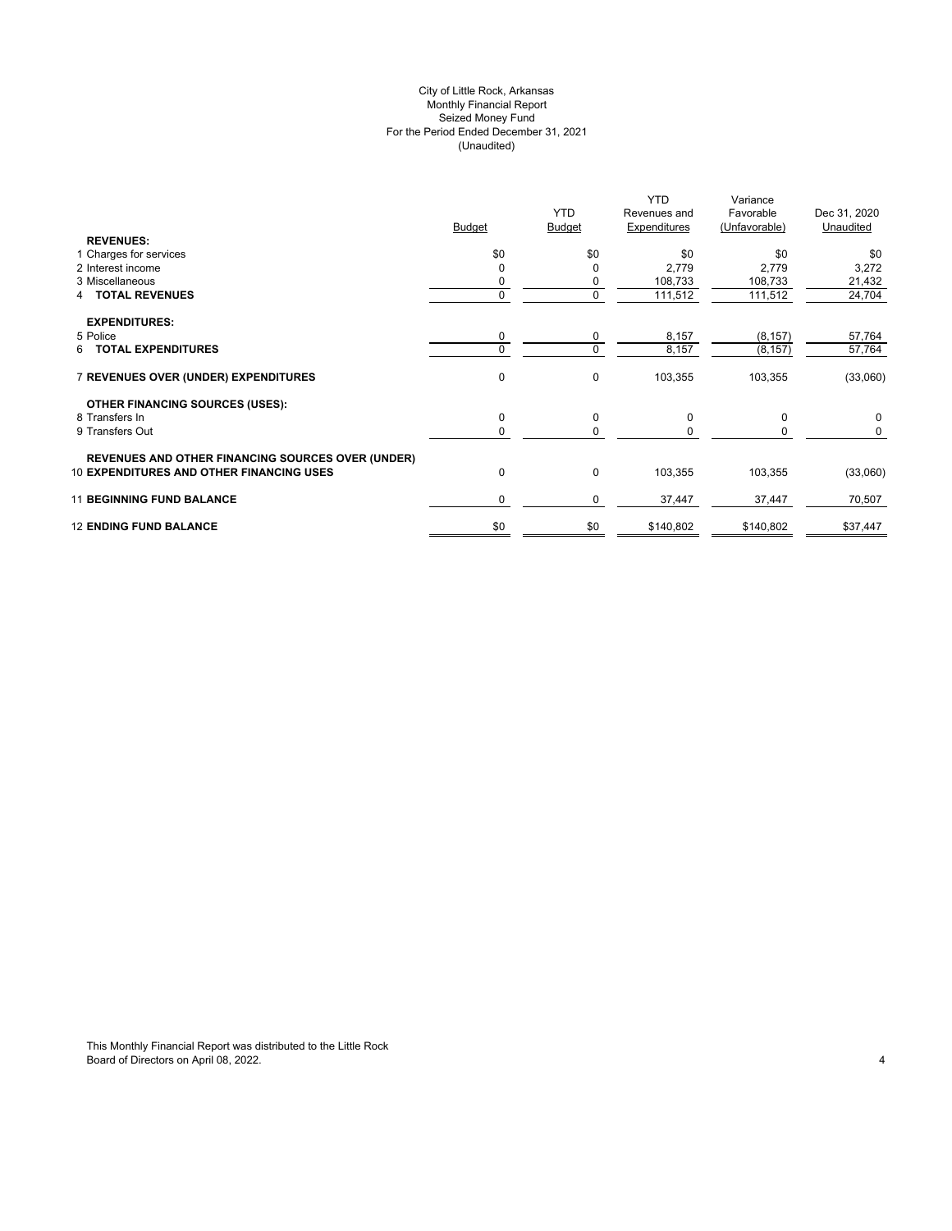## City of Little Rock, Arkansas (Unaudited) For the Period Ended December 31, 2021 Seized Money Fund Monthly Financial Report

| <b>REVENUES:</b>                                         | <b>Budget</b> | <b>YTD</b><br><b>Budget</b> | <b>YTD</b><br>Revenues and<br>Expenditures | Variance<br>Favorable<br>(Unfavorable) | Dec 31, 2020<br>Unaudited |
|----------------------------------------------------------|---------------|-----------------------------|--------------------------------------------|----------------------------------------|---------------------------|
| 1 Charges for services                                   | \$0           | \$0                         | \$0                                        | \$0                                    | \$0                       |
| 2 Interest income                                        |               | 0                           | 2,779                                      | 2,779                                  | 3,272                     |
| 3 Miscellaneous                                          |               | 0                           | 108,733                                    | 108,733                                | 21,432                    |
| <b>4 TOTAL REVENUES</b>                                  | 0             | 0                           | 111,512                                    | 111,512                                | 24,704                    |
| <b>EXPENDITURES:</b>                                     |               |                             |                                            |                                        |                           |
| 5 Police                                                 | 0             | 0                           | 8,157                                      | (8, 157)                               | 57,764                    |
| 6 TOTAL EXPENDITURES                                     |               | 0                           | 8,157                                      | (8, 157)                               | 57,764                    |
| 7 REVENUES OVER (UNDER) EXPENDITURES                     | 0             | 0                           | 103,355                                    | 103,355                                | (33,060)                  |
| <b>OTHER FINANCING SOURCES (USES):</b>                   |               |                             |                                            |                                        |                           |
| 8 Transfers In                                           | $\mathbf 0$   | 0                           | 0                                          | $\mathbf 0$                            | 0                         |
| 9 Transfers Out                                          |               | 0                           | $\Omega$                                   | 0                                      | 0                         |
| <b>REVENUES AND OTHER FINANCING SOURCES OVER (UNDER)</b> |               |                             |                                            |                                        |                           |
| <b>10 EXPENDITURES AND OTHER FINANCING USES</b>          | 0             | 0                           | 103,355                                    | 103,355                                | (33,060)                  |
| <b>11 BEGINNING FUND BALANCE</b>                         | $\Omega$      | 0                           | 37,447                                     | 37,447                                 | 70,507                    |
| <b>12 ENDING FUND BALANCE</b>                            | \$0           | \$0                         | \$140,802                                  | \$140,802                              | \$37,447                  |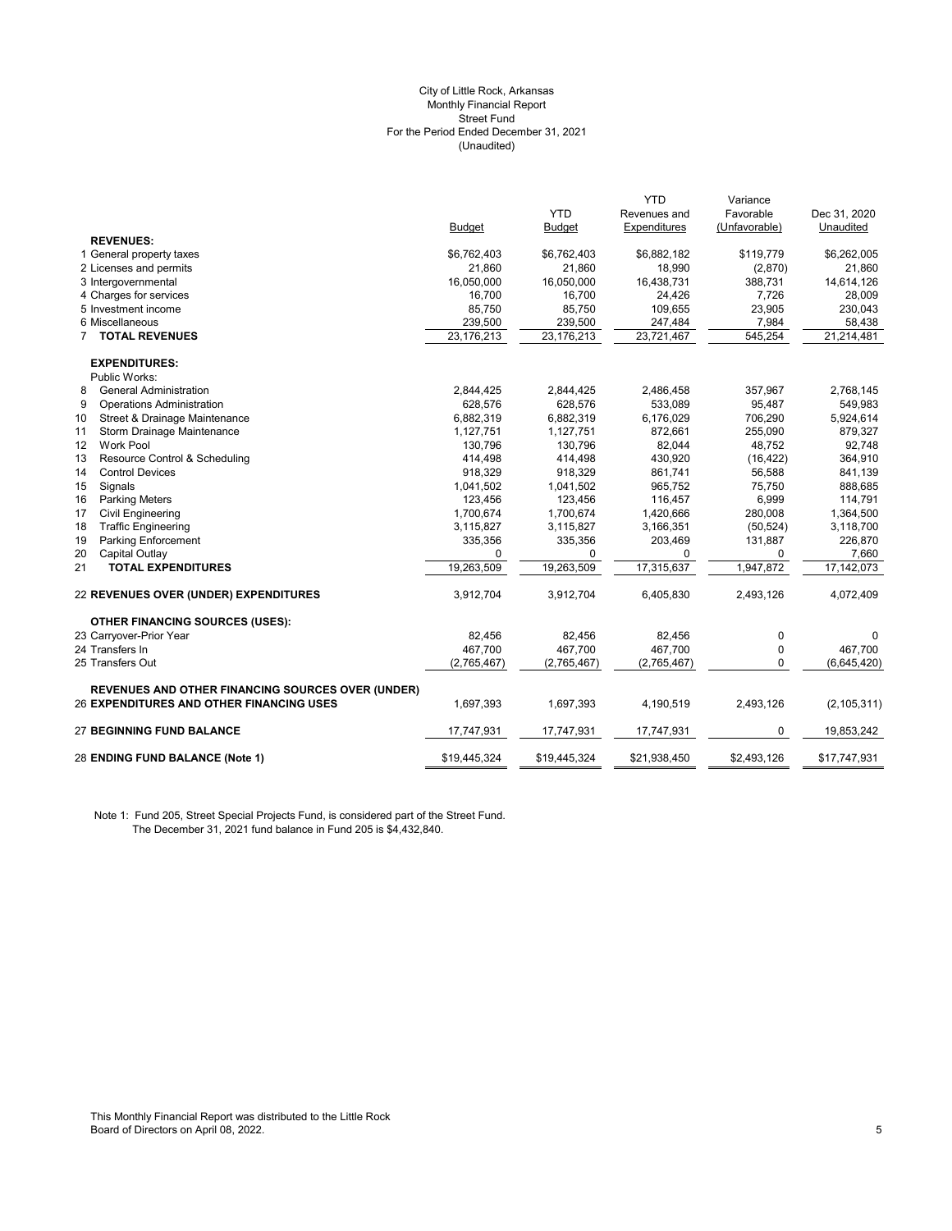#### (Unaudited) City of Little Rock, Arkansas Monthly Financial Report Street Fund For the Period Ended December 31, 2021

|                                                          |               |               | <b>YTD</b>   | Variance      |               |
|----------------------------------------------------------|---------------|---------------|--------------|---------------|---------------|
|                                                          |               | <b>YTD</b>    | Revenues and | Favorable     | Dec 31, 2020  |
|                                                          | <b>Budget</b> | <b>Budget</b> | Expenditures | (Unfavorable) | Unaudited     |
| <b>REVENUES:</b>                                         |               |               |              |               |               |
| 1 General property taxes                                 | \$6,762,403   | \$6,762,403   | \$6,882,182  | \$119,779     | \$6,262,005   |
| 2 Licenses and permits                                   | 21,860        | 21,860        | 18,990       | (2,870)       | 21,860        |
| 3 Intergovernmental                                      | 16,050,000    | 16,050,000    | 16,438,731   | 388,731       | 14,614,126    |
| 4 Charges for services                                   | 16,700        | 16,700        | 24,426       | 7,726         | 28,009        |
| 5 Investment income                                      | 85,750        | 85,750        | 109,655      | 23,905        | 230,043       |
| 6 Miscellaneous                                          | 239,500       | 239,500       | 247,484      | 7,984         | 58,438        |
| <b>7 TOTAL REVENUES</b>                                  | 23,176,213    | 23,176,213    | 23,721,467   | 545,254       | 21,214,481    |
| <b>EXPENDITURES:</b>                                     |               |               |              |               |               |
| Public Works:                                            |               |               |              |               |               |
| 8<br><b>General Administration</b>                       | 2,844,425     | 2,844,425     | 2,486,458    | 357,967       | 2,768,145     |
| 9<br><b>Operations Administration</b>                    | 628,576       | 628,576       | 533,089      | 95,487        | 549,983       |
| Street & Drainage Maintenance<br>10                      | 6,882,319     | 6,882,319     | 6,176,029    | 706,290       | 5,924,614     |
| 11<br>Storm Drainage Maintenance                         | 1,127,751     | 1,127,751     | 872,661      | 255,090       | 879,327       |
| Work Pool<br>12                                          | 130.796       | 130.796       | 82,044       | 48,752        | 92,748        |
| 13<br>Resource Control & Scheduling                      | 414,498       | 414,498       | 430,920      | (16, 422)     | 364,910       |
| 14<br><b>Control Devices</b>                             | 918,329       | 918,329       | 861,741      | 56,588        | 841,139       |
| 15<br>Signals                                            | 1,041,502     | 1,041,502     | 965,752      | 75,750        | 888,685       |
| 16<br><b>Parking Meters</b>                              | 123,456       | 123,456       | 116,457      | 6,999         | 114,791       |
| 17<br><b>Civil Engineering</b>                           | 1,700,674     | 1,700,674     | 1,420,666    | 280,008       | 1,364,500     |
| 18<br><b>Traffic Engineering</b>                         | 3,115,827     | 3,115,827     | 3,166,351    | (50, 524)     | 3,118,700     |
| 19<br><b>Parking Enforcement</b>                         | 335,356       | 335,356       | 203,469      | 131,887       | 226,870       |
| 20<br>Capital Outlay                                     | 0             | 0             | $\Omega$     | 0             | 7,660         |
| <b>TOTAL EXPENDITURES</b><br>21                          | 19,263,509    | 19,263,509    | 17,315,637   | 1,947,872     | 17,142,073    |
| 22 REVENUES OVER (UNDER) EXPENDITURES                    | 3,912,704     | 3,912,704     | 6,405,830    | 2,493,126     | 4,072,409     |
| <b>OTHER FINANCING SOURCES (USES):</b>                   |               |               |              |               |               |
| 23 Carryover-Prior Year                                  | 82,456        | 82,456        | 82,456       | 0             | 0             |
| 24 Transfers In                                          | 467,700       | 467,700       | 467,700      | 0             | 467,700       |
| 25 Transfers Out                                         | (2,765,467)   | (2,765,467)   | (2,765,467)  | 0             | (6,645,420)   |
| <b>REVENUES AND OTHER FINANCING SOURCES OVER (UNDER)</b> |               |               |              |               |               |
| 26 EXPENDITURES AND OTHER FINANCING USES                 | 1,697,393     | 1,697,393     | 4,190,519    | 2,493,126     | (2, 105, 311) |
| <b>27 BEGINNING FUND BALANCE</b>                         | 17,747,931    | 17,747,931    | 17,747,931   | 0             | 19,853,242    |
| 28 ENDING FUND BALANCE (Note 1)                          | \$19,445,324  | \$19,445,324  | \$21,938,450 | \$2,493,126   | \$17,747,931  |

Note 1: Fund 205, Street Special Projects Fund, is considered part of the Street Fund. The December 31, 2021 fund balance in Fund 205 is \$4,432,840.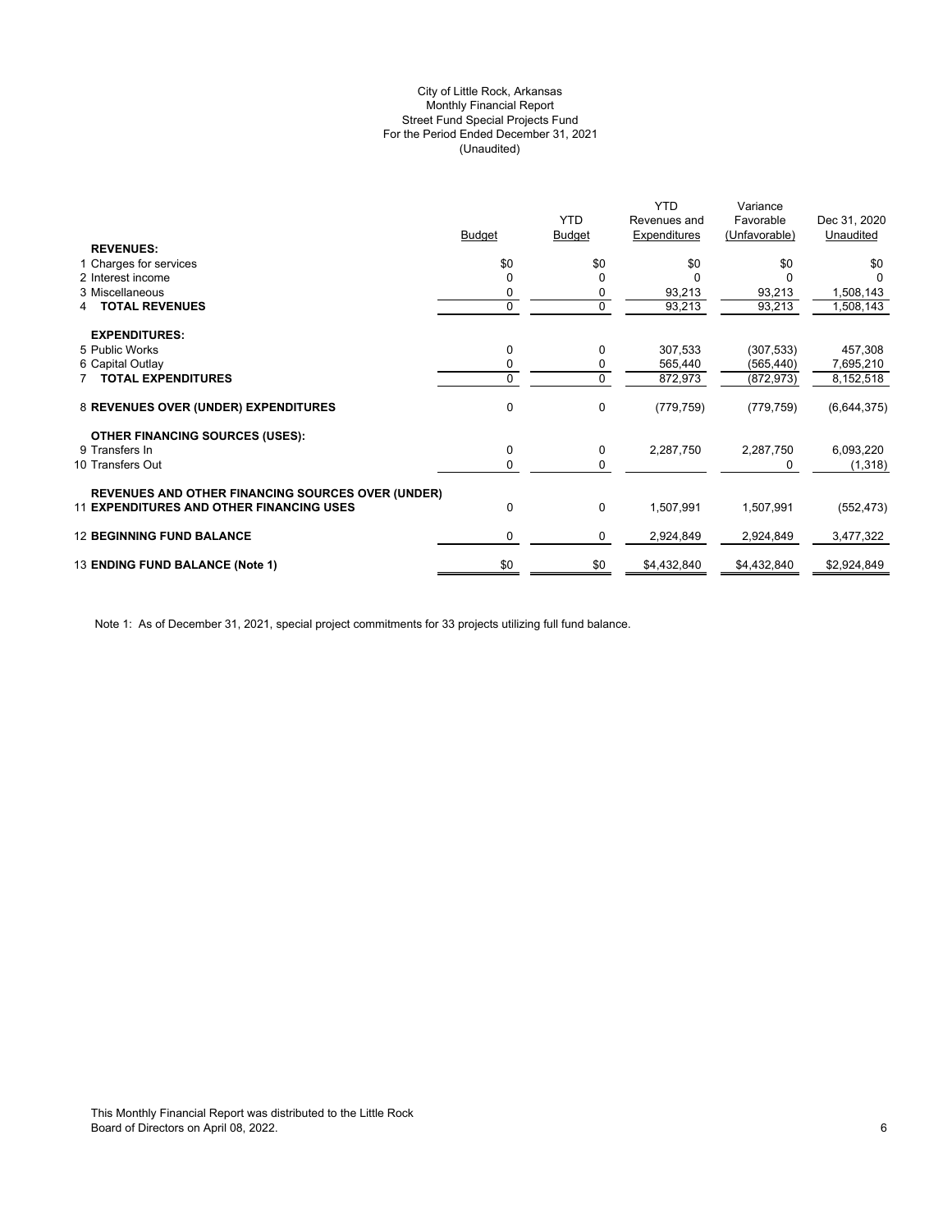## (Unaudited) City of Little Rock, Arkansas Monthly Financial Report Street Fund Special Projects Fund For the Period Ended December 31, 2021

|                                                                                                                                           | Dec 31, 2020<br>Favorable  |
|-------------------------------------------------------------------------------------------------------------------------------------------|----------------------------|
| <b>YTD</b><br>Revenues and                                                                                                                |                            |
| Expenditures<br><b>Budget</b><br><b>Budget</b>                                                                                            | (Unfavorable)<br>Unaudited |
| <b>REVENUES:</b>                                                                                                                          |                            |
| \$0<br>\$0<br>\$0<br>1 Charges for services                                                                                               | \$0<br>\$0                 |
| 2 Interest income<br>$\Omega$                                                                                                             |                            |
| 3 Miscellaneous<br>0<br>93,213                                                                                                            | 93,213<br>1,508,143        |
| $\overline{0}$<br>$\Omega$<br>93,213<br><b>TOTAL REVENUES</b>                                                                             | 93,213<br>1,508,143        |
|                                                                                                                                           |                            |
| <b>EXPENDITURES:</b>                                                                                                                      |                            |
| 5 Public Works<br>0<br>307,533<br>0                                                                                                       | (307, 533)<br>457,308      |
| 0<br>6 Capital Outlay<br>565,440                                                                                                          | 7,695,210<br>(565, 440)    |
| $\mathbf 0$<br><b>7 TOTAL EXPENDITURES</b><br>0<br>872,973                                                                                | 8,152,518<br>(872, 973)    |
| 0<br>8 REVENUES OVER (UNDER) EXPENDITURES<br>0<br>(779, 759)                                                                              | (6,644,375)<br>(779, 759)  |
| <b>OTHER FINANCING SOURCES (USES):</b>                                                                                                    |                            |
| 0<br>2,287,750<br>9 Transfers In<br>0                                                                                                     | 2,287,750<br>6,093,220     |
| 10 Transfers Out<br>0<br>0                                                                                                                | (1, 318)<br>0              |
|                                                                                                                                           |                            |
| <b>REVENUES AND OTHER FINANCING SOURCES OVER (UNDER)</b><br><b>11 EXPENDITURES AND OTHER FINANCING USES</b><br>0<br>$\Omega$<br>1,507,991 | 1,507,991<br>(552, 473)    |
| <b>12 BEGINNING FUND BALANCE</b><br>0<br>2,924,849<br>0                                                                                   | 3,477,322<br>2,924,849     |
| \$0<br>13 ENDING FUND BALANCE (Note 1)<br>\$0<br>\$4,432,840                                                                              | \$2,924,849<br>\$4,432,840 |

Note 1: As of December 31, 2021, special project commitments for 33 projects utilizing full fund balance.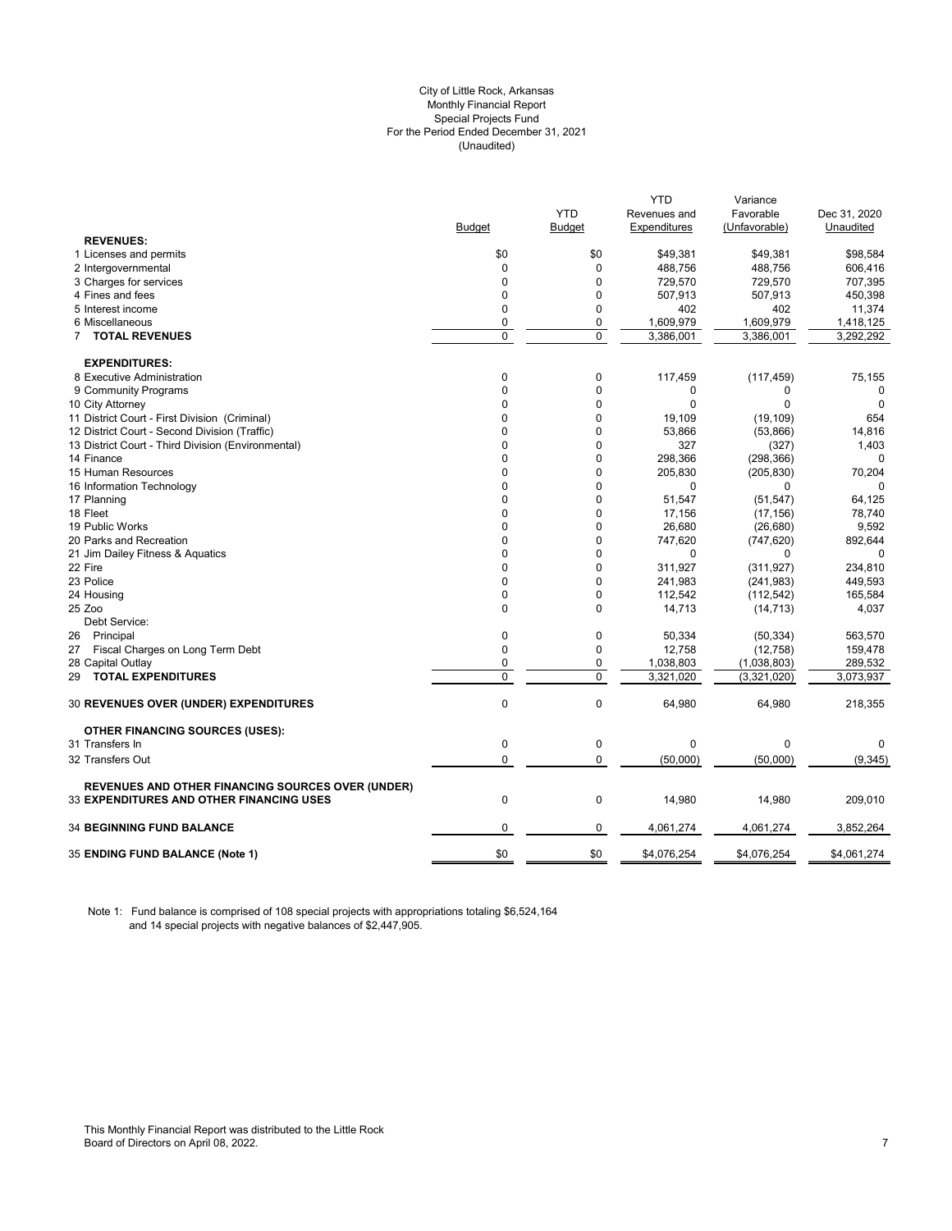#### City of Little Rock, Arkansas (Unaudited) For the Period Ended December 31, 2021 Special Projects Fund Monthly Financial Report

|                                                          |                |                | <b>YTD</b>   | Variance      |              |
|----------------------------------------------------------|----------------|----------------|--------------|---------------|--------------|
|                                                          |                | <b>YTD</b>     | Revenues and | Favorable     | Dec 31, 2020 |
|                                                          | <b>Budget</b>  | <b>Budget</b>  | Expenditures | (Unfavorable) | Unaudited    |
| <b>REVENUES:</b>                                         |                |                |              |               |              |
| 1 Licenses and permits                                   | \$0            | \$0            | \$49,381     | \$49,381      | \$98,584     |
| 2 Intergovernmental                                      | $\mathbf{0}$   | $\mathbf 0$    | 488,756      | 488,756       | 606,416      |
| 3 Charges for services                                   | $\mathbf 0$    | $\Omega$       | 729,570      | 729,570       | 707,395      |
| 4 Fines and fees                                         | $\mathbf 0$    | 0              | 507,913      | 507,913       | 450,398      |
| 5 Interest income                                        | 0              | $\mathbf 0$    | 402          | 402           | 11,374       |
| 6 Miscellaneous                                          | $\mathbf 0$    | 0              | 1,609,979    | 1,609,979     | 1,418,125    |
| 7 TOTAL REVENUES                                         | $\overline{0}$ | $\overline{0}$ | 3,386,001    | 3,386,001     | 3,292,292    |
|                                                          |                |                |              |               |              |
| <b>EXPENDITURES:</b>                                     |                |                |              |               |              |
| 8 Executive Administration                               | 0              | 0              | 117,459      | (117, 459)    | 75,155       |
| 9 Community Programs                                     | $\mathbf 0$    | 0              | 0            | 0             | 0            |
| 10 City Attorney                                         | $\Omega$       | 0              | $\Omega$     | 0             | $\mathbf 0$  |
| 11 District Court - First Division (Criminal)            | $\mathbf 0$    | 0              | 19,109       | (19, 109)     | 654          |
| 12 District Court - Second Division (Traffic)            | $\Omega$       | 0              | 53,866       | (53,866)      | 14,816       |
| 13 District Court - Third Division (Environmental)       | $\mathbf 0$    | 0              | 327          | (327)         | 1,403        |
| 14 Finance                                               | $\mathbf 0$    | 0              | 298,366      | (298, 366)    | 0            |
| 15 Human Resources                                       | $\mathbf 0$    | 0              | 205,830      | (205, 830)    | 70,204       |
| 16 Information Technology                                | $\Omega$       | 0              | $\Omega$     | $\Omega$      | $\Omega$     |
| 17 Planning                                              | $\Omega$       | $\Omega$       | 51,547       | (51, 547)     | 64,125       |
| 18 Fleet                                                 | $\Omega$       | 0              | 17,156       | (17, 156)     | 78,740       |
| 19 Public Works                                          | $\Omega$       | $\Omega$       | 26,680       | (26, 680)     | 9,592        |
| 20 Parks and Recreation                                  | $\Omega$       | $\Omega$       | 747,620      | (747, 620)    | 892,644      |
| 21 Jim Dailey Fitness & Aquatics                         | $\Omega$       | $\Omega$       | $\Omega$     | $\Omega$      | $\Omega$     |
| 22 Fire                                                  | $\Omega$       | $\Omega$       | 311,927      | (311, 927)    | 234,810      |
| 23 Police                                                | $\Omega$       | $\Omega$       | 241,983      | (241, 983)    | 449,593      |
| 24 Housing                                               | $\mathbf 0$    | 0              | 112,542      | (112, 542)    | 165,584      |
| 25 Zoo                                                   | $\Omega$       | $\Omega$       | 14,713       | (14, 713)     | 4,037        |
| Debt Service:                                            |                |                |              |               |              |
| 26 Principal                                             | 0              | 0              | 50,334       | (50, 334)     | 563,570      |
| 27 Fiscal Charges on Long Term Debt                      | $\mathbf 0$    | 0              | 12,758       | (12, 758)     | 159,478      |
| 28 Capital Outlay                                        | $\mathbf{0}$   | 0              | 1,038,803    | (1,038,803)   | 289,532      |
| 29 TOTAL EXPENDITURES                                    | $\mathbf 0$    | $\Omega$       | 3,321,020    | (3,321,020)   | 3,073,937    |
|                                                          |                |                |              |               |              |
| <b>30 REVENUES OVER (UNDER) EXPENDITURES</b>             | $\mathbf{0}$   | $\mathbf 0$    | 64,980       | 64,980        | 218,355      |
|                                                          |                |                |              |               |              |
| <b>OTHER FINANCING SOURCES (USES):</b>                   |                |                |              |               |              |
| 31 Transfers In                                          | $\mathbf 0$    | $\pmb{0}$      | $\Omega$     | $\mathbf 0$   | 0            |
| 32 Transfers Out                                         | $\mathbf 0$    | 0              | (50,000)     | (50,000)      | (9, 345)     |
|                                                          |                |                |              |               |              |
| <b>REVENUES AND OTHER FINANCING SOURCES OVER (UNDER)</b> |                |                |              |               |              |
| <b>33 EXPENDITURES AND OTHER FINANCING USES</b>          | $\mathbf 0$    | $\pmb{0}$      | 14,980       | 14,980        | 209,010      |
|                                                          |                |                |              |               |              |
| <b>34 BEGINNING FUND BALANCE</b>                         | 0              | 0              | 4,061,274    | 4,061,274     | 3,852,264    |
|                                                          |                |                |              |               |              |
| <b>35 ENDING FUND BALANCE (Note 1)</b>                   | \$0            | \$0            | \$4,076,254  | \$4,076,254   | \$4,061,274  |
|                                                          |                |                |              |               |              |

Note 1: Fund balance is comprised of 108 special projects with appropriations totaling \$6,524,164 and 14 special projects with negative balances of \$2,447,905.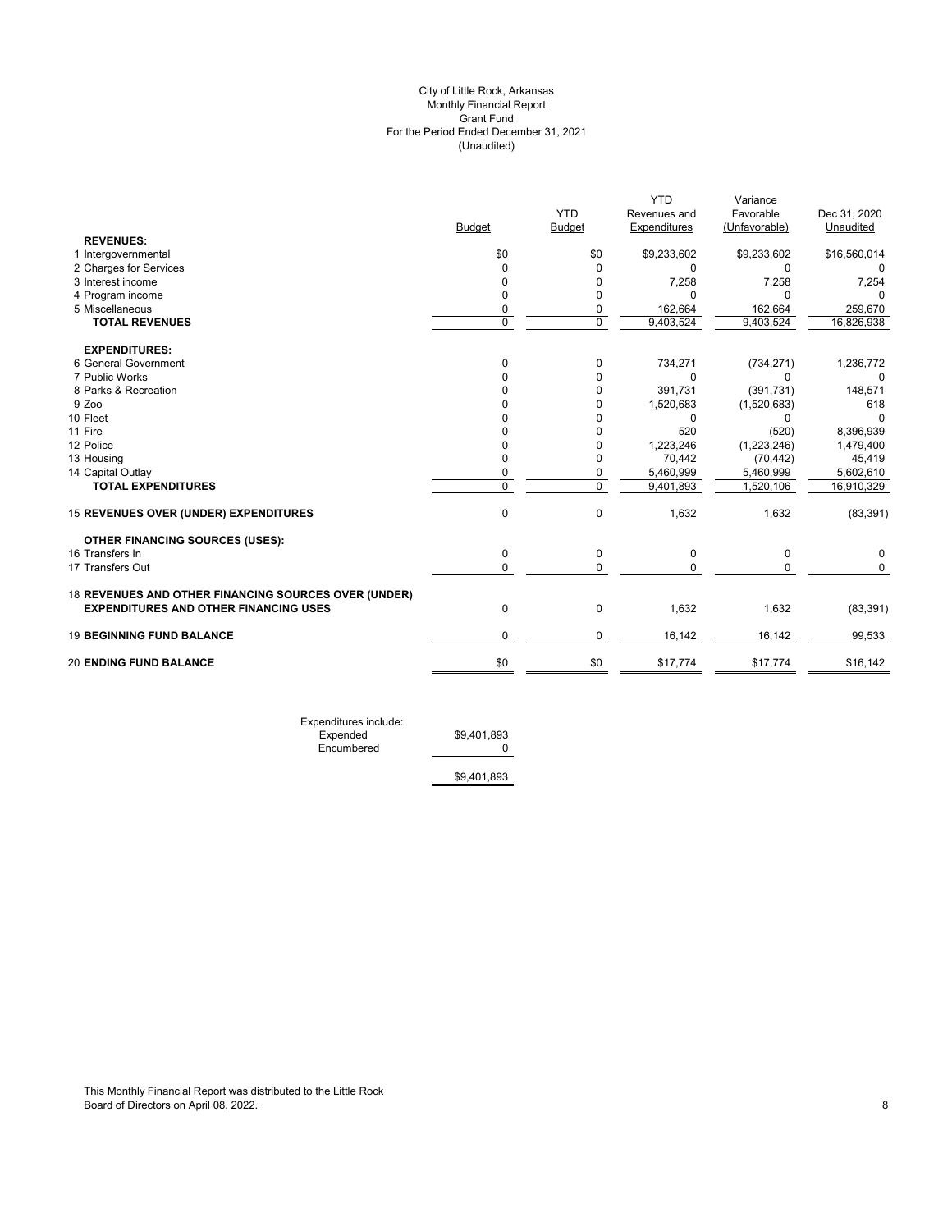#### (Unaudited) City of Little Rock, Arkansas Monthly Financial Report Grant Fund For the Period Ended December 31, 2021

|                                                      |             |             | <b>YTD</b>   | Variance      |              |
|------------------------------------------------------|-------------|-------------|--------------|---------------|--------------|
|                                                      |             | <b>YTD</b>  | Revenues and | Favorable     | Dec 31, 2020 |
|                                                      | Budget      | Budget      | Expenditures | (Unfavorable) | Unaudited    |
| <b>REVENUES:</b>                                     |             |             |              |               |              |
| 1 Intergovernmental                                  | \$0         | \$0         | \$9,233,602  | \$9,233,602   | \$16,560,014 |
| 2 Charges for Services                               | $\Omega$    | $\Omega$    | 0            | 0             |              |
| 3 Interest income                                    | 0           | 0           | 7,258        | 7,258         | 7,254        |
| 4 Program income                                     | 0           | 0           | 0            | $\Omega$      | n            |
| 5 Miscellaneous                                      | 0           | 0           | 162,664      | 162,664       | 259,670      |
| <b>TOTAL REVENUES</b>                                | $\mathbf 0$ | $\mathbf 0$ | 9,403,524    | 9,403,524     | 16,826,938   |
| <b>EXPENDITURES:</b>                                 |             |             |              |               |              |
| 6 General Government                                 | 0           | 0           | 734,271      | (734, 271)    | 1,236,772    |
| 7 Public Works                                       | 0           | 0           | $\Omega$     | <sup>0</sup>  | $\Omega$     |
| 8 Parks & Recreation                                 |             | 0           | 391,731      | (391, 731)    | 148,571      |
| 9 Zoo                                                |             | 0           | 1,520,683    | (1,520,683)   | 618          |
| 10 Fleet                                             |             | 0           | 0            | 0             | $\Omega$     |
| 11 Fire                                              |             | 0           | 520          | (520)         | 8,396,939    |
| 12 Police                                            |             | 0           | 1,223,246    | (1,223,246)   | 1,479,400    |
| 13 Housing                                           |             | 0           | 70,442       | (70, 442)     | 45,419       |
| 14 Capital Outlay                                    | 0           | 0           | 5,460,999    | 5,460,999     | 5,602,610    |
| <b>TOTAL EXPENDITURES</b>                            | $\mathbf 0$ | $\mathbf 0$ | 9,401,893    | 1,520,106     | 16,910,329   |
| 15 REVENUES OVER (UNDER) EXPENDITURES                | $\mathbf 0$ | 0           | 1,632        | 1,632         | (83, 391)    |
| <b>OTHER FINANCING SOURCES (USES):</b>               |             |             |              |               |              |
| 16 Transfers In                                      | 0           | 0           | 0            | 0             | $\Omega$     |
| 17 Transfers Out                                     | $\mathbf 0$ | $\mathbf 0$ | 0            | 0             | 0            |
| 18 REVENUES AND OTHER FINANCING SOURCES OVER (UNDER) |             |             |              |               |              |
| <b>EXPENDITURES AND OTHER FINANCING USES</b>         | $\mathbf 0$ | $\mathbf 0$ | 1,632        | 1,632         | (83, 391)    |
| <b>19 BEGINNING FUND BALANCE</b>                     | $\mathbf 0$ | 0           | 16,142       | 16,142        | 99,533       |
| <b>20 ENDING FUND BALANCE</b>                        | \$0         | \$0         | \$17,774     | \$17,774      | \$16,142     |
|                                                      |             |             |              |               |              |

Expenditures include: Expended \$9,401,893

Encumbered 0

\$9,401,893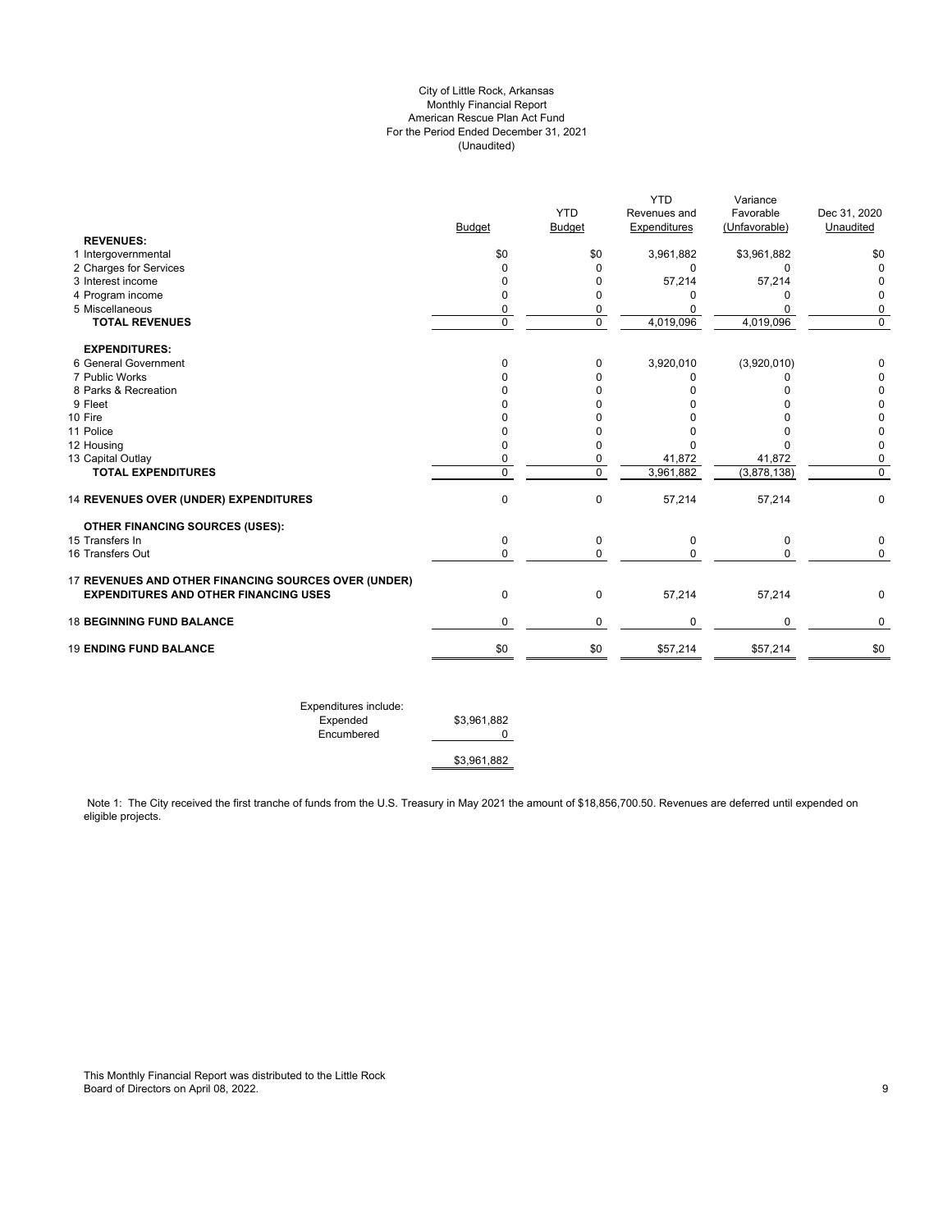## City of Little Rock, Arkansas Monthly Financial Report American Rescue Plan Act Fund For the Period Ended December 31, 2021 (Unaudited)

|                                                      |               | <b>YTD</b>     | <b>YTD</b><br>Revenues and | Variance<br>Favorable | Dec 31, 2020 |
|------------------------------------------------------|---------------|----------------|----------------------------|-----------------------|--------------|
|                                                      | <b>Budget</b> | <b>Budget</b>  | Expenditures               | (Unfavorable)         | Unaudited    |
| <b>REVENUES:</b>                                     |               |                |                            |                       |              |
| 1 Intergovernmental                                  | \$0           | \$0            | 3,961,882                  | \$3,961,882           | \$0          |
| 2 Charges for Services                               | 0             | 0              | $\mathbf 0$                | $\mathbf 0$           | 0            |
| 3 Interest income                                    | 0             | 0              | 57,214                     | 57,214                | 0            |
| 4 Program income                                     | 0             | 0              | ი                          | 0                     | $\Omega$     |
| 5 Miscellaneous                                      | 0             | 0              | 0                          | 0                     | 0            |
| <b>TOTAL REVENUES</b>                                | $\mathbf 0$   | $\overline{0}$ | 4,019,096                  | 4,019,096             | $\mathbf 0$  |
| <b>EXPENDITURES:</b>                                 |               |                |                            |                       |              |
| 6 General Government                                 | $\Omega$      | 0              | 3,920,010                  | (3,920,010)           | 0            |
| 7 Public Works                                       | <sup>n</sup>  | 0              | 0                          |                       |              |
| 8 Parks & Recreation                                 |               | 0              | 0                          | n                     | 0            |
| 9 Fleet                                              |               | n              | 0                          |                       | 0            |
| 10 Fire                                              |               | 0              | 0                          |                       | 0            |
| 11 Police                                            | O             | $\Omega$       | $\Omega$                   |                       | 0            |
| 12 Housing                                           | 0             | 0              | U                          |                       | 0            |
| 13 Capital Outlay                                    | 0             | 0              | 41,872                     | 41,872                | 0            |
| <b>TOTAL EXPENDITURES</b>                            | $\Omega$      | $\Omega$       | 3,961,882                  | (3,878,138)           | 0            |
| 14 REVENUES OVER (UNDER) EXPENDITURES                | $\mathbf 0$   | 0              | 57,214                     | 57,214                | $\mathbf 0$  |
| <b>OTHER FINANCING SOURCES (USES):</b>               |               |                |                            |                       |              |
| 15 Transfers In                                      | $\mathbf 0$   | 0              | $\mathbf 0$                | 0                     | 0            |
| 16 Transfers Out                                     | $\mathbf 0$   | $\mathbf 0$    | $\Omega$                   | 0                     | $\Omega$     |
| 17 REVENUES AND OTHER FINANCING SOURCES OVER (UNDER) |               |                |                            |                       |              |
| <b>EXPENDITURES AND OTHER FINANCING USES</b>         | 0             | 0              | 57,214                     | 57,214                | 0            |
| <b>18 BEGINNING FUND BALANCE</b>                     | 0             | 0              | 0                          | 0                     | 0            |
| <b>19 ENDING FUND BALANCE</b>                        | \$0           | \$0            | \$57,214                   | \$57,214              | \$0          |

Expenditures include: Expended \$3,961,882 Encumbered 0 \$3,961,882

Note 1: The City received the first tranche of funds from the U.S. Treasury in May 2021 the amount of \$18,856,700.50. Revenues are deferred until expended on eligible projects.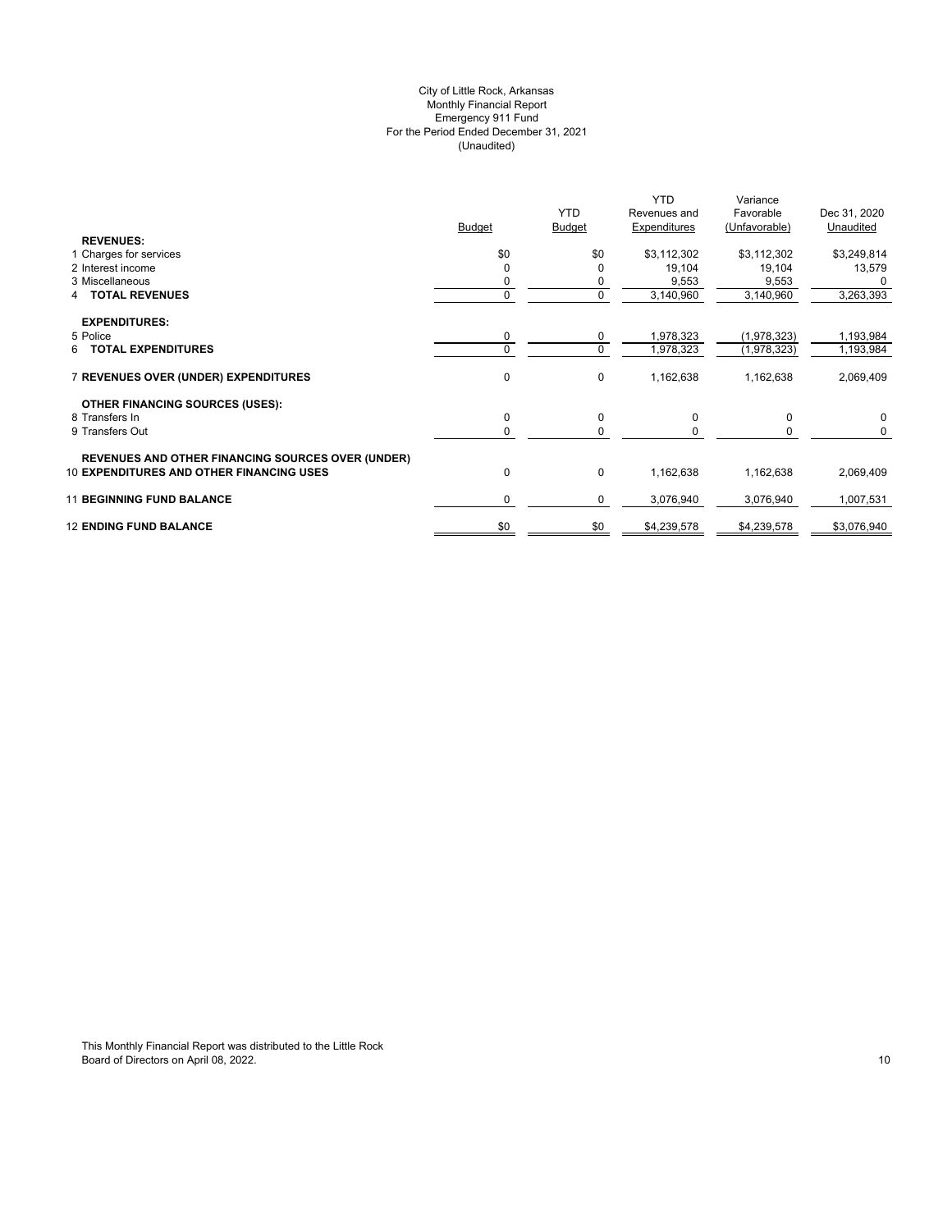## (Unaudited) City of Little Rock, Arkansas Monthly Financial Report Emergency 911 Fund For the Period Ended December 31, 2021

|                                                          | Budget      | <b>YTD</b><br><b>Budget</b> | <b>YTD</b><br>Revenues and<br>Expenditures | Variance<br>Favorable<br>(Unfavorable) | Dec 31, 2020<br>Unaudited |
|----------------------------------------------------------|-------------|-----------------------------|--------------------------------------------|----------------------------------------|---------------------------|
| <b>REVENUES:</b><br>1 Charges for services               | \$0         | \$0                         | \$3,112,302                                | \$3,112,302                            | \$3,249,814               |
| 2 Interest income                                        | $\Omega$    |                             | 19,104                                     | 19,104                                 | 13,579                    |
| 3 Miscellaneous                                          | 0           | 0                           | 9,553                                      | 9,553                                  |                           |
| <b>TOTAL REVENUES</b><br>4                               | $\mathbf 0$ | 0                           | 3,140,960                                  | 3,140,960                              | 3,263,393                 |
| <b>EXPENDITURES:</b>                                     |             |                             |                                            |                                        |                           |
| 5 Police                                                 | 0           | 0                           | 1,978,323                                  | (1,978,323)                            | 1,193,984                 |
| <b>TOTAL EXPENDITURES</b><br>6.                          | $\Omega$    | $\mathbf 0$                 | 1,978,323                                  | (1,978,323)                            | 1,193,984                 |
| 7 REVENUES OVER (UNDER) EXPENDITURES                     | $\mathbf 0$ | 0                           | 1,162,638                                  | 1,162,638                              | 2,069,409                 |
| <b>OTHER FINANCING SOURCES (USES):</b>                   |             |                             |                                            |                                        |                           |
| 8 Transfers In                                           | 0           | 0                           | 0                                          | 0                                      | $\mathbf 0$               |
| 9 Transfers Out                                          | 0           | $\Omega$                    |                                            |                                        | 0                         |
| <b>REVENUES AND OTHER FINANCING SOURCES OVER (UNDER)</b> |             |                             |                                            |                                        |                           |
| <b>10 EXPENDITURES AND OTHER FINANCING USES</b>          | 0           | 0                           | 1,162,638                                  | 1,162,638                              | 2,069,409                 |
| <b>11 BEGINNING FUND BALANCE</b>                         | 0           | 0                           | 3,076,940                                  | 3,076,940                              | 1,007,531                 |
| <b>12 ENDING FUND BALANCE</b>                            | \$0         | \$0                         | \$4,239,578                                | \$4,239,578                            | \$3,076,940               |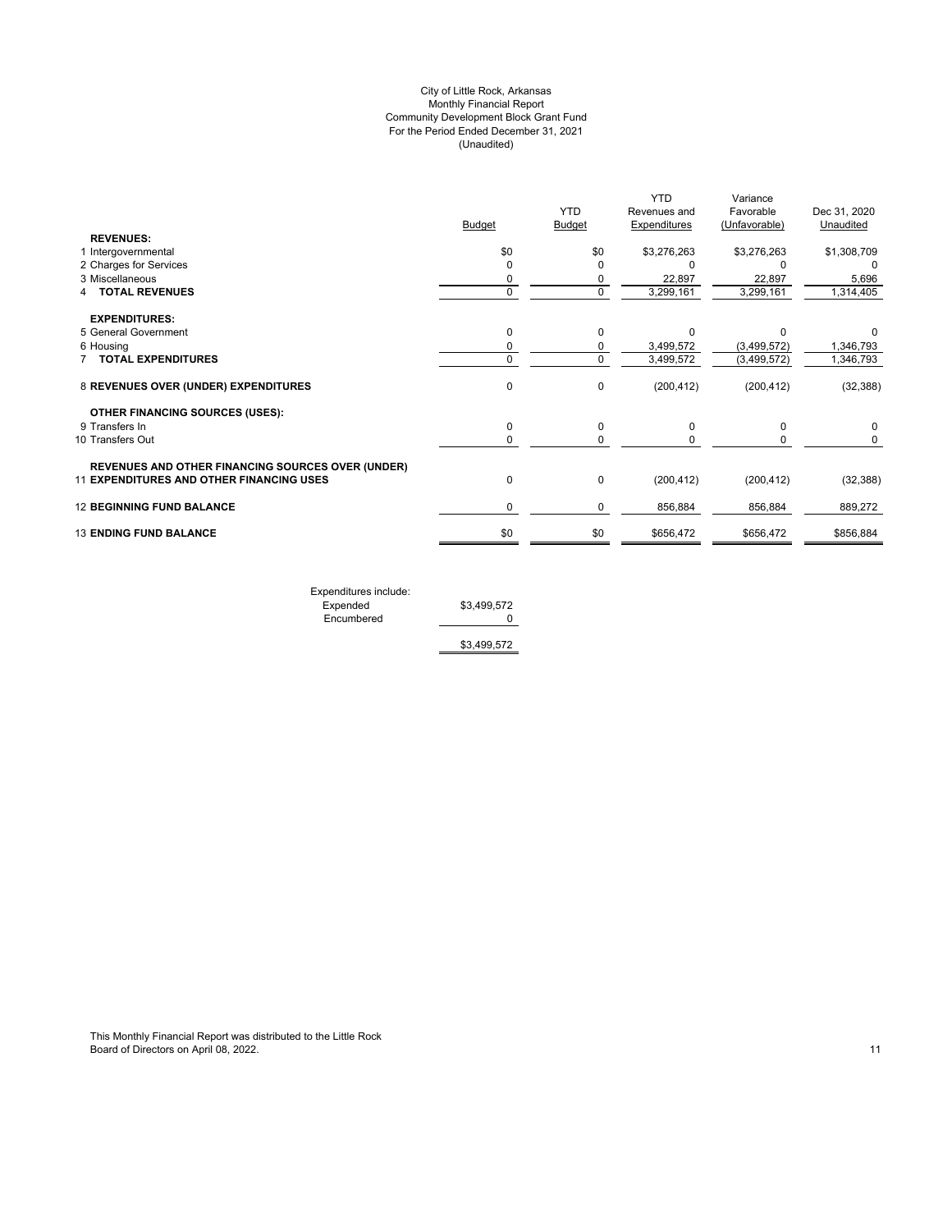## (Unaudited) City of Little Rock, Arkansas Monthly Financial Report Community Development Block Grant Fund For the Period Ended December 31, 2021

|                                                          |               |               | <b>YTD</b>          | Variance      |              |
|----------------------------------------------------------|---------------|---------------|---------------------|---------------|--------------|
|                                                          |               | <b>YTD</b>    | Revenues and        | Favorable     | Dec 31, 2020 |
|                                                          | <b>Budget</b> | <b>Budget</b> | <b>Expenditures</b> | (Unfavorable) | Unaudited    |
| <b>REVENUES:</b>                                         |               |               |                     |               |              |
| 1 Intergovernmental                                      | \$0           | \$0           | \$3,276,263         | \$3,276,263   | \$1,308,709  |
| 2 Charges for Services                                   | $\Omega$      |               |                     |               |              |
| 3 Miscellaneous                                          | 0             | 0             | 22,897              | 22,897        | 5,696        |
| <b>TOTAL REVENUES</b>                                    | 0             | $\Omega$      | 3,299,161           | 3,299,161     | 1,314,405    |
| <b>EXPENDITURES:</b>                                     |               |               |                     |               |              |
| 5 General Government                                     | 0             | $\Omega$      | $\Omega$            | n             | 0            |
| 6 Housing                                                | 0             | 0             | 3,499,572           | (3, 499, 572) | 1,346,793    |
| <b>TOTAL EXPENDITURES</b>                                | 0             | $\Omega$      | 3,499,572           | (3,499,572)   | 1,346,793    |
| 8 REVENUES OVER (UNDER) EXPENDITURES                     | 0             | 0             | (200, 412)          | (200, 412)    | (32, 388)    |
| <b>OTHER FINANCING SOURCES (USES):</b>                   |               |               |                     |               |              |
| 9 Transfers In                                           | 0             | 0             | $\Omega$            | O             | 0            |
| 10 Transfers Out                                         | 0             | 0             |                     |               | 0            |
| <b>REVENUES AND OTHER FINANCING SOURCES OVER (UNDER)</b> |               |               |                     |               |              |
| <b>11 EXPENDITURES AND OTHER FINANCING USES</b>          | 0             | 0             | (200, 412)          | (200, 412)    | (32, 388)    |
| <b>12 BEGINNING FUND BALANCE</b>                         | 0             | 0             | 856,884             | 856,884       | 889,272      |
| <b>13 ENDING FUND BALANCE</b>                            | \$0           | \$0           | \$656,472           | \$656,472     | \$856,884    |
|                                                          |               |               |                     |               |              |

Expenditures include: Expended \$3,499,572 Encumbered 0

\$3,499,572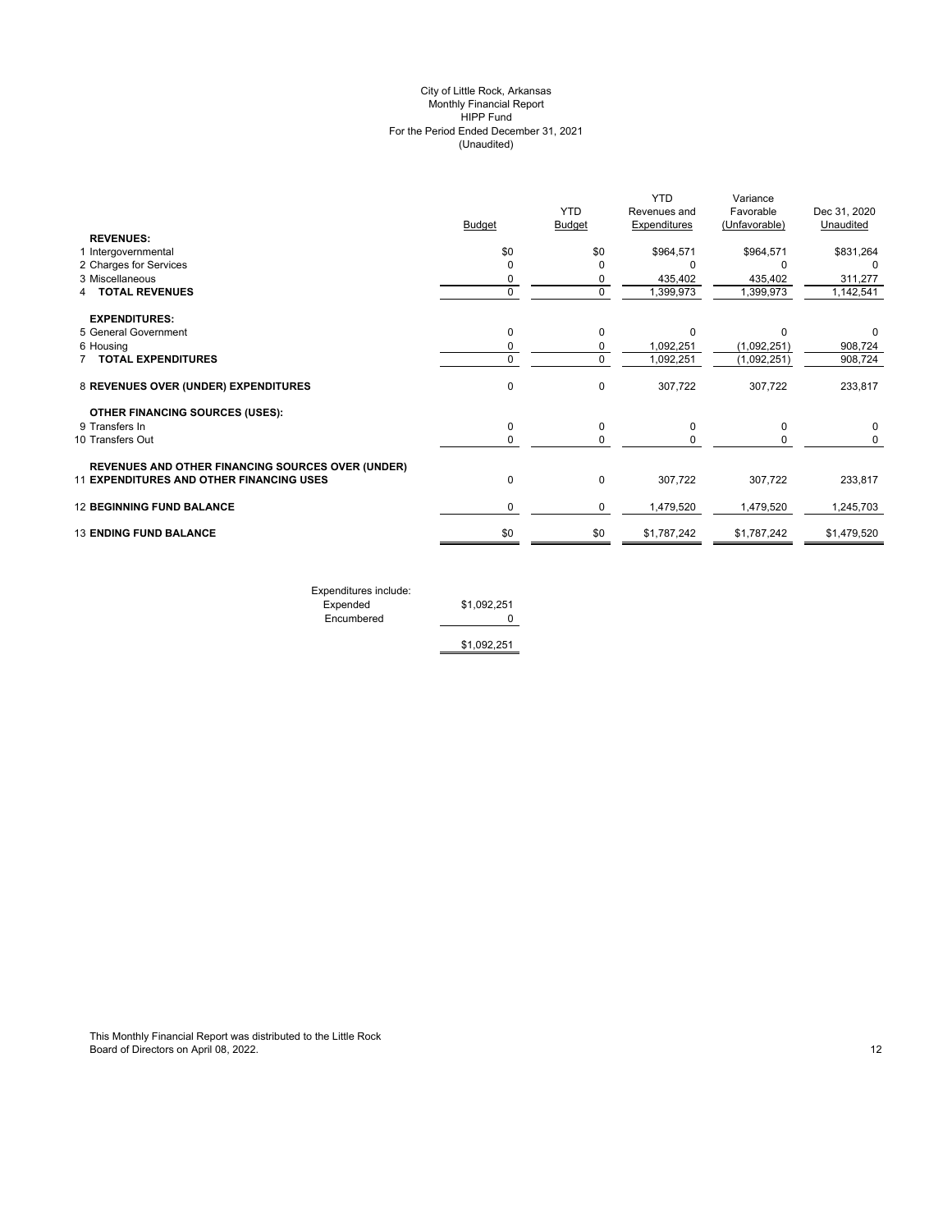## (Unaudited) City of Little Rock, Arkansas Monthly Financial Report HIPP Fund For the Period Ended December 31, 2021

|                                                          | <b>Budget</b> | <b>YTD</b><br><b>Budget</b> | <b>YTD</b><br>Revenues and<br>Expenditures | Variance<br>Favorable<br>(Unfavorable) | Dec 31, 2020<br>Unaudited |
|----------------------------------------------------------|---------------|-----------------------------|--------------------------------------------|----------------------------------------|---------------------------|
| <b>REVENUES:</b>                                         |               |                             |                                            |                                        |                           |
| 1 Intergovernmental                                      | \$0           | \$0                         | \$964,571                                  | \$964,571                              | \$831,264                 |
| 2 Charges for Services                                   | $\Omega$      | O                           | $\Omega$                                   |                                        | $\Omega$                  |
| 3 Miscellaneous                                          | 0             | 0                           | 435,402                                    | 435,402                                | 311,277                   |
| <b>TOTAL REVENUES</b>                                    | $\mathbf 0$   | $\mathbf 0$                 | 1,399,973                                  | 1,399,973                              | 1,142,541                 |
| <b>EXPENDITURES:</b>                                     |               |                             |                                            |                                        |                           |
| 5 General Government                                     | $\mathbf 0$   | $\Omega$                    | $\Omega$                                   | $\Omega$                               | 0                         |
| 6 Housing                                                | 0             | 0                           | 1,092,251                                  | (1,092,251)                            | 908,724                   |
| <b>TOTAL EXPENDITURES</b>                                | $\mathbf 0$   | $\Omega$                    | 1,092,251                                  | (1,092,251)                            | 908,724                   |
| 8 REVENUES OVER (UNDER) EXPENDITURES                     | $\mathbf 0$   | $\Omega$                    | 307,722                                    | 307,722                                | 233,817                   |
| <b>OTHER FINANCING SOURCES (USES):</b>                   |               |                             |                                            |                                        |                           |
| 9 Transfers In                                           | $\mathbf 0$   | $\Omega$                    | $\Omega$                                   | $\Omega$                               |                           |
| 10 Transfers Out                                         | 0             | 0                           | 0                                          | 0                                      | 0                         |
| <b>REVENUES AND OTHER FINANCING SOURCES OVER (UNDER)</b> |               |                             |                                            |                                        |                           |
| <b>11 EXPENDITURES AND OTHER FINANCING USES</b>          | 0             | $\mathbf 0$                 | 307,722                                    | 307,722                                | 233,817                   |
| <b>12 BEGINNING FUND BALANCE</b>                         | 0             | 0                           | 1,479,520                                  | 1,479,520                              | 1,245,703                 |
| <b>13 ENDING FUND BALANCE</b>                            | \$0           | \$0                         | \$1,787,242                                | \$1,787,242                            | \$1,479,520               |
|                                                          |               |                             |                                            |                                        |                           |

Expenditures include: Expended \$1,092,251 Encumbered 0

\$1,092,251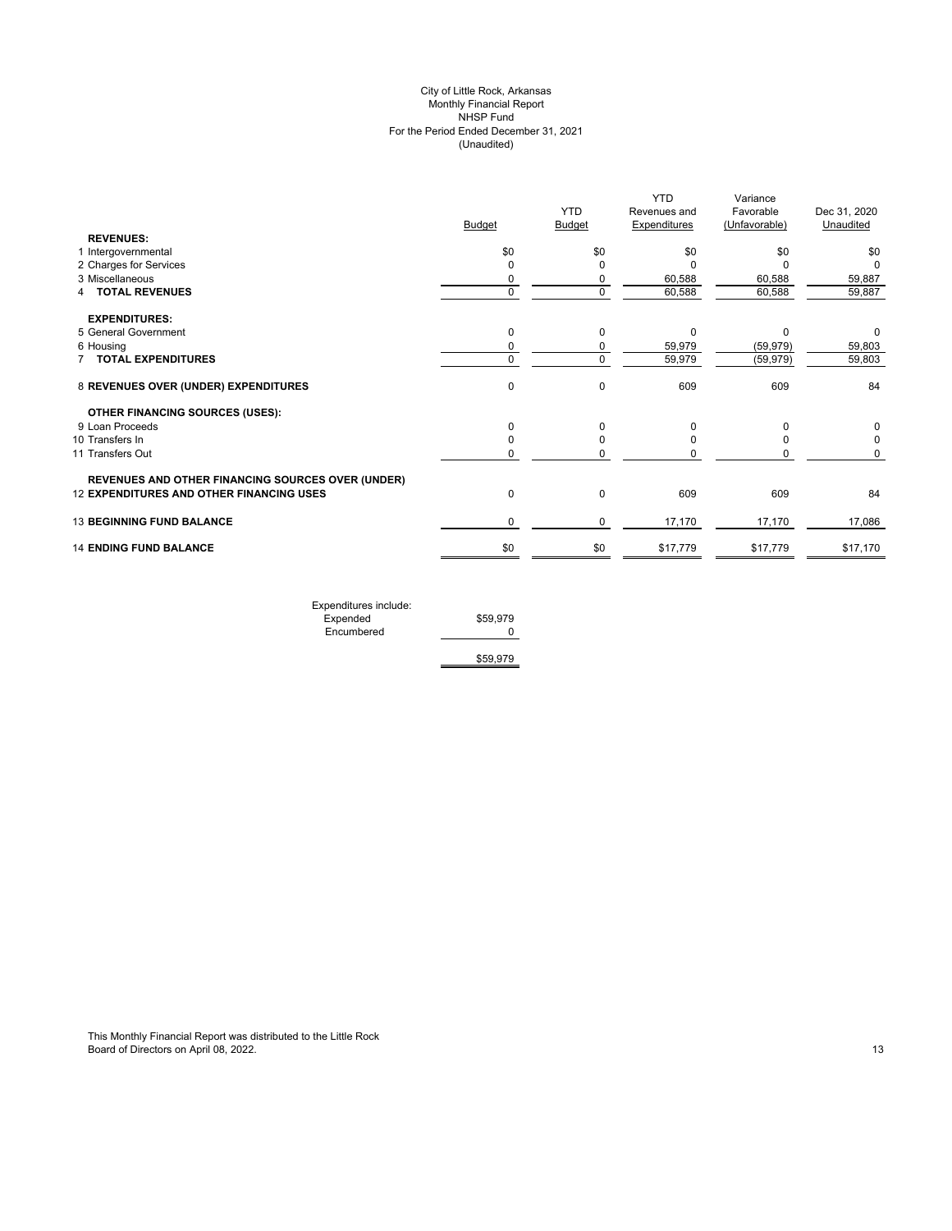## (Unaudited) City of Little Rock, Arkansas Monthly Financial Report NHSP Fund For the Period Ended December 31, 2021

|                                                          |               | <b>YTD</b>    | <b>YTD</b><br>Revenues and | Variance<br>Favorable | Dec 31, 2020 |
|----------------------------------------------------------|---------------|---------------|----------------------------|-----------------------|--------------|
|                                                          | <b>Budget</b> | <b>Budget</b> | <b>Expenditures</b>        | (Unfavorable)         | Unaudited    |
| <b>REVENUES:</b>                                         |               |               |                            |                       |              |
| 1 Intergovernmental                                      | \$0           | \$0           | \$0                        | \$0                   | \$0          |
| 2 Charges for Services                                   | $\mathbf 0$   | O             |                            |                       | O            |
| 3 Miscellaneous                                          | 0             | 0             | 60,588                     | 60,588                | 59,887       |
| 4 TOTAL REVENUES                                         | $\mathbf 0$   | $\Omega$      | 60,588                     | 60,588                | 59,887       |
| <b>EXPENDITURES:</b>                                     |               |               |                            |                       |              |
| 5 General Government                                     | 0             | 0             | 0                          | 0                     | 0            |
| 6 Housing                                                | 0             | 0             | 59,979                     | (59, 979)             | 59,803       |
| <b>7 TOTAL EXPENDITURES</b>                              | 0             | $\mathbf 0$   | 59,979                     | (59, 979)             | 59,803       |
| 8 REVENUES OVER (UNDER) EXPENDITURES                     | 0             | $\Omega$      | 609                        | 609                   | 84           |
| <b>OTHER FINANCING SOURCES (USES):</b>                   |               |               |                            |                       |              |
| 9 Loan Proceeds                                          | 0             | $\Omega$      | O                          | $\Omega$              | 0            |
| 10 Transfers In                                          | 0             | $\Omega$      |                            |                       | 0            |
| 11 Transfers Out                                         | 0             | O             |                            |                       | 0            |
| <b>REVENUES AND OTHER FINANCING SOURCES OVER (UNDER)</b> |               |               |                            |                       |              |
| <b>12 EXPENDITURES AND OTHER FINANCING USES</b>          | $\mathbf 0$   | $\Omega$      | 609                        | 609                   | 84           |
| <b>13 BEGINNING FUND BALANCE</b>                         | 0             | 0             | 17,170                     | 17,170                | 17,086       |
| <b>14 ENDING FUND BALANCE</b>                            | \$0           | \$0           | \$17,779                   | \$17,779              | \$17,170     |

| Expenditures include: |          |
|-----------------------|----------|
| Expended              | \$59,979 |
| Encumbered            |          |
|                       |          |
|                       | \$59,979 |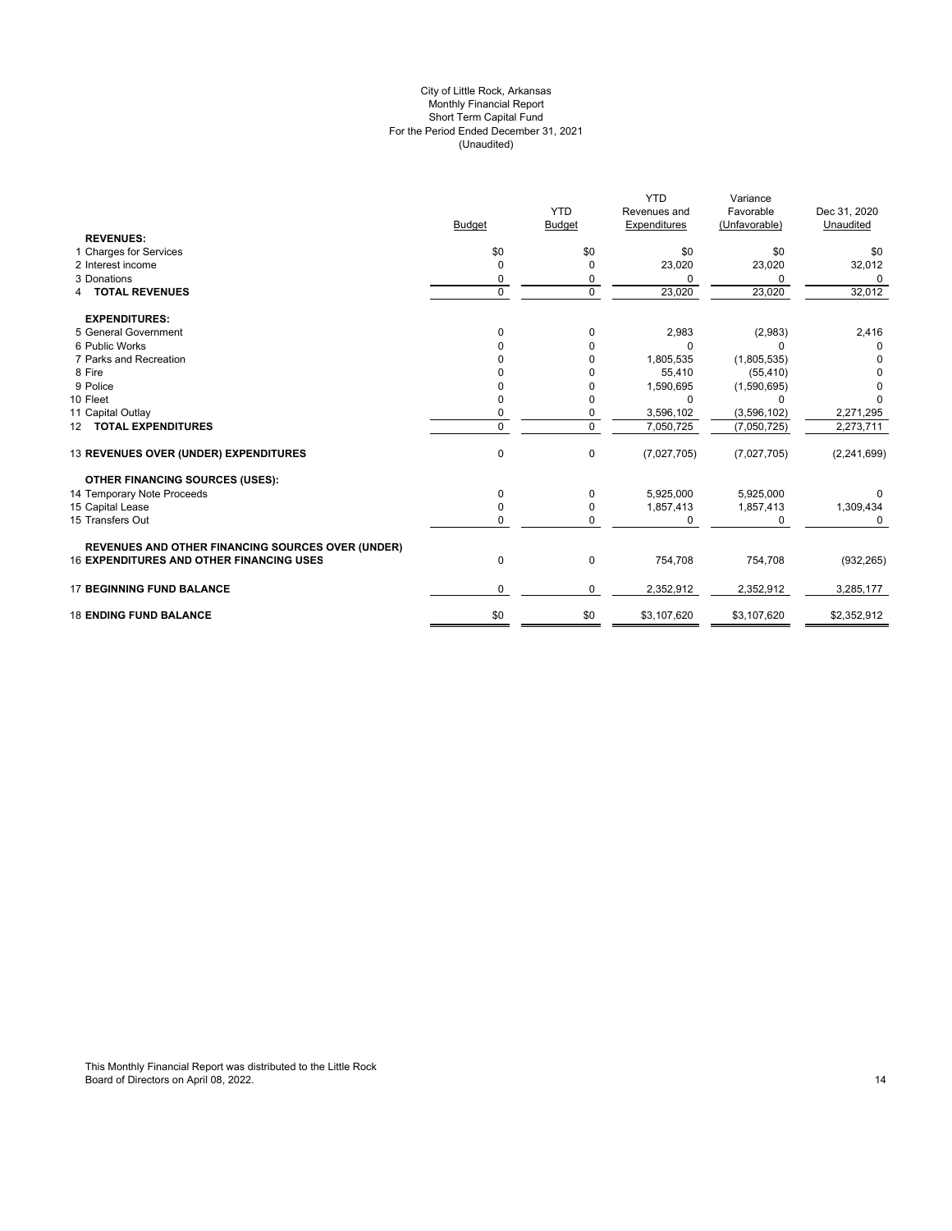#### For the Period Ended December 31, 2021 (Unaudited) City of Little Rock, Arkansas Monthly Financial Report Short Term Capital Fund

|                                                          |               |               | <b>YTD</b>   | Variance      |               |
|----------------------------------------------------------|---------------|---------------|--------------|---------------|---------------|
|                                                          |               | <b>YTD</b>    | Revenues and | Favorable     | Dec 31, 2020  |
|                                                          | <b>Budget</b> | <b>Budget</b> | Expenditures | (Unfavorable) | Unaudited     |
| <b>REVENUES:</b>                                         |               |               |              |               |               |
| 1 Charges for Services                                   | \$0           | \$0           | \$0          | \$0           | \$0           |
| 2 Interest income                                        | $\Omega$      | $\Omega$      | 23,020       | 23,020        | 32,012        |
| 3 Donations                                              | 0             | 0             | C            | O             | 0             |
| <b>TOTAL REVENUES</b>                                    | $\mathbf 0$   | $\mathbf 0$   | 23,020       | 23,020        | 32,012        |
| <b>EXPENDITURES:</b>                                     |               |               |              |               |               |
| 5 General Government                                     | $\Omega$      | $\Omega$      | 2,983        | (2,983)       | 2,416         |
| 6 Public Works                                           |               | O             | C            | n             | 0             |
| 7 Parks and Recreation                                   |               | 0             | 1,805,535    | (1,805,535)   | 0             |
| 8 Fire                                                   |               | O             | 55,410       | (55, 410)     |               |
| 9 Police                                                 |               |               | 1,590,695    | (1,590,695)   |               |
| 10 Fleet                                                 |               | 0             | 0            | 0             |               |
| 11 Capital Outlay                                        | 0             | 0             | 3,596,102    | (3,596,102)   | 2,271,295     |
| 12 TOTAL EXPENDITURES                                    | $\Omega$      | $\mathbf 0$   | 7,050,725    | (7,050,725)   | 2,273,711     |
| 13 REVENUES OVER (UNDER) EXPENDITURES                    | $\mathbf 0$   | 0             | (7,027,705)  | (7,027,705)   | (2, 241, 699) |
| <b>OTHER FINANCING SOURCES (USES):</b>                   |               |               |              |               |               |
| 14 Temporary Note Proceeds                               | 0             | 0             | 5,925,000    | 5,925,000     |               |
| 15 Capital Lease                                         | <sup>0</sup>  | $\Omega$      | 1,857,413    | 1,857,413     | 1,309,434     |
| 15 Transfers Out                                         | 0             | $\mathbf 0$   | $\Omega$     | U             | U             |
| <b>REVENUES AND OTHER FINANCING SOURCES OVER (UNDER)</b> |               |               |              |               |               |
| <b>16 EXPENDITURES AND OTHER FINANCING USES</b>          | 0             | 0             | 754,708      | 754,708       | (932, 265)    |
| <b>17 BEGINNING FUND BALANCE</b>                         | $\Omega$      | 0             | 2,352,912    | 2,352,912     | 3,285,177     |
| <b>18 ENDING FUND BALANCE</b>                            | \$0           | \$0           | \$3,107,620  | \$3,107,620   | \$2,352,912   |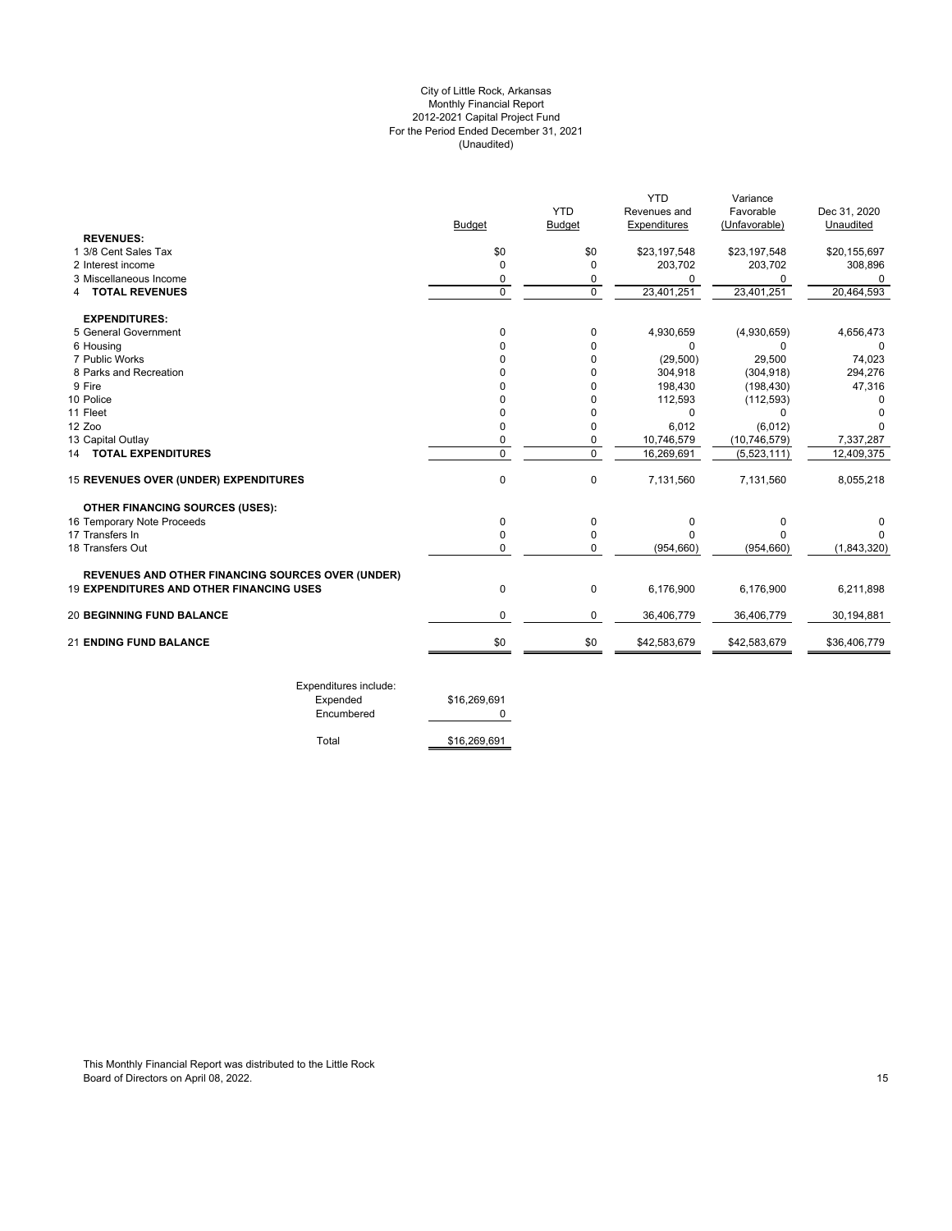## For the Period Ended December 31, 2021 (Unaudited) City of Little Rock, Arkansas Monthly Financial Report 2012-2021 Capital Project Fund

|                                                          | <b>Budget</b>  | <b>YTD</b><br><b>Budget</b> | <b>YTD</b><br>Revenues and<br>Expenditures | Variance<br>Favorable<br>(Unfavorable) | Dec 31, 2020<br>Unaudited |
|----------------------------------------------------------|----------------|-----------------------------|--------------------------------------------|----------------------------------------|---------------------------|
| <b>REVENUES:</b><br>1 3/8 Cent Sales Tax                 | \$0            | \$0                         | \$23,197,548                               | \$23,197,548                           | \$20,155,697              |
| 2 Interest income                                        | 0              | $\Omega$                    | 203,702                                    | 203,702                                | 308,896                   |
| 3 Miscellaneous Income                                   | 0              | 0                           | 0                                          | 0                                      | 0                         |
| <b>4 TOTAL REVENUES</b>                                  | $\mathbf 0$    | $\Omega$                    | 23,401,251                                 | 23,401,251                             | 20,464,593                |
| <b>EXPENDITURES:</b>                                     |                |                             |                                            |                                        |                           |
| 5 General Government                                     | 0              | 0                           | 4,930,659                                  | (4,930,659)                            | 4,656,473                 |
| 6 Housing                                                | 0              | 0                           | 0                                          | 0                                      | 0                         |
| 7 Public Works                                           | 0              | 0                           | (29, 500)                                  | 29,500                                 | 74,023                    |
| 8 Parks and Recreation                                   | 0              | $\Omega$                    | 304,918                                    | (304, 918)                             | 294,276                   |
| 9 Fire                                                   | O              | $\Omega$                    | 198,430                                    | (198, 430)                             | 47,316                    |
| 10 Police                                                | O              | $\Omega$                    | 112,593                                    | (112, 593)                             |                           |
| 11 Fleet                                                 | O              | $\Omega$                    | 0                                          | $\Omega$                               |                           |
| 12 Zoo                                                   | 0              | 0                           | 6,012                                      | (6,012)                                | O                         |
| 13 Capital Outlay                                        | 0              | 0                           | 10,746,579                                 | (10, 746, 579)                         | 7,337,287                 |
| <b>14 TOTAL EXPENDITURES</b>                             | $\overline{0}$ | $\overline{0}$              | 16,269,691                                 | (5,523,111)                            | 12,409,375                |
| 15 REVENUES OVER (UNDER) EXPENDITURES                    | 0              | $\mathbf 0$                 | 7,131,560                                  | 7,131,560                              | 8,055,218                 |
| <b>OTHER FINANCING SOURCES (USES):</b>                   |                |                             |                                            |                                        |                           |
| 16 Temporary Note Proceeds                               | 0              | 0                           | 0                                          | 0                                      | 0                         |
| 17 Transfers In                                          | 0              | 0                           | $\Omega$                                   | $\Omega$                               |                           |
| 18 Transfers Out                                         | 0              | 0                           | (954, 660)                                 | (954, 660)                             | (1,843,320)               |
| <b>REVENUES AND OTHER FINANCING SOURCES OVER (UNDER)</b> |                |                             |                                            |                                        |                           |
| <b>19 EXPENDITURES AND OTHER FINANCING USES</b>          | $\mathbf 0$    | 0                           | 6,176,900                                  | 6,176,900                              | 6,211,898                 |
| <b>20 BEGINNING FUND BALANCE</b>                         | 0              | 0                           | 36,406,779                                 | 36,406,779                             | 30,194,881                |
| <b>21 ENDING FUND BALANCE</b>                            | \$0            | \$0                         | \$42,583,679                               | \$42,583,679                           | \$36,406,779              |
| Expenditures include:<br>Expended                        | \$16,269,691   |                             |                                            |                                        |                           |

encumbered 0

Total \$16,269,691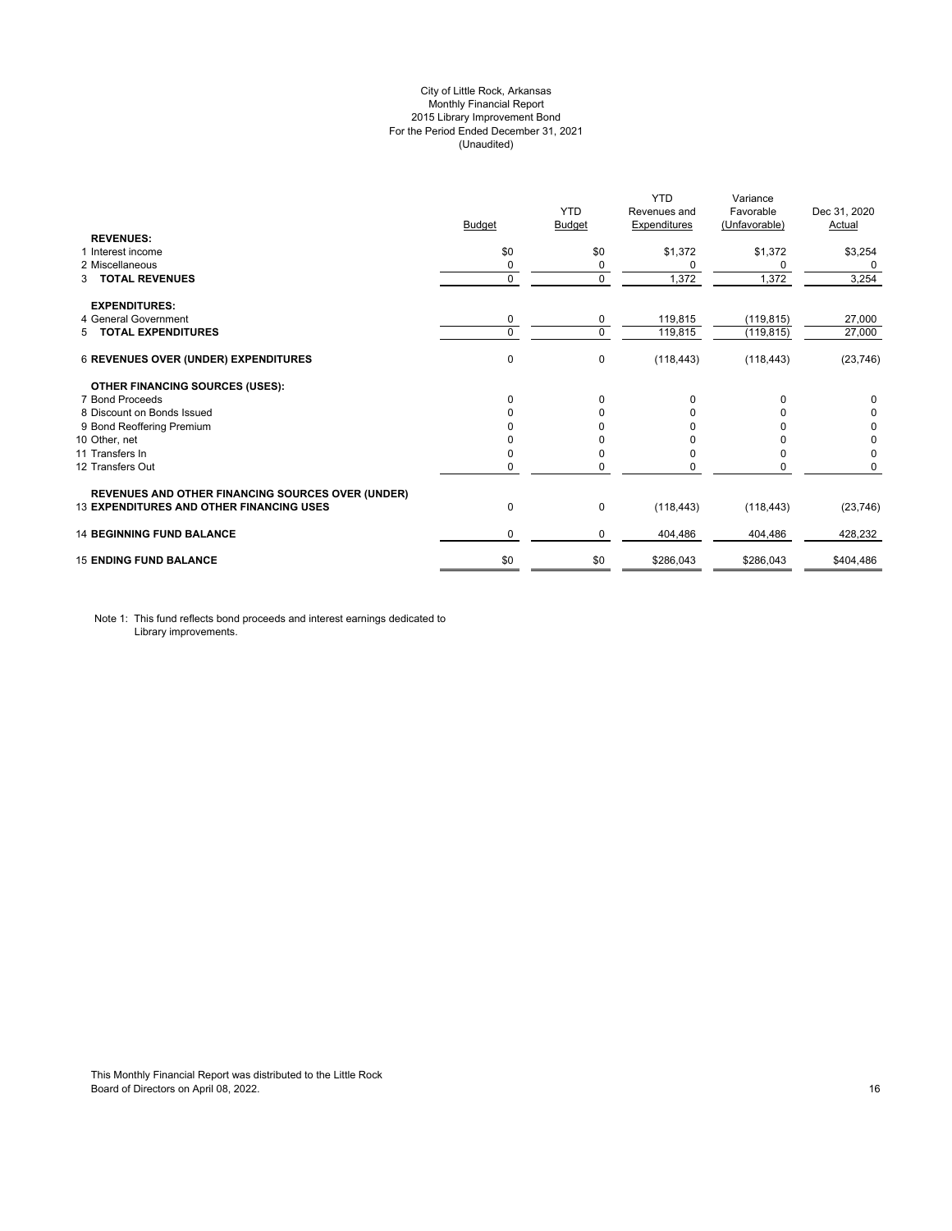## City of Little Rock, Arkansas Monthly Financial Report 2015 Library Improvement Bond For the Period Ended December 31, 2021 (Unaudited)

|                                                          | <b>Budget</b> | <b>YTD</b><br>Budget | <b>YTD</b><br>Revenues and<br><b>Expenditures</b> | Variance<br>Favorable<br>(Unfavorable) | Dec 31, 2020<br>Actual |
|----------------------------------------------------------|---------------|----------------------|---------------------------------------------------|----------------------------------------|------------------------|
| <b>REVENUES:</b><br>1 Interest income                    | \$0           | \$0                  | \$1,372                                           | \$1,372                                | \$3,254                |
| 2 Miscellaneous                                          | 0             | $\Omega$             | 0                                                 | 0                                      | 0                      |
| <b>TOTAL REVENUES</b><br>3                               | $\mathbf 0$   | $\mathbf 0$          | 1,372                                             | 1,372                                  | 3,254                  |
| <b>EXPENDITURES:</b>                                     |               |                      |                                                   |                                        |                        |
| 4 General Government                                     | 0             | 0                    | 119,815                                           | (119, 815)                             | 27,000                 |
| <b>TOTAL EXPENDITURES</b><br>5.                          | 0             | 0                    | 119,815                                           | (119, 815)                             | 27,000                 |
| 6 REVENUES OVER (UNDER) EXPENDITURES                     | 0             | 0                    | (118, 443)                                        | (118, 443)                             | (23, 746)              |
| <b>OTHER FINANCING SOURCES (USES):</b>                   |               |                      |                                                   |                                        |                        |
| 7 Bond Proceeds                                          | $\Omega$      | 0                    | $\Omega$                                          | n                                      | 0                      |
| 8 Discount on Bonds Issued                               | 0             | n                    |                                                   |                                        | 0                      |
| 9 Bond Reoffering Premium                                |               |                      |                                                   |                                        | 0                      |
| 10 Other, net                                            |               |                      |                                                   |                                        | 0                      |
| 11 Transfers In                                          | $\Omega$      | <sup>0</sup>         |                                                   |                                        | 0                      |
| 12 Transfers Out                                         | 0             | $\Omega$             |                                                   |                                        | 0                      |
| <b>REVENUES AND OTHER FINANCING SOURCES OVER (UNDER)</b> |               |                      |                                                   |                                        |                        |
| <b>13 EXPENDITURES AND OTHER FINANCING USES</b>          | 0             | $\mathbf 0$          | (118, 443)                                        | (118, 443)                             | (23, 746)              |
| <b>14 BEGINNING FUND BALANCE</b>                         | 0             | $\Omega$             | 404,486                                           | 404,486                                | 428,232                |
| <b>15 ENDING FUND BALANCE</b>                            | \$0           | \$0                  | \$286,043                                         | \$286,043                              | \$404,486              |

Note 1: This fund reflects bond proceeds and interest earnings dedicated to Library improvements.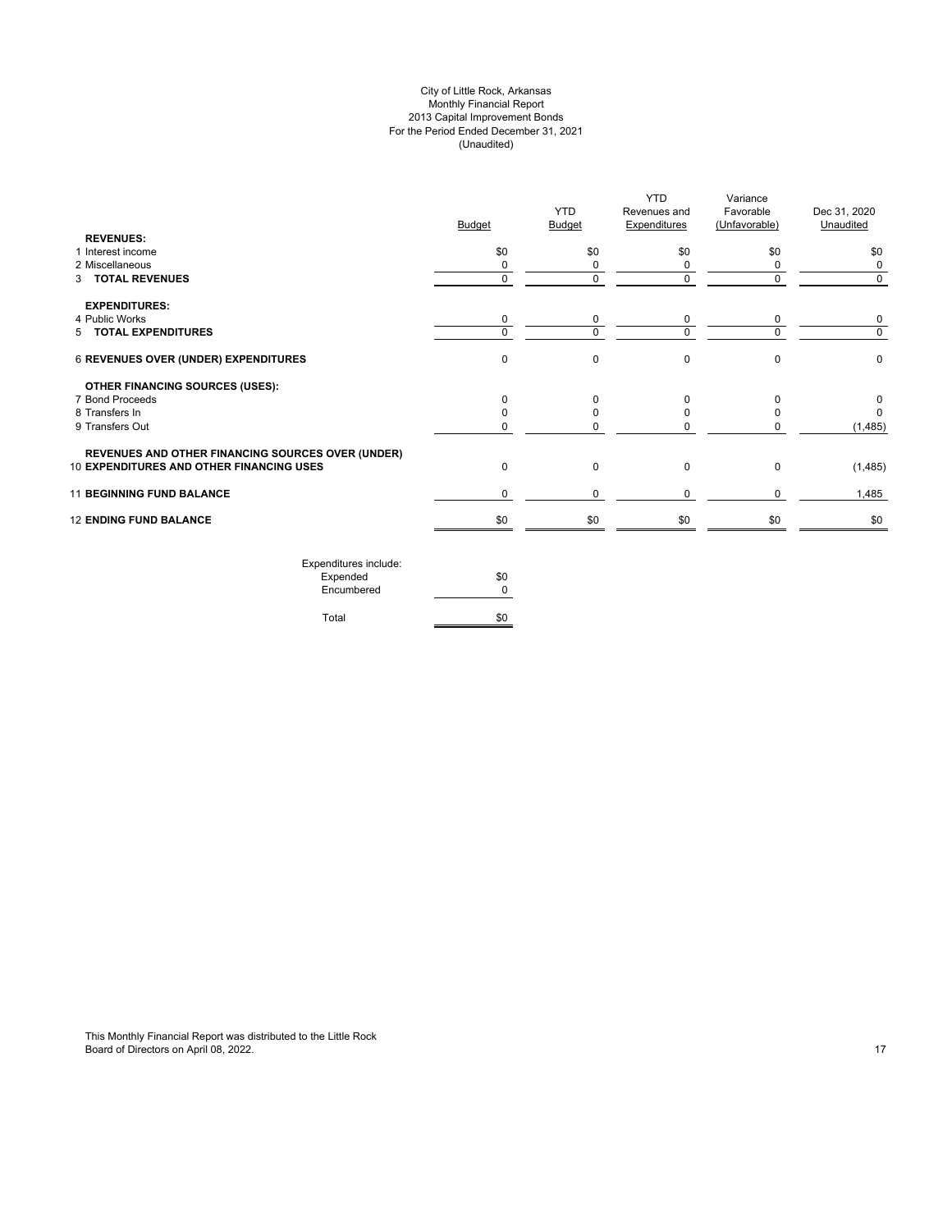## City of Little Rock, Arkansas Monthly Financial Report 2013 Capital Improvement Bonds For the Period Ended December 31, 2021 (Unaudited)

| <b>REVENUES:</b>                                         | Budget      | <b>YTD</b><br><b>Budget</b> | <b>YTD</b><br>Revenues and<br><b>Expenditures</b> | Variance<br>Favorable<br>(Unfavorable) | Dec 31, 2020<br>Unaudited |
|----------------------------------------------------------|-------------|-----------------------------|---------------------------------------------------|----------------------------------------|---------------------------|
| 1 Interest income                                        | \$0         | \$0                         | \$0                                               | \$0                                    | \$0                       |
| 2 Miscellaneous                                          | 0           | 0                           | 0                                                 | $\Omega$                               | 0                         |
| 3 TOTAL REVENUES                                         | $\mathbf 0$ | 0                           | $\mathbf 0$                                       | $\mathbf 0$                            | $\mathbf 0$               |
| <b>EXPENDITURES:</b>                                     |             |                             |                                                   |                                        |                           |
| 4 Public Works                                           | $\mathbf 0$ | 0                           | 0                                                 | $\mathbf 0$                            | 0                         |
| 5 TOTAL EXPENDITURES                                     | $\mathbf 0$ | $\Omega$                    | $\Omega$                                          | $\Omega$                               | $\mathbf 0$               |
| 6 REVENUES OVER (UNDER) EXPENDITURES                     | $\mathbf 0$ | 0                           | $\mathbf 0$                                       | $\Omega$                               | 0                         |
| <b>OTHER FINANCING SOURCES (USES):</b>                   |             |                             |                                                   |                                        |                           |
| 7 Bond Proceeds                                          | $\Omega$    | 0                           | 0                                                 | $\Omega$                               | 0                         |
| 8 Transfers In                                           |             | 0                           | 0                                                 | <sup>0</sup>                           | $\Omega$                  |
| 9 Transfers Out                                          | $\Omega$    | 0                           | 0                                                 |                                        | (1, 485)                  |
| <b>REVENUES AND OTHER FINANCING SOURCES OVER (UNDER)</b> |             |                             |                                                   |                                        |                           |
| 10 EXPENDITURES AND OTHER FINANCING USES                 | $\Omega$    | 0                           | 0                                                 | 0                                      | (1, 485)                  |
| <b>11 BEGINNING FUND BALANCE</b>                         | $\mathbf 0$ | 0                           | 0                                                 | $\Omega$                               | 1,485                     |
| <b>12 ENDING FUND BALANCE</b>                            | \$0         | \$0                         | \$0                                               | \$0                                    | \$0                       |
| Expenditures include:                                    |             |                             |                                                   |                                        |                           |

| EXPETIQUE CS ILIGIQUE. |     |
|------------------------|-----|
| Expended               | \$0 |
| Encumbered             | ŋ   |
|                        |     |
| Total                  | \$0 |

This Monthly Financial Report was distributed to the Little Rock Board of Directors on April 08, 2022. 17 April 2022. In the state of the state of Directors on April 08, 2022.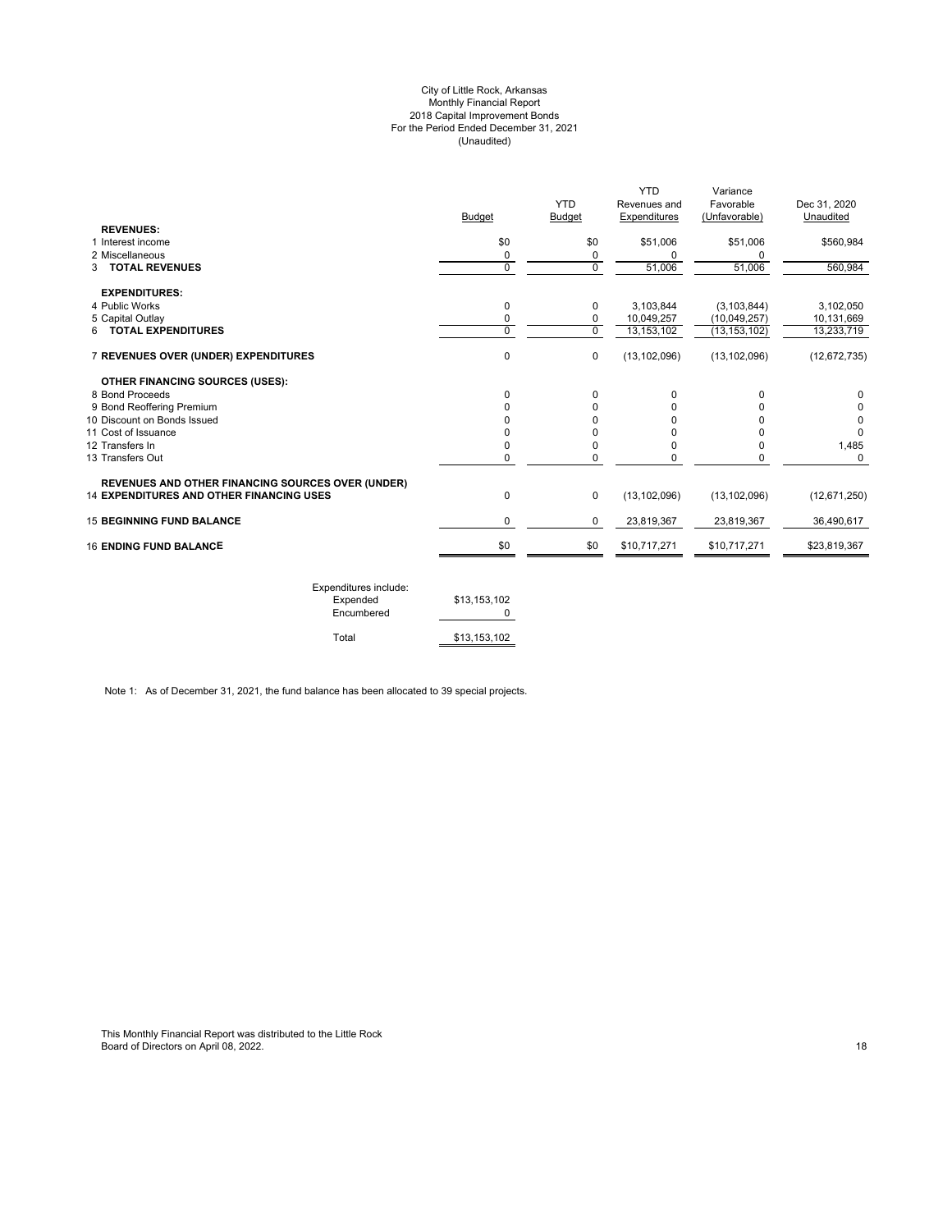#### City of Little Rock, Arkansas Monthly Financial Report 2018 Capital Improvement Bonds For the Period Ended December 31, 2021 (Unaudited)

| <b>REVENUES:</b>                                         | <b>Budget</b>  | <b>YTD</b><br><b>Budget</b> | <b>YTD</b><br>Revenues and<br>Expenditures | Variance<br>Favorable<br>(Unfavorable) | Dec 31, 2020<br>Unaudited |
|----------------------------------------------------------|----------------|-----------------------------|--------------------------------------------|----------------------------------------|---------------------------|
| 1 Interest income                                        | \$0            | \$0                         |                                            | \$51,006                               |                           |
| 2 Miscellaneous                                          | 0              |                             | \$51,006<br>0                              | 0                                      | \$560,984                 |
| <b>TOTAL REVENUES</b><br>3                               | 0              | 0<br>$\mathbf 0$            | 51,006                                     | 51,006                                 | 560,984                   |
|                                                          |                |                             |                                            |                                        |                           |
| <b>EXPENDITURES:</b>                                     |                |                             |                                            |                                        |                           |
| 4 Public Works                                           | 0              | 0                           | 3,103,844                                  | (3, 103, 844)                          | 3,102,050                 |
| 5 Capital Outlay                                         | 0              | 0                           | 10,049,257                                 | (10,049,257)                           | 10,131,669                |
| 6 TOTAL EXPENDITURES                                     | $\overline{0}$ | $\overline{0}$              | 13,153,102                                 | (13, 153, 102)                         | 13,233,719                |
| 7 REVENUES OVER (UNDER) EXPENDITURES                     | 0              | 0                           | (13, 102, 096)                             | (13, 102, 096)                         | (12, 672, 735)            |
| <b>OTHER FINANCING SOURCES (USES):</b>                   |                |                             |                                            |                                        |                           |
| 8 Bond Proceeds                                          | 0              | $\Omega$                    | 0                                          | $\Omega$                               | $\Omega$                  |
| 9 Bond Reoffering Premium                                | 0              | 0                           | 0                                          | U                                      | 0                         |
| 10 Discount on Bonds Issued                              | ŋ              | $\Omega$                    | 0                                          | n                                      | 0                         |
| 11 Cost of Issuance                                      | ŋ              | U                           | O                                          |                                        | $\Omega$                  |
| 12 Transfers In                                          | 0              | 0                           | 0                                          | 0                                      | 1,485                     |
| 13 Transfers Out                                         | 0              | 0                           | 0                                          | 0                                      | $\Omega$                  |
| <b>REVENUES AND OTHER FINANCING SOURCES OVER (UNDER)</b> |                |                             |                                            |                                        |                           |
| <b>14 EXPENDITURES AND OTHER FINANCING USES</b>          | 0              | $\mathbf 0$                 | (13, 102, 096)                             | (13, 102, 096)                         | (12,671,250)              |
| <b>15 BEGINNING FUND BALANCE</b>                         | 0              | 0                           | 23,819,367                                 | 23,819,367                             | 36,490,617                |
| <b>16 ENDING FUND BALANCE</b>                            | \$0            | \$0                         | \$10,717,271                               | \$10,717,271                           | \$23,819,367              |
|                                                          |                |                             |                                            |                                        |                           |

| Expenditures include:<br>Expended<br>Encumbered | \$13.153.102 |
|-------------------------------------------------|--------------|
| Total                                           | \$13.153.102 |

Note 1: As of December 31, 2021, the fund balance has been allocated to 39 special projects.

This Monthly Financial Report was distributed to the Little Rock Board of Directors on April 08, 2022. 18 and 2022 to the Second Director of Directors on April 08, 2022.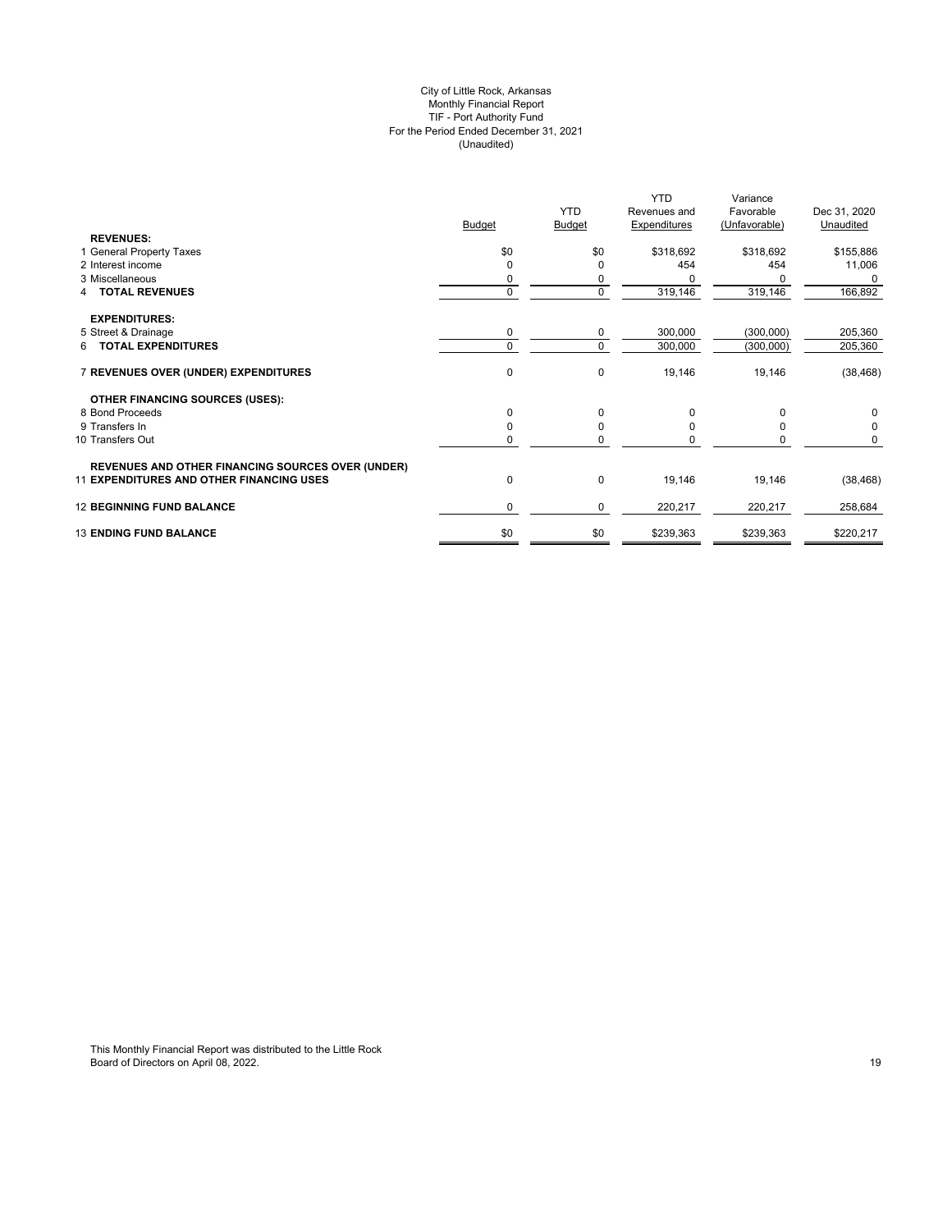#### City of Little Rock, Arkansas Monthly Financial Report TIF - Port Authority Fund For the Period Ended December 31, 2021 (Unaudited)

| <b>REVENUES:</b>                                         | <b>Budget</b> | <b>YTD</b><br>Budget | <b>YTD</b><br>Revenues and<br><b>Expenditures</b> | Variance<br>Favorable<br>(Unfavorable) | Dec 31, 2020<br>Unaudited |
|----------------------------------------------------------|---------------|----------------------|---------------------------------------------------|----------------------------------------|---------------------------|
| 1 General Property Taxes                                 | \$0           | \$0                  | \$318,692                                         | \$318,692                              | \$155,886                 |
| 2 Interest income                                        | $\Omega$      | O                    | 454                                               | 454                                    | 11,006                    |
| 3 Miscellaneous                                          | 0             | 0                    |                                                   |                                        | 0                         |
| <b>TOTAL REVENUES</b><br>4                               | $\mathbf 0$   | $\Omega$             | 319,146                                           | 319,146                                | 166,892                   |
| <b>EXPENDITURES:</b>                                     |               |                      |                                                   |                                        |                           |
| 5 Street & Drainage                                      | 0             | 0                    | 300,000                                           | (300,000)                              | 205,360                   |
| 6 TOTAL EXPENDITURES                                     | $\Omega$      | $\Omega$             | 300,000                                           | (300,000)                              | 205,360                   |
| 7 REVENUES OVER (UNDER) EXPENDITURES                     | $\pmb{0}$     | $\mathbf 0$          | 19,146                                            | 19,146                                 | (38, 468)                 |
| <b>OTHER FINANCING SOURCES (USES):</b>                   |               |                      |                                                   |                                        |                           |
| 8 Bond Proceeds                                          | 0             | 0                    | 0                                                 | $\Omega$                               | 0                         |
| 9 Transfers In                                           | $\Omega$      | O                    |                                                   |                                        | 0                         |
| 10 Transfers Out                                         | 0             | $\Omega$             |                                                   | 0                                      | 0                         |
| <b>REVENUES AND OTHER FINANCING SOURCES OVER (UNDER)</b> |               |                      |                                                   |                                        |                           |
| <b>11 EXPENDITURES AND OTHER FINANCING USES</b>          | 0             | $\mathbf 0$          | 19,146                                            | 19,146                                 | (38, 468)                 |
| <b>12 BEGINNING FUND BALANCE</b>                         | 0             | 0                    | 220,217                                           | 220,217                                | 258,684                   |
| <b>13 ENDING FUND BALANCE</b>                            | \$0           | \$0                  | \$239,363                                         | \$239,363                              | \$220,217                 |
|                                                          |               |                      |                                                   |                                        |                           |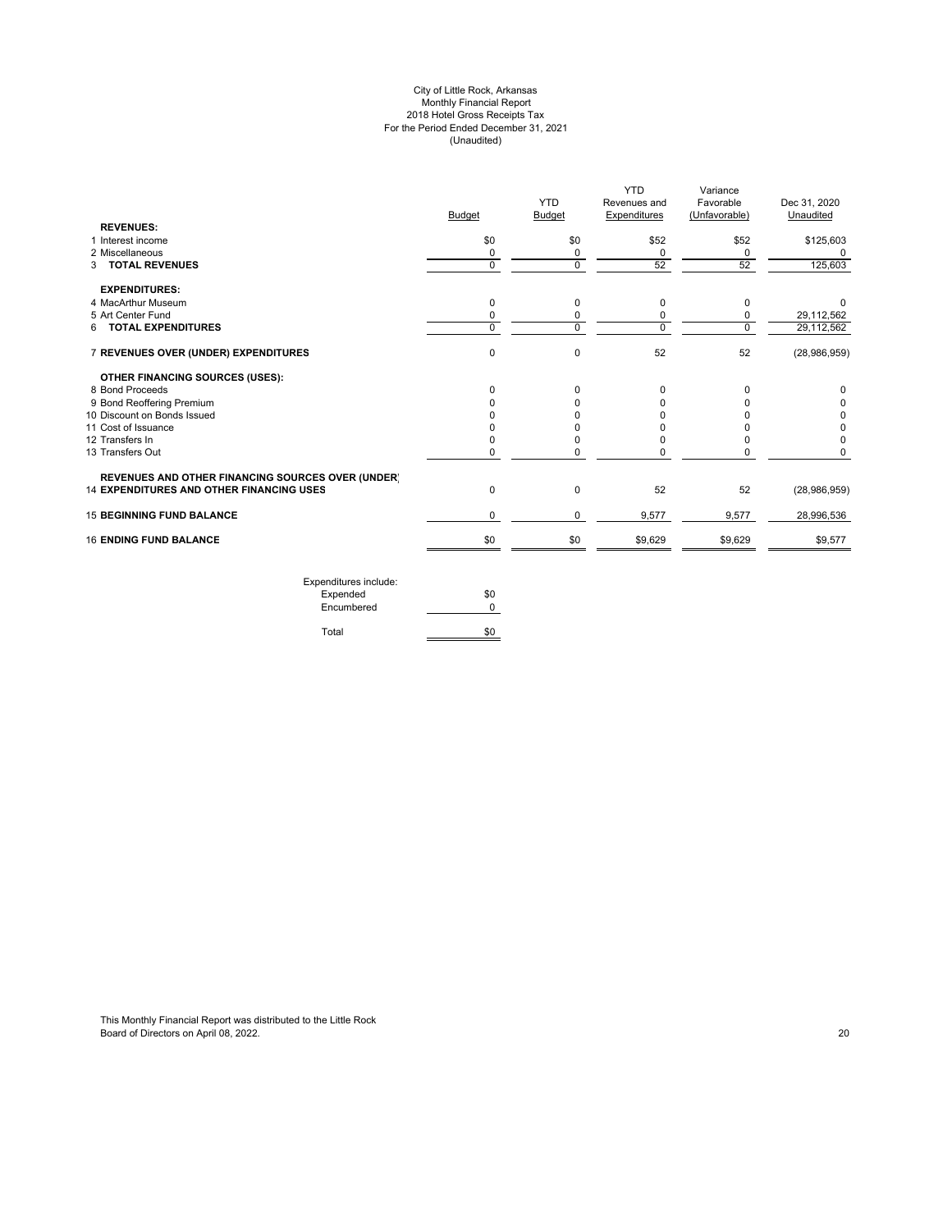#### City of Little Rock, Arkansas Monthly Financial Report 2018 Hotel Gross Receipts Tax For the Period Ended December 31, 2021 (Unaudited)

|               |               | YTD          | Variance     |               |
|---------------|---------------|--------------|--------------|---------------|
|               | <b>YTD</b>    | Revenues and | Favorable    | Dec 31, 2020  |
| <b>Budget</b> | <b>Budget</b> |              |              | Unaudited     |
|               |               |              |              |               |
| \$0           | \$0           | \$52         | \$52         | \$125,603     |
| 0             | 0             | 0            | 0            | 0             |
| $\Omega$      | $\Omega$      | 52           | 52           | 125,603       |
|               |               |              |              |               |
| 0             | 0             | 0            | 0            | $\Omega$      |
| 0             | 0             | 0            | 0            | 29,112,562    |
| $\Omega$      | $\Omega$      | $\Omega$     | $\mathbf 0$  | 29,112,562    |
| $\mathbf 0$   | $\mathbf 0$   | 52           | 52           | (28,986,959)  |
|               |               |              |              |               |
| 0             | $\Omega$      | 0            | 0            | 0             |
|               |               | 0            | $\Omega$     | O             |
|               |               | 0            |              | 0             |
|               |               | U            | O            | 0             |
|               | $\Omega$      | 0            | 0            | 0             |
| 0             | $\Omega$      | $\Omega$     | $\Omega$     | <sup>0</sup>  |
|               |               |              |              |               |
| 0             | 0             | 52           | 52           | (28,986,959)  |
| $\Omega$      | $\Omega$      | 9,577        | 9,577        | 28,996,536    |
| \$0           | \$0           | \$9,629      | \$9,629      | \$9,577       |
|               |               |              | Expenditures | (Unfavorable) |

| Expenditures include:<br>Expended | \$0 |
|-----------------------------------|-----|
| Encumbered                        |     |
| Total                             |     |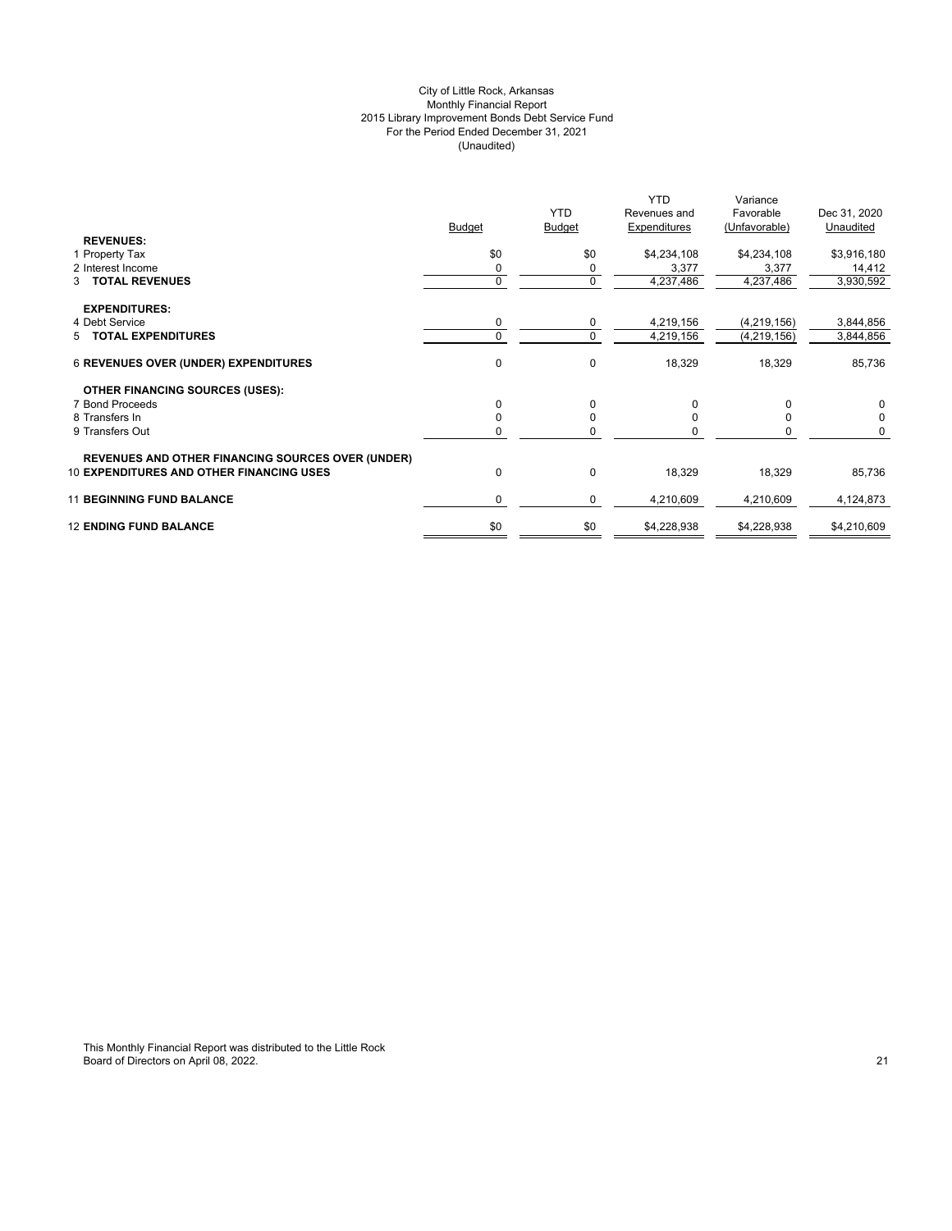## City of Little Rock, Arkansas Monthly Financial Report 2015 Library Improvement Bonds Debt Service Fund For the Period Ended December 31, 2021 (Unaudited)

|                                                          | <b>Budget</b> | <b>YTD</b><br><b>Budget</b> | <b>YTD</b><br>Revenues and<br>Expenditures | Variance<br>Favorable<br>(Unfavorable) | Dec 31, 2020<br>Unaudited |
|----------------------------------------------------------|---------------|-----------------------------|--------------------------------------------|----------------------------------------|---------------------------|
| <b>REVENUES:</b>                                         |               |                             |                                            |                                        |                           |
| 1 Property Tax                                           | \$0           | \$0                         | \$4,234,108                                | \$4,234,108                            | \$3,916,180               |
| 2 Interest Income                                        | 0             | 0                           | 3,377                                      | 3,377                                  | 14,412                    |
| 3 TOTAL REVENUES                                         | $\Omega$      | $\mathbf 0$                 | 4,237,486                                  | 4,237,486                              | 3,930,592                 |
| <b>EXPENDITURES:</b>                                     |               |                             |                                            |                                        |                           |
| 4 Debt Service                                           |               | 0                           | 4,219,156                                  | (4, 219, 156)                          | 3,844,856                 |
| 5 TOTAL EXPENDITURES                                     |               | 0                           | 4,219,156                                  | (4, 219, 156)                          | 3,844,856                 |
| <b>6 REVENUES OVER (UNDER) EXPENDITURES</b>              | 0             | 0                           | 18,329                                     | 18,329                                 | 85,736                    |
| <b>OTHER FINANCING SOURCES (USES):</b>                   |               |                             |                                            |                                        |                           |
| 7 Bond Proceeds                                          | 0             | $\Omega$                    | 0                                          | $\Omega$                               | $\Omega$                  |
| 8 Transfers In                                           |               | $\Omega$                    | 0                                          | $\Omega$                               | 0                         |
| 9 Transfers Out                                          |               | ŋ                           |                                            |                                        | 0                         |
| <b>REVENUES AND OTHER FINANCING SOURCES OVER (UNDER)</b> |               |                             |                                            |                                        |                           |
| <b>10 EXPENDITURES AND OTHER FINANCING USES</b>          | $\Omega$      | $\mathbf 0$                 | 18,329                                     | 18,329                                 | 85,736                    |
| <b>11 BEGINNING FUND BALANCE</b>                         | 0             | $\Omega$                    | 4,210,609                                  | 4,210,609                              | 4,124,873                 |
| <b>12 ENDING FUND BALANCE</b>                            | \$0           | \$0                         | \$4,228,938                                | \$4,228,938                            | \$4,210,609               |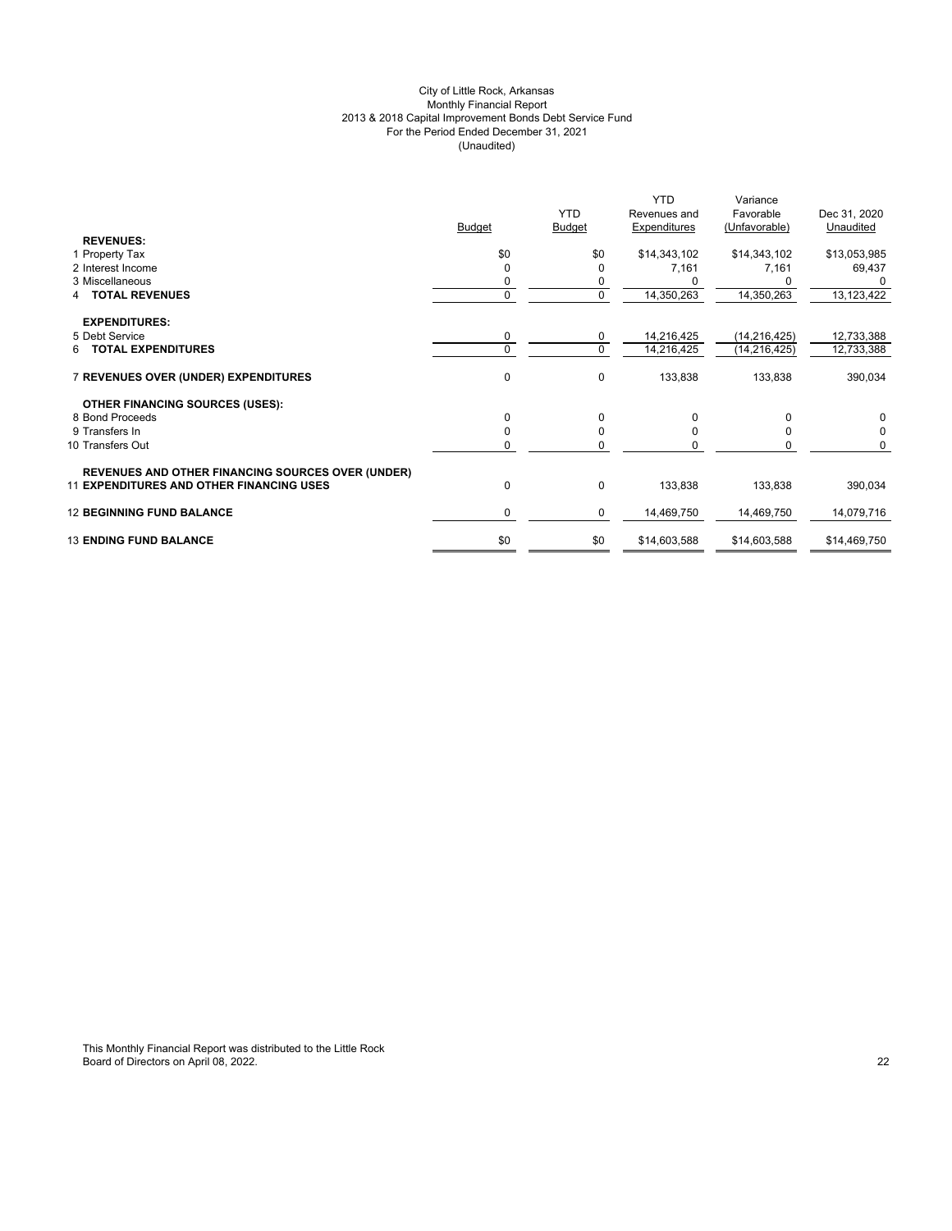## City of Little Rock, Arkansas Monthly Financial Report 2013 & 2018 Capital Improvement Bonds Debt Service Fund For the Period Ended December 31, 2021 (Unaudited)

|                                                          | <b>Budget</b> | <b>YTD</b><br><b>Budget</b> | <b>YTD</b><br>Revenues and<br>Expenditures | Variance<br>Favorable<br>(Unfavorable) | Dec 31, 2020<br>Unaudited |
|----------------------------------------------------------|---------------|-----------------------------|--------------------------------------------|----------------------------------------|---------------------------|
| <b>REVENUES:</b>                                         |               |                             |                                            |                                        |                           |
| 1 Property Tax                                           | \$0           | \$0                         | \$14,343,102                               | \$14,343,102                           | \$13,053,985              |
| 2 Interest Income                                        | $\Omega$      | $\Omega$                    | 7,161                                      | 7,161                                  | 69,437                    |
| 3 Miscellaneous                                          | 0             | 0                           |                                            | 0                                      | 0                         |
| <b>TOTAL REVENUES</b>                                    | $\mathbf 0$   | $\mathbf 0$                 | 14,350,263                                 | 14,350,263                             | 13,123,422                |
|                                                          |               |                             |                                            |                                        |                           |
| <b>EXPENDITURES:</b><br>5 Debt Service                   | $\mathbf 0$   | 0                           | 14,216,425                                 | (14, 216, 425)                         | 12,733,388                |
| <b>6 TOTAL EXPENDITURES</b>                              | $\Omega$      | $\mathbf 0$                 | 14,216,425                                 | (14, 216, 425)                         | 12,733,388                |
|                                                          |               |                             |                                            |                                        |                           |
| 7 REVENUES OVER (UNDER) EXPENDITURES                     | $\Omega$      | 0                           | 133,838                                    | 133,838                                | 390,034                   |
| <b>OTHER FINANCING SOURCES (USES):</b>                   |               |                             |                                            |                                        |                           |
| 8 Bond Proceeds                                          | 0             | 0                           | 0                                          | $\Omega$                               | 0                         |
| 9 Transfers In                                           | 0             | $\mathbf 0$                 | $\Omega$                                   | $\Omega$                               | $\mathbf 0$               |
| 10 Transfers Out                                         | 0             | 0                           | <sup>0</sup>                               | 0                                      | 0                         |
| <b>REVENUES AND OTHER FINANCING SOURCES OVER (UNDER)</b> |               |                             |                                            |                                        |                           |
| 11 EXPENDITURES AND OTHER FINANCING USES                 | 0             | $\pmb{0}$                   | 133,838                                    | 133,838                                | 390,034                   |
| <b>12 BEGINNING FUND BALANCE</b>                         | $\mathbf 0$   | 0                           | 14,469,750                                 | 14,469,750                             | 14,079,716                |
| <b>13 ENDING FUND BALANCE</b>                            | \$0           | \$0                         | \$14,603,588                               | \$14,603,588                           | \$14,469,750              |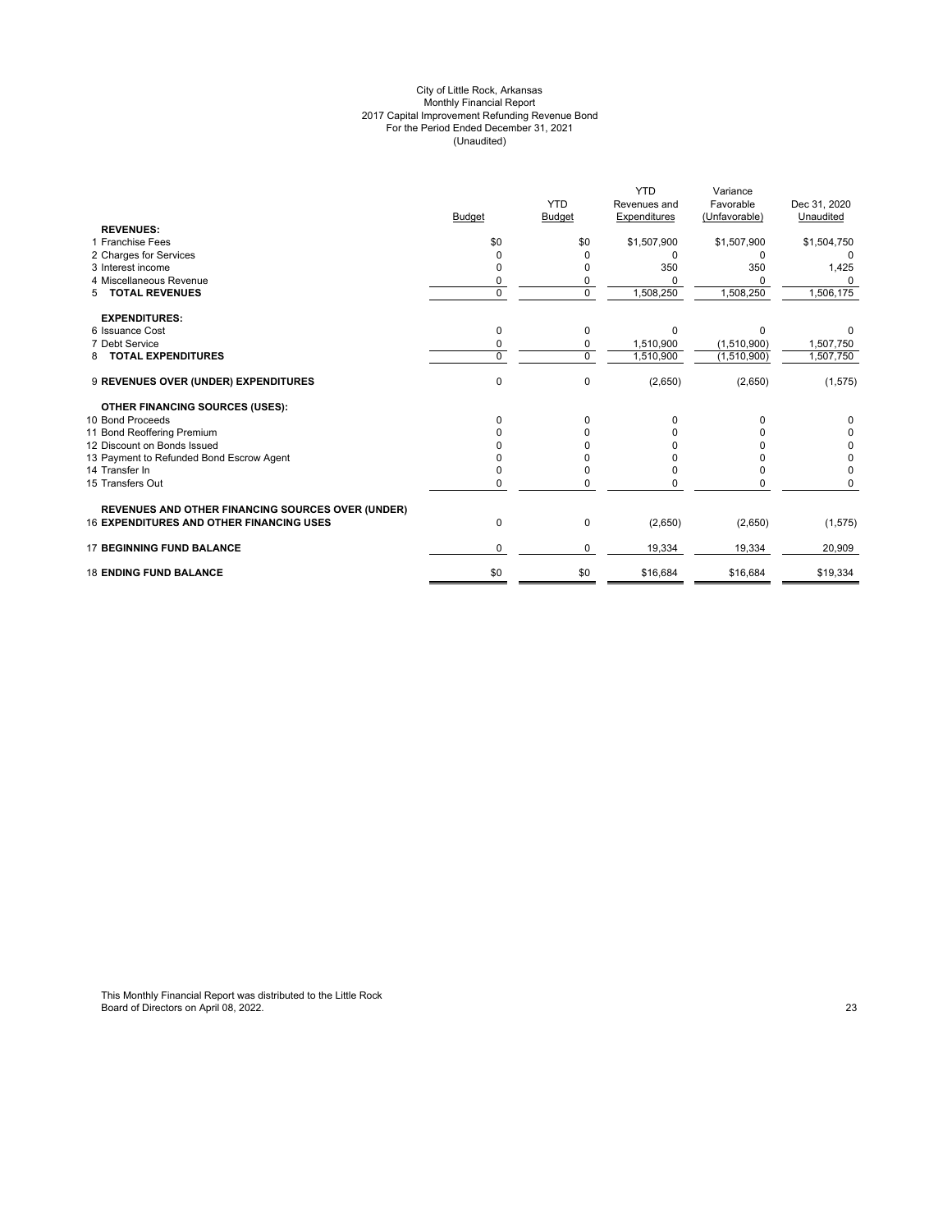#### City of Little Rock, Arkansas Monthly Financial Report 2017 Capital Improvement Refunding Revenue Bond For the Period Ended December 31, 2021 (Unaudited)

| <b>YTD</b><br>Revenues and                                             | Favorable     | Dec 31, 2020 |
|------------------------------------------------------------------------|---------------|--------------|
|                                                                        |               |              |
| Budget<br>Expenditures<br><b>Budget</b>                                | (Unfavorable) | Unaudited    |
| <b>REVENUES:</b>                                                       |               |              |
| 1 Franchise Fees<br>\$0<br>\$1,507,900<br>\$0                          | \$1,507,900   | \$1,504,750  |
| 2 Charges for Services<br>0                                            | O             |              |
| 3 Interest income<br>350                                               | 350           | 1,425        |
| 4 Miscellaneous Revenue<br>0<br>0                                      |               |              |
| $\overline{0}$<br>1,508,250<br><b>TOTAL REVENUES</b><br>$\Omega$<br>5  | 1,508,250     | 1,506,175    |
| <b>EXPENDITURES:</b>                                                   |               |              |
| 6 Issuance Cost<br>0<br>$\Omega$<br>$\Omega$                           | $\Omega$      |              |
| 7 Debt Service<br>1,510,900<br>$\Omega$<br>0                           | (1,510,900)   | 1,507,750    |
| $\mathbf 0$<br><b>TOTAL EXPENDITURES</b><br>$\Omega$<br>1,510,900<br>8 | (1,510,900)   | 1,507,750    |
| $\mathbf 0$<br>0<br>9 REVENUES OVER (UNDER) EXPENDITURES<br>(2,650)    | (2,650)       | (1, 575)     |
| <b>OTHER FINANCING SOURCES (USES):</b>                                 |               |              |
| 10 Bond Proceeds<br>0<br>0                                             |               |              |
| 11 Bond Reoffering Premium                                             |               | 0            |
| 12 Discount on Bonds Issued                                            |               | 0            |
| 13 Payment to Refunded Bond Escrow Agent                               |               | 0            |
| 14 Transfer In                                                         |               | $\Omega$     |
| 15 Transfers Out<br>0<br>0                                             |               |              |
| REVENUES AND OTHER FINANCING SOURCES OVER (UNDER)                      |               |              |
| <b>16 EXPENDITURES AND OTHER FINANCING USES</b><br>0<br>0<br>(2,650)   | (2,650)       | (1, 575)     |
| <b>17 BEGINNING FUND BALANCE</b><br>19,334<br>$\Omega$<br>0            | 19,334        | 20,909       |
| <b>18 ENDING FUND BALANCE</b><br>\$0<br>\$0<br>\$16,684                | \$16,684      | \$19,334     |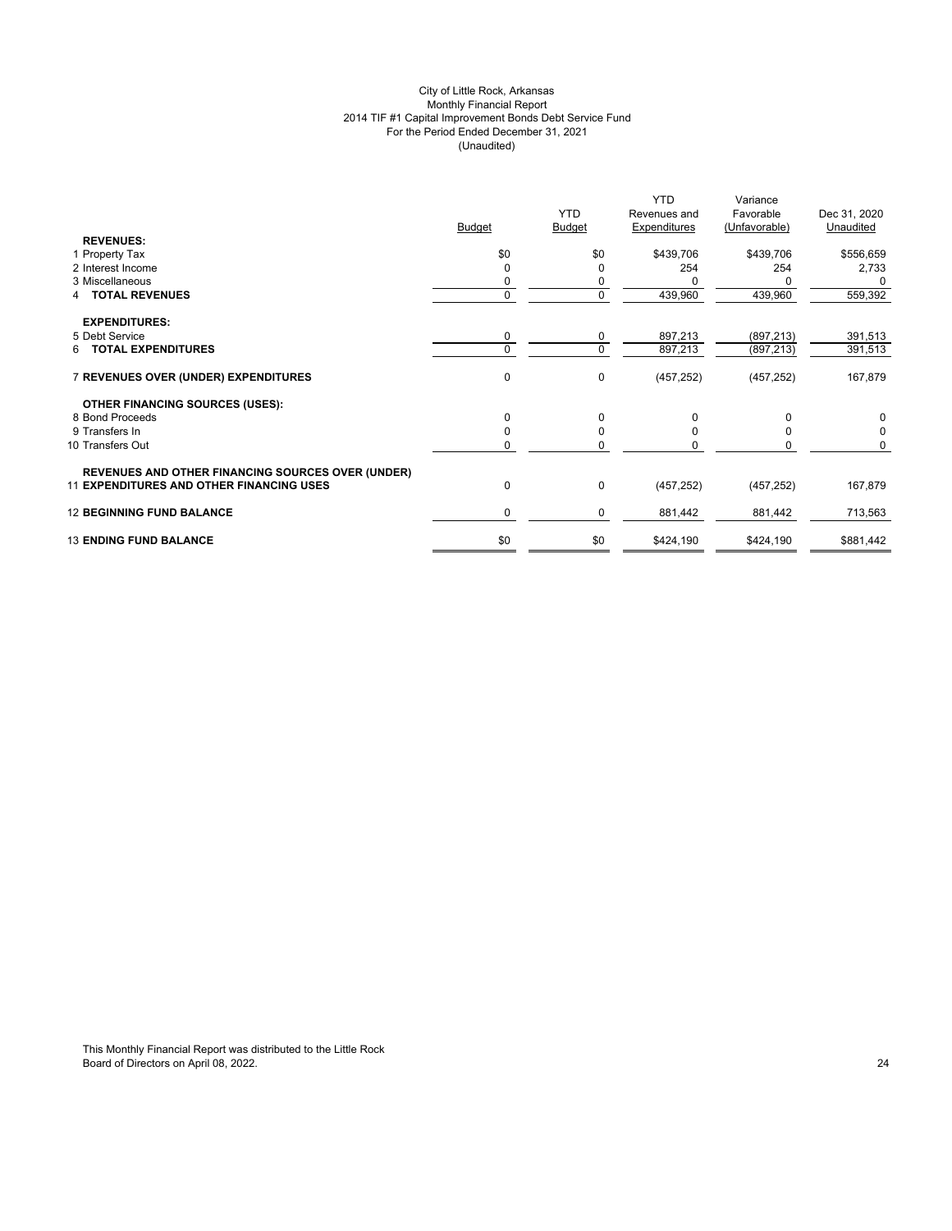## City of Little Rock, Arkansas Monthly Financial Report 2014 TIF #1 Capital Improvement Bonds Debt Service Fund For the Period Ended December 31, 2021 (Unaudited)

|                                                          |               | <b>YTD</b>    | <b>YTD</b><br>Revenues and | Variance<br>Favorable | Dec 31, 2020 |
|----------------------------------------------------------|---------------|---------------|----------------------------|-----------------------|--------------|
|                                                          | <b>Budget</b> | <b>Budget</b> | Expenditures               | (Unfavorable)         | Unaudited    |
| <b>REVENUES:</b><br>1 Property Tax                       | \$0           | \$0           | \$439,706                  | \$439,706             | \$556,659    |
| 2 Interest Income                                        | 0             | 0             | 254                        | 254                   | 2,733        |
| 3 Miscellaneous                                          | 0             | 0             |                            | n                     | $\Omega$     |
| <b>TOTAL REVENUES</b>                                    | $\mathbf 0$   | 0             | 439,960                    | 439,960               | 559,392      |
|                                                          |               |               |                            |                       |              |
| <b>EXPENDITURES:</b>                                     |               |               |                            |                       |              |
| 5 Debt Service                                           | 0             | 0             | 897,213                    | (897, 213)            | 391,513      |
| 6 TOTAL EXPENDITURES                                     | $\Omega$      | $\mathbf 0$   | 897,213                    | (897, 213)            | 391,513      |
| 7 REVENUES OVER (UNDER) EXPENDITURES                     | 0             | 0             | (457, 252)                 | (457, 252)            | 167,879      |
| <b>OTHER FINANCING SOURCES (USES):</b>                   |               |               |                            |                       |              |
| 8 Bond Proceeds                                          | $\Omega$      | 0             | $\Omega$                   | $\Omega$              | 0            |
| 9 Transfers In                                           | $\Omega$      | 0             | <sup>0</sup>               | $\Omega$              | 0            |
| 10 Transfers Out                                         | $\mathbf 0$   | 0             | <sup>0</sup>               | $\Omega$              | 0            |
|                                                          |               |               |                            |                       |              |
| <b>REVENUES AND OTHER FINANCING SOURCES OVER (UNDER)</b> |               |               |                            |                       |              |
| <b>11 EXPENDITURES AND OTHER FINANCING USES</b>          | 0             | $\pmb{0}$     | (457, 252)                 | (457, 252)            | 167,879      |
| <b>12 BEGINNING FUND BALANCE</b>                         | $\mathbf 0$   | 0             | 881,442                    | 881,442               | 713,563      |
| <b>13 ENDING FUND BALANCE</b>                            | \$0           | \$0           | \$424,190                  | \$424,190             | \$881,442    |
|                                                          |               |               |                            |                       |              |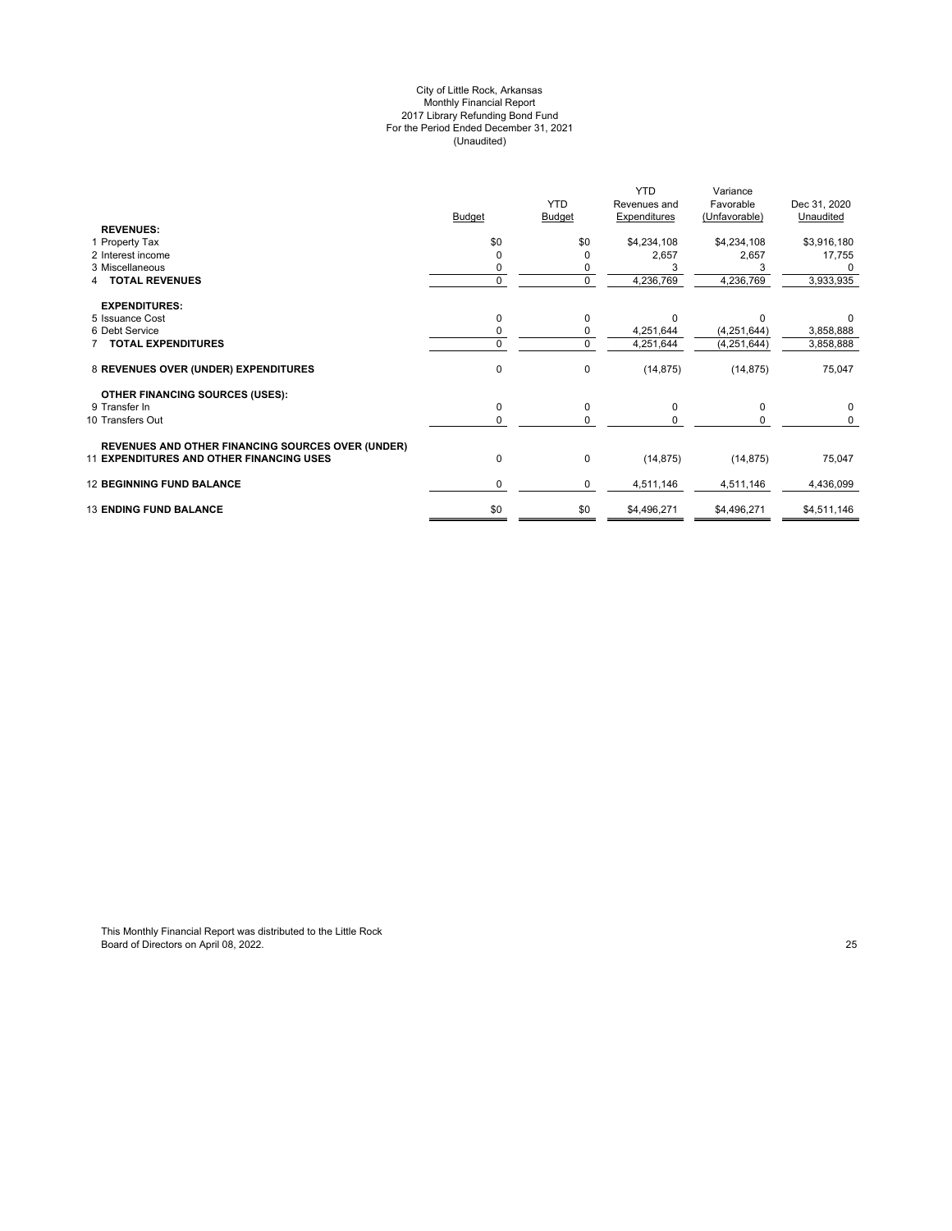#### City of Little Rock, Arkansas Monthly Financial Report 2017 Library Refunding Bond Fund For the Period Ended December 31, 2021 (Unaudited)

|                                                          |               | <b>YTD</b>    | <b>YTD</b><br>Revenues and | Variance<br>Favorable | Dec 31, 2020 |
|----------------------------------------------------------|---------------|---------------|----------------------------|-----------------------|--------------|
|                                                          | <b>Budget</b> | <b>Budget</b> | <b>Expenditures</b>        | (Unfavorable)         | Unaudited    |
| <b>REVENUES:</b>                                         |               |               |                            |                       |              |
| 1 Property Tax                                           | \$0           | \$0           | \$4,234,108                | \$4,234,108           | \$3,916,180  |
| 2 Interest income                                        |               | O             | 2,657                      | 2,657                 | 17,755       |
| 3 Miscellaneous                                          |               |               |                            |                       |              |
| <b>TOTAL REVENUES</b>                                    | 0             | $\mathbf 0$   | 4,236,769                  | 4,236,769             | 3,933,935    |
| <b>EXPENDITURES:</b>                                     |               |               |                            |                       |              |
| 5 Issuance Cost                                          | 0             | 0             | <sup>0</sup>               | U                     |              |
| 6 Debt Service                                           |               | 0             | 4,251,644                  | (4,251,644)           | 3,858,888    |
| <b>TOTAL EXPENDITURES</b>                                | $\Omega$      | $\mathbf 0$   | 4,251,644                  | (4, 251, 644)         | 3,858,888    |
| 8 REVENUES OVER (UNDER) EXPENDITURES                     | $\mathbf 0$   | $\mathbf 0$   | (14, 875)                  | (14, 875)             | 75,047       |
| <b>OTHER FINANCING SOURCES (USES):</b>                   |               |               |                            |                       |              |
| 9 Transfer In                                            | $\Omega$      | 0             | $\Omega$                   | $\Omega$              | $\Omega$     |
| 10 Transfers Out                                         | 0             | $\Omega$      |                            |                       | $\Omega$     |
| <b>REVENUES AND OTHER FINANCING SOURCES OVER (UNDER)</b> |               |               |                            |                       |              |
| <b>11 EXPENDITURES AND OTHER FINANCING USES</b>          | $\mathbf 0$   | $\mathbf 0$   | (14, 875)                  | (14, 875)             | 75,047       |
| <b>12 BEGINNING FUND BALANCE</b>                         | $\Omega$      | 0             | 4,511,146                  | 4,511,146             | 4,436,099    |
| <b>13 ENDING FUND BALANCE</b>                            | \$0           | \$0           | \$4,496,271                | \$4,496,271           | \$4,511,146  |
|                                                          |               |               |                            |                       |              |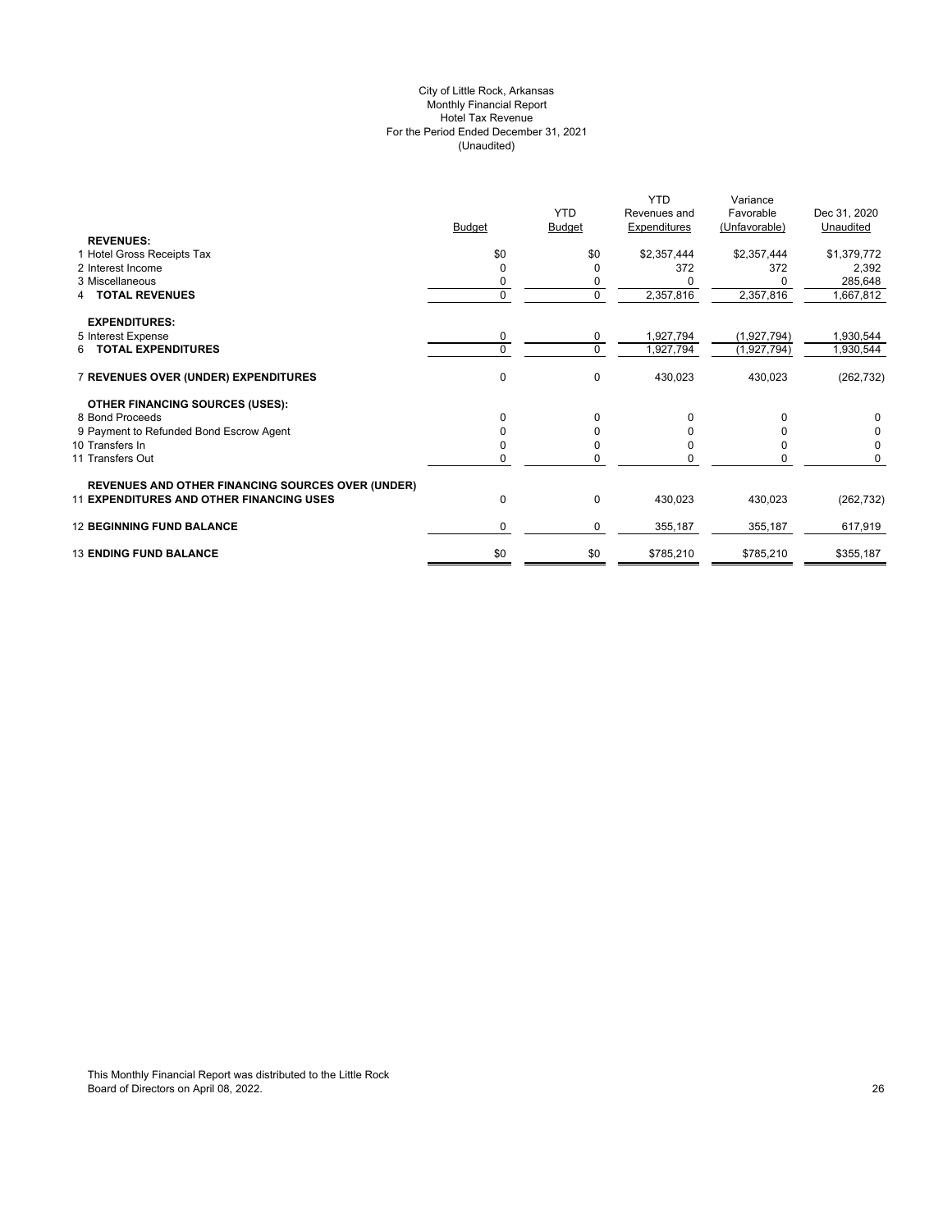## City of Little Rock, Arkansas Monthly Financial Report Hotel Tax Revenue For the Period Ended December 31, 2021 (Unaudited)

|                                                          |               | <b>YTD</b>    | <b>YTD</b><br>Revenues and | Variance<br>Favorable | Dec 31, 2020 |
|----------------------------------------------------------|---------------|---------------|----------------------------|-----------------------|--------------|
| <b>REVENUES:</b>                                         | <b>Budget</b> | <b>Budget</b> | Expenditures               | (Unfavorable)         | Unaudited    |
|                                                          | \$0           | \$0           |                            | \$2,357,444           |              |
| 1 Hotel Gross Receipts Tax<br>2 Interest Income          |               |               | \$2,357,444                | 372                   | \$1,379,772  |
|                                                          | 0             | 0             | 372                        |                       | 2,392        |
| 3 Miscellaneous                                          | 0             | 0             |                            |                       | 285,648      |
| <b>TOTAL REVENUES</b>                                    | $\Omega$      | $\mathbf 0$   | 2,357,816                  | 2,357,816             | 1,667,812    |
| <b>EXPENDITURES:</b>                                     |               |               |                            |                       |              |
| 5 Interest Expense                                       | 0             | 0             | 1,927,794                  | (1,927,794)           | 1,930,544    |
| 6 TOTAL EXPENDITURES                                     | $\Omega$      | $\mathbf 0$   | 1,927,794                  | (1,927,794)           | 1,930,544    |
| 7 REVENUES OVER (UNDER) EXPENDITURES                     | $\mathbf 0$   | 0             | 430,023                    | 430,023               | (262, 732)   |
| OTHER FINANCING SOURCES (USES):                          |               |               |                            |                       |              |
| 8 Bond Proceeds                                          | $\Omega$      | 0             |                            |                       | 0            |
| 9 Payment to Refunded Bond Escrow Agent                  | 0             | 0             |                            |                       | 0            |
| 10 Transfers In                                          |               | $\Omega$      |                            |                       | $\Omega$     |
| 11 Transfers Out                                         | O             | $\Omega$      |                            |                       | 0            |
| <b>REVENUES AND OTHER FINANCING SOURCES OVER (UNDER)</b> |               |               |                            |                       |              |
| <b>11 EXPENDITURES AND OTHER FINANCING USES</b>          | 0             | 0             | 430,023                    | 430,023               | (262, 732)   |
| <b>12 BEGINNING FUND BALANCE</b>                         | 0             | 0             | 355,187                    | 355,187               | 617,919      |
| <b>13 ENDING FUND BALANCE</b>                            | \$0           | \$0           | \$785,210                  | \$785,210             | \$355,187    |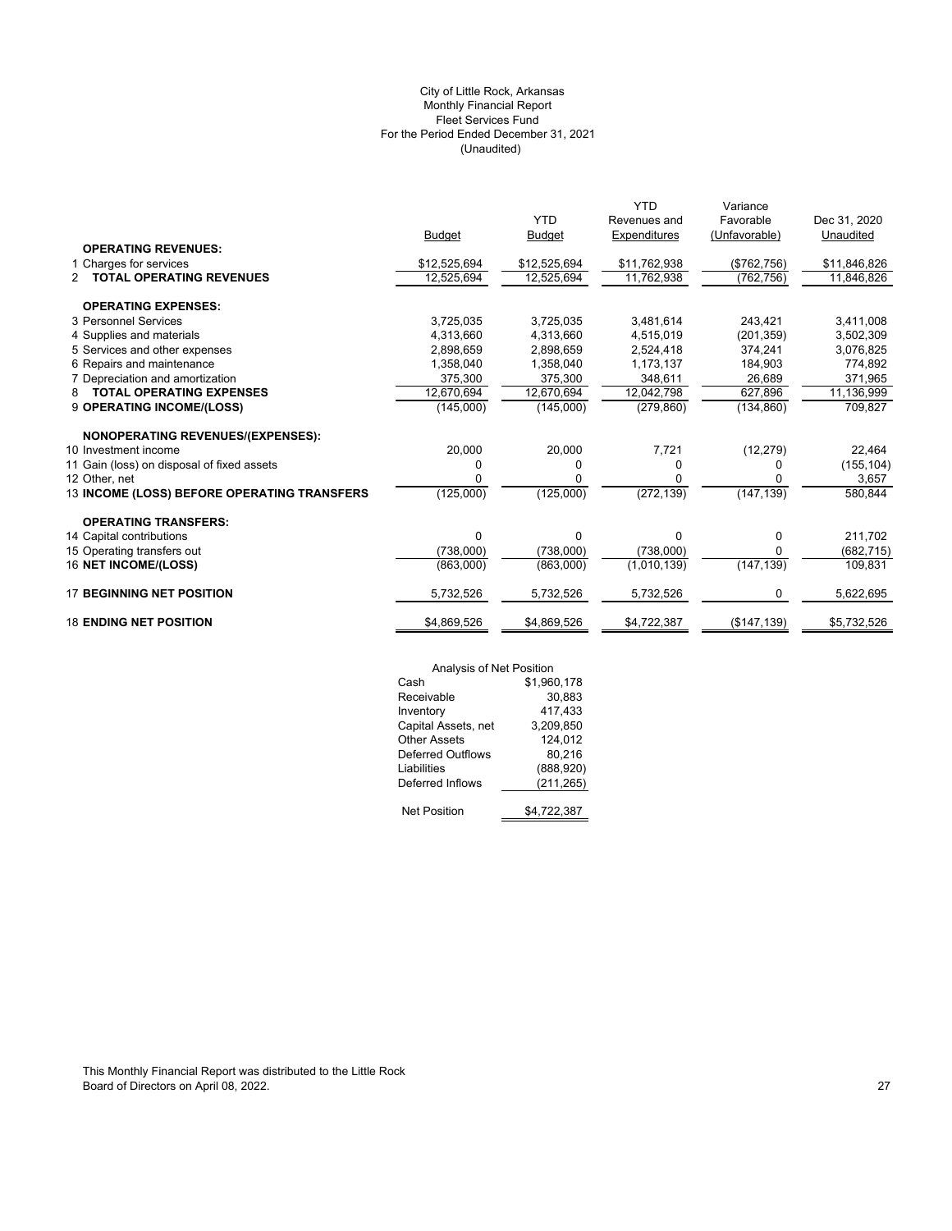## (Unaudited) City of Little Rock, Arkansas Monthly Financial Report Fleet Services Fund For the Period Ended December 31, 2021

|                                                  |              |               | <b>YTD</b>   | Variance      |              |
|--------------------------------------------------|--------------|---------------|--------------|---------------|--------------|
|                                                  |              | <b>YTD</b>    | Revenues and | Favorable     | Dec 31, 2020 |
|                                                  | Budget       | <b>Budget</b> | Expenditures | (Unfavorable) | Unaudited    |
| <b>OPERATING REVENUES:</b>                       |              |               |              |               |              |
| 1 Charges for services                           | \$12,525,694 | \$12,525,694  | \$11,762,938 | (\$762,756)   | \$11,846,826 |
| <b>TOTAL OPERATING REVENUES</b><br>$\mathcal{P}$ | 12,525,694   | 12,525,694    | 11,762,938   | (762, 756)    | 11,846,826   |
| <b>OPERATING EXPENSES:</b>                       |              |               |              |               |              |
| 3 Personnel Services                             | 3,725,035    | 3,725,035     | 3,481,614    | 243,421       | 3,411,008    |
| 4 Supplies and materials                         | 4.313.660    | 4.313.660     | 4,515,019    | (201, 359)    | 3,502,309    |
| 5 Services and other expenses                    | 2,898,659    | 2,898,659     | 2,524,418    | 374,241       | 3,076,825    |
| 6 Repairs and maintenance                        | 1,358,040    | 1,358,040     | 1,173,137    | 184,903       | 774,892      |
| 7 Depreciation and amortization                  | 375,300      | 375,300       | 348,611      | 26,689        | 371,965      |
| <b>TOTAL OPERATING EXPENSES</b><br>8             | 12,670,694   | 12,670,694    | 12,042,798   | 627,896       | 11,136,999   |
| 9 OPERATING INCOME/(LOSS)                        | (145,000)    | (145,000)     | (279, 860)   | (134, 860)    | 709,827      |
| <b>NONOPERATING REVENUES/(EXPENSES):</b>         |              |               |              |               |              |
| 10 Investment income                             | 20,000       | 20,000        | 7,721        | (12, 279)     | 22,464       |
| 11 Gain (loss) on disposal of fixed assets       | 0            | 0             | 0            | 0             | (155, 104)   |
| 12 Other, net                                    | U            | 0             | 0            | o             | 3,657        |
| 13 INCOME (LOSS) BEFORE OPERATING TRANSFERS      | (125,000)    | (125,000)     | (272, 139)   | (147, 139)    | 580,844      |
| <b>OPERATING TRANSFERS:</b>                      |              |               |              |               |              |
| 14 Capital contributions                         | $\Omega$     | 0             | 0            | 0             | 211,702      |
| 15 Operating transfers out                       | (738,000)    | (738,000)     | (738,000)    | 0             | (682,715)    |
| 16 NET INCOME/(LOSS)                             | (863,000)    | (863,000)     | (1,010,139)  | (147, 139)    | 109,831      |
| <b>17 BEGINNING NET POSITION</b>                 | 5,732,526    | 5,732,526     | 5,732,526    | 0             | 5,622,695    |
| <b>18 ENDING NET POSITION</b>                    | \$4,869,526  | \$4,869,526   | \$4,722,387  | (\$147, 139)  | \$5,732,526  |

|                          | Analysis of Net Position |  |  |
|--------------------------|--------------------------|--|--|
| Cash                     | \$1,960,178              |  |  |
| Receivable               | 30,883                   |  |  |
| Inventory                | 417,433                  |  |  |
| Capital Assets, net      | 3,209,850                |  |  |
| <b>Other Assets</b>      | 124,012                  |  |  |
| <b>Deferred Outflows</b> | 80,216                   |  |  |
| Liabilities              | (888, 920)               |  |  |
| Deferred Inflows         | (211, 265)               |  |  |
| <b>Net Position</b>      | \$4,722,387              |  |  |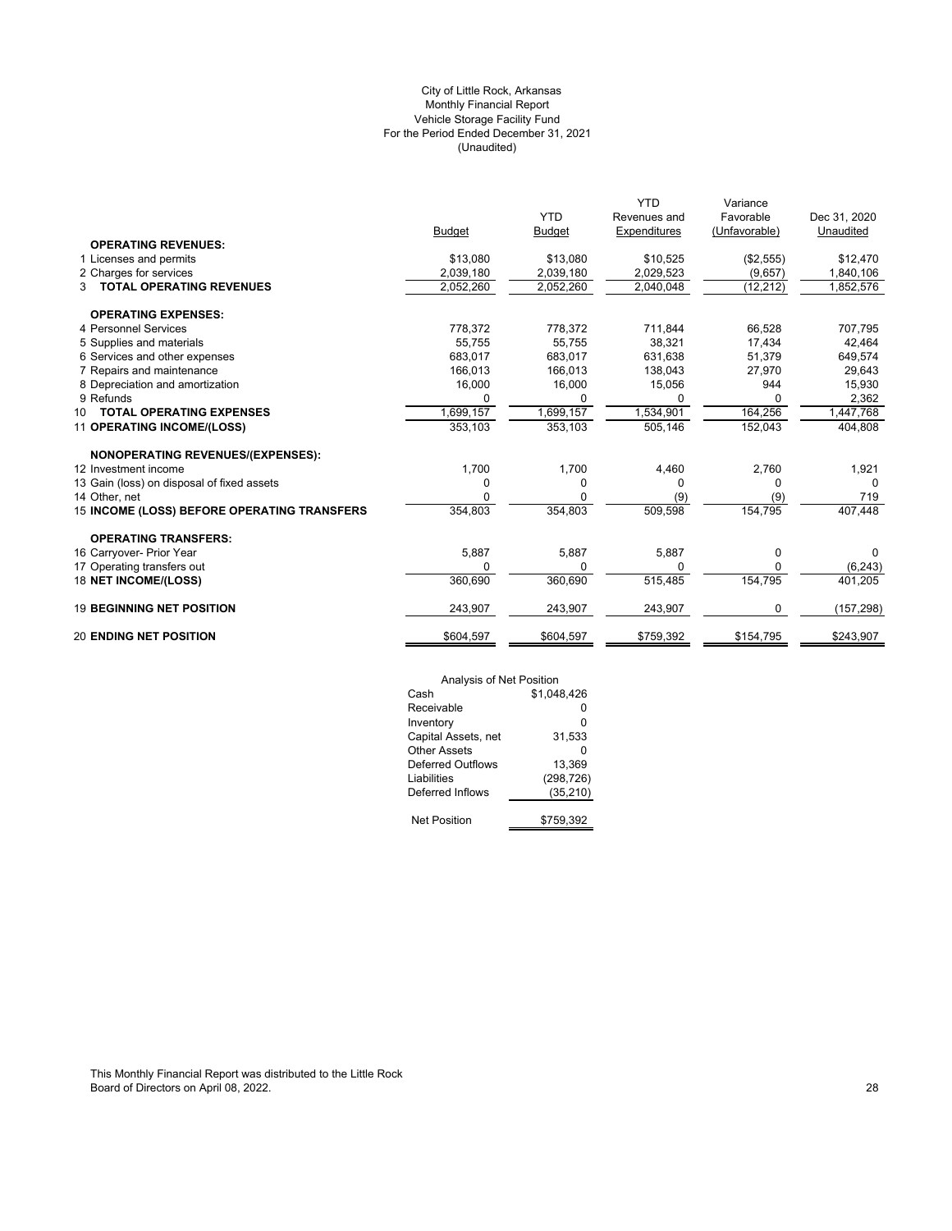## (Unaudited) City of Little Rock, Arkansas Monthly Financial Report Vehicle Storage Facility Fund For the Period Ended December 31, 2021

|                                             |               |               | <b>YTD</b>   | Variance      |              |
|---------------------------------------------|---------------|---------------|--------------|---------------|--------------|
|                                             |               | <b>YTD</b>    | Revenues and | Favorable     | Dec 31, 2020 |
|                                             | <b>Budget</b> | <b>Budget</b> | Expenditures | (Unfavorable) | Unaudited    |
| <b>OPERATING REVENUES:</b>                  |               |               |              |               |              |
| 1 Licenses and permits                      | \$13,080      | \$13,080      | \$10,525     | (\$2,555)     | \$12,470     |
| 2 Charges for services                      | 2,039,180     | 2,039,180     | 2,029,523    | (9,657)       | 1,840,106    |
| <b>TOTAL OPERATING REVENUES</b><br>3        | 2,052,260     | 2,052,260     | 2,040,048    | (12, 212)     | 1,852,576    |
| <b>OPERATING EXPENSES:</b>                  |               |               |              |               |              |
| 4 Personnel Services                        | 778,372       | 778,372       | 711,844      | 66,528        | 707,795      |
| 5 Supplies and materials                    | 55,755        | 55,755        | 38,321       | 17,434        | 42,464       |
| 6 Services and other expenses               | 683,017       | 683,017       | 631,638      | 51,379        | 649,574      |
| 7 Repairs and maintenance                   | 166,013       | 166,013       | 138,043      | 27,970        | 29,643       |
| 8 Depreciation and amortization             | 16,000        | 16,000        | 15,056       | 944           | 15,930       |
| 9 Refunds                                   | 0             | 0             | $\Omega$     |               | 2,362        |
| $10-10$<br><b>TOTAL OPERATING EXPENSES</b>  | ,699,157      | 1,699,157     | 1,534,901    | 164,256       | 1,447,768    |
| 11 OPERATING INCOME/(LOSS)                  | 353,103       | 353,103       | 505,146      | 152,043       | 404,808      |
| <b>NONOPERATING REVENUES/(EXPENSES):</b>    |               |               |              |               |              |
| 12 Investment income                        | 1,700         | 1,700         | 4,460        | 2,760         | 1,921        |
| 13 Gain (loss) on disposal of fixed assets  | 0             | 0             | 0            | 0             | $\Omega$     |
| 14 Other, net                               | 0             | 0             | (9)          | (9)           | 719          |
| 15 INCOME (LOSS) BEFORE OPERATING TRANSFERS | 354,803       | 354,803       | 509,598      | 154,795       | 407,448      |
| <b>OPERATING TRANSFERS:</b>                 |               |               |              |               |              |
| 16 Carryover- Prior Year                    | 5,887         | 5,887         | 5,887        | 0             | <sup>0</sup> |
| 17 Operating transfers out                  | 0             | 0             | 0            |               | (6, 243)     |
| 18 NET INCOME/(LOSS)                        | 360,690       | 360,690       | 515,485      | 154,795       | 401,205      |
| <b>19 BEGINNING NET POSITION</b>            | 243,907       | 243,907       | 243,907      | $\Omega$      | (157, 298)   |
| <b>20 ENDING NET POSITION</b>               | \$604,597     | \$604,597     | \$759,392    | \$154,795     | \$243,907    |
|                                             |               |               |              |               |              |

| Analysis of Net Position |             |
|--------------------------|-------------|
| Cash                     | \$1.048.426 |
| Receivable               | n           |
| Inventory                | ŋ           |
| Capital Assets, net      | 31,533      |
| Other Assets             |             |
| Deferred Outflows        | 13.369      |
| Liabilities              | (298, 726)  |
| Deferred Inflows         | (35, 210)   |
|                          |             |
| <b>Net Position</b>      | \$759,392   |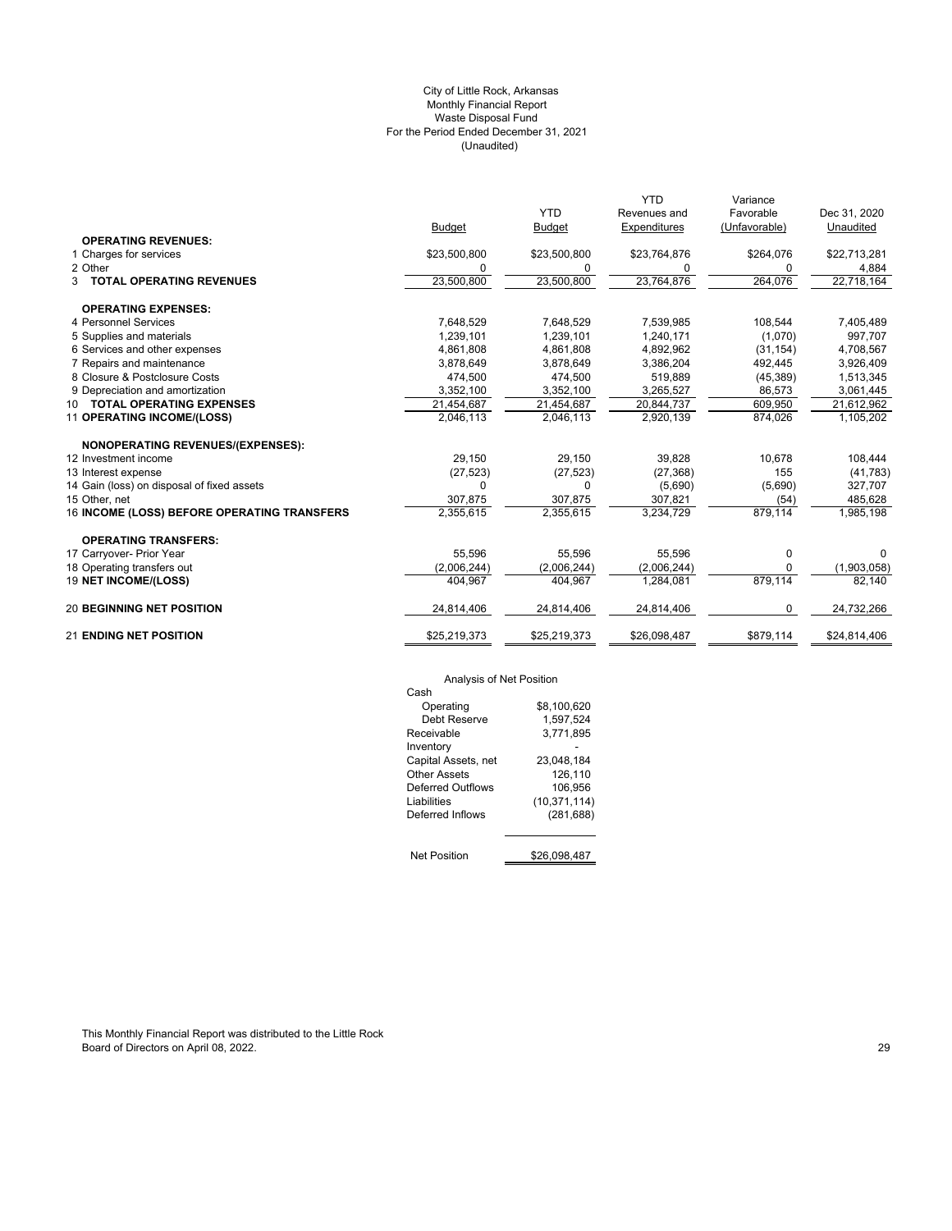## (Unaudited) City of Little Rock, Arkansas Monthly Financial Report Waste Disposal Fund For the Period Ended December 31, 2021

|                                             |               |               | <b>YTD</b>   | Variance      |              |
|---------------------------------------------|---------------|---------------|--------------|---------------|--------------|
|                                             |               | <b>YTD</b>    | Revenues and | Favorable     | Dec 31, 2020 |
|                                             | <b>Budget</b> | <b>Budget</b> | Expenditures | (Unfavorable) | Unaudited    |
| <b>OPERATING REVENUES:</b>                  |               |               |              |               |              |
| 1 Charges for services                      | \$23,500,800  | \$23,500,800  | \$23,764,876 | \$264,076     | \$22,713,281 |
| 2 Other                                     | 0             | 0             | 0            | 0             | 4,884        |
| 3 TOTAL OPERATING REVENUES                  | 23,500,800    | 23,500,800    | 23,764,876   | 264,076       | 22,718,164   |
| <b>OPERATING EXPENSES:</b>                  |               |               |              |               |              |
| 4 Personnel Services                        | 7,648,529     | 7,648,529     | 7,539,985    | 108,544       | 7,405,489    |
| 5 Supplies and materials                    | 1,239,101     | 1,239,101     | 1,240,171    | (1,070)       | 997,707      |
| 6 Services and other expenses               | 4,861,808     | 4,861,808     | 4,892,962    | (31, 154)     | 4,708,567    |
| 7 Repairs and maintenance                   | 3,878,649     | 3,878,649     | 3,386,204    | 492,445       | 3,926,409    |
| 8 Closure & Postclosure Costs               | 474,500       | 474,500       | 519,889      | (45, 389)     | 1,513,345    |
| 9 Depreciation and amortization             | 3,352,100     | 3,352,100     | 3,265,527    | 86,573        | 3,061,445    |
| 10 TOTAL OPERATING EXPENSES                 | 21,454,687    | 21,454,687    | 20,844,737   | 609,950       | 21,612,962   |
| 11 OPERATING INCOME/(LOSS)                  | 2,046,113     | 2,046,113     | 2,920,139    | 874,026       | 1,105,202    |
| NONOPERATING REVENUES/(EXPENSES):           |               |               |              |               |              |
| 12 Investment income                        | 29,150        | 29,150        | 39,828       | 10,678        | 108,444      |
| 13 Interest expense                         | (27, 523)     | (27, 523)     | (27, 368)    | 155           | (41, 783)    |
| 14 Gain (loss) on disposal of fixed assets  | $\Omega$      | O             | (5,690)      | (5,690)       | 327,707      |
| 15 Other, net                               | 307,875       | 307,875       | 307,821      | (54)          | 485,628      |
| 16 INCOME (LOSS) BEFORE OPERATING TRANSFERS | 2,355,615     | 2,355,615     | 3,234,729    | 879,114       | 1,985,198    |
| <b>OPERATING TRANSFERS:</b>                 |               |               |              |               |              |
| 17 Carryover- Prior Year                    | 55.596        | 55.596        | 55.596       | $\mathbf 0$   | 0            |
| 18 Operating transfers out                  | (2,006,244)   | (2,006,244)   | (2,006,244)  | 0             | (1,903,058)  |
| 19 NET INCOME/(LOSS)                        | 404,967       | 404,967       | 1,284,081    | 879,114       | 82,140       |
| <b>20 BEGINNING NET POSITION</b>            | 24,814,406    | 24,814,406    | 24,814,406   | 0             | 24,732,266   |
| <b>21 ENDING NET POSITION</b>               | \$25,219,373  | \$25,219,373  | \$26,098,487 | \$879,114     | \$24,814,406 |

# Analysis of Net Position

| Analysis of Net Position |                |
|--------------------------|----------------|
| Cash                     |                |
| Operating                | \$8.100.620    |
| Debt Reserve             | 1.597.524      |
| Receivable               | 3.771.895      |
| Inventory                |                |
| Capital Assets, net      | 23.048.184     |
| Other Assets             | 126,110        |
| Deferred Outflows        | 106.956        |
| Liabilities              | (10, 371, 114) |
| Deferred Inflows         | (281, 688)     |
|                          |                |
| <b>Net Position</b>      | \$26.098.487   |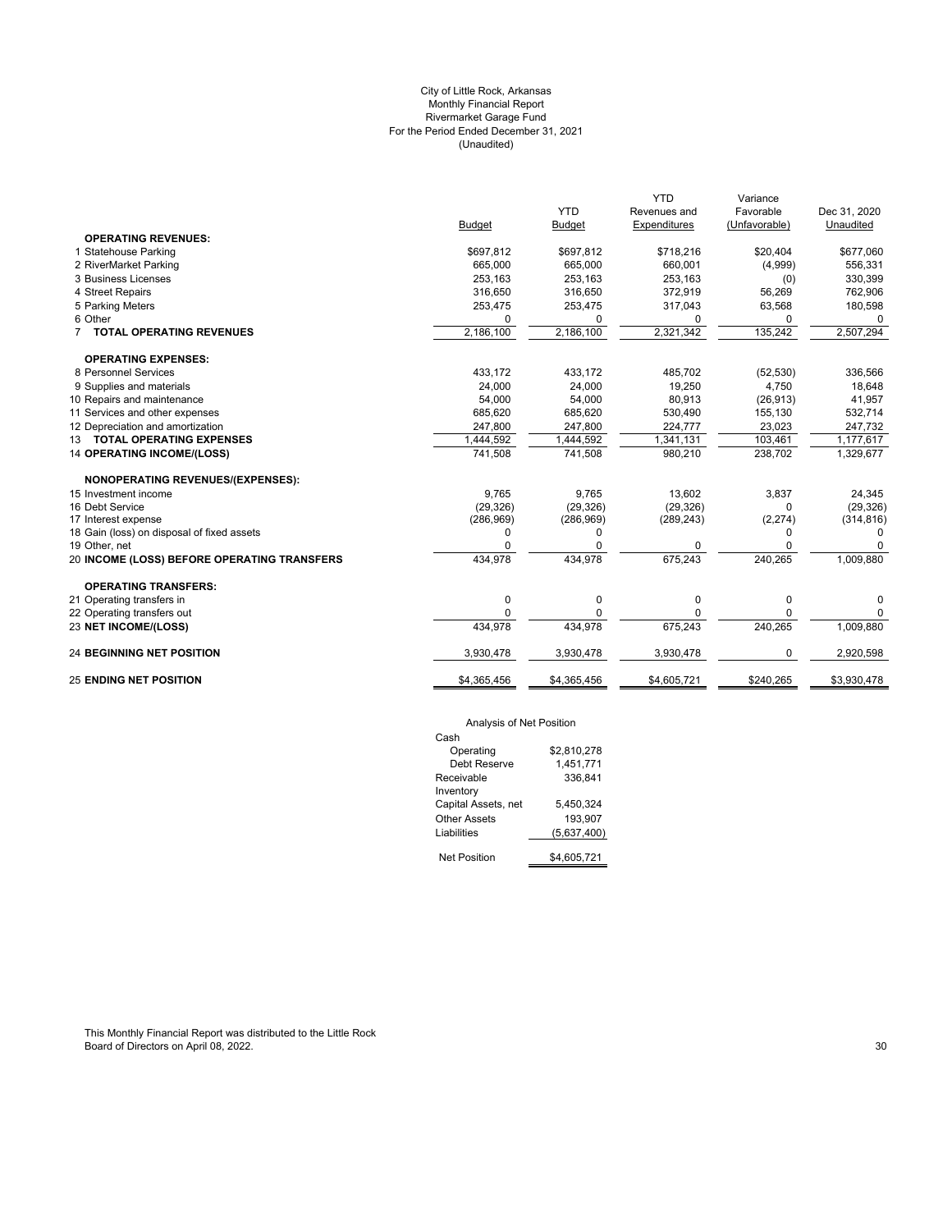## City of Little Rock, Arkansas Monthly Financial Report Rivermarket Garage Fund For the Period Ended December 31, 2021 (Unaudited)

|                                             |               |               | <b>YTD</b>   | Variance      |              |
|---------------------------------------------|---------------|---------------|--------------|---------------|--------------|
|                                             |               | <b>YTD</b>    | Revenues and | Favorable     | Dec 31, 2020 |
|                                             | <b>Budget</b> | <b>Budget</b> | Expenditures | (Unfavorable) | Unaudited    |
| <b>OPERATING REVENUES:</b>                  |               |               |              |               |              |
| 1 Statehouse Parking                        | \$697,812     | \$697,812     | \$718,216    | \$20,404      | \$677,060    |
| 2 RiverMarket Parking                       | 665,000       | 665,000       | 660,001      | (4,999)       | 556,331      |
| 3 Business Licenses                         | 253,163       | 253,163       | 253,163      | (0)           | 330,399      |
| 4 Street Repairs                            | 316,650       | 316,650       | 372,919      | 56,269        | 762,906      |
| 5 Parking Meters                            | 253,475       | 253,475       | 317,043      | 63,568        | 180,598      |
| 6 Other                                     | $\Omega$      | 0             | 0            | 0             | $\Omega$     |
| 7 TOTAL OPERATING REVENUES                  | 2,186,100     | 2,186,100     | 2,321,342    | 135,242       | 2,507,294    |
| <b>OPERATING EXPENSES:</b>                  |               |               |              |               |              |
| 8 Personnel Services                        | 433,172       | 433,172       | 485.702      | (52, 530)     | 336,566      |
| 9 Supplies and materials                    | 24,000        | 24,000        | 19,250       | 4,750         | 18,648       |
| 10 Repairs and maintenance                  | 54,000        | 54,000        | 80,913       | (26, 913)     | 41,957       |
| 11 Services and other expenses              | 685,620       | 685,620       | 530,490      | 155,130       | 532,714      |
| 12 Depreciation and amortization            | 247,800       | 247,800       | 224,777      | 23,023        | 247,732      |
| 13 TOTAL OPERATING EXPENSES                 | 1,444,592     | 1,444,592     | 1,341,131    | 103,461       | 1,177,617    |
| <b>14 OPERATING INCOME/(LOSS)</b>           | 741,508       | 741,508       | 980,210      | 238,702       | 1,329,677    |
| NONOPERATING REVENUES/(EXPENSES):           |               |               |              |               |              |
| 15 Investment income                        | 9,765         | 9,765         | 13,602       | 3,837         | 24,345       |
| 16 Debt Service                             | (29, 326)     | (29, 326)     | (29, 326)    | 0             | (29, 326)    |
| 17 Interest expense                         | (286,969)     | (286,969)     | (289, 243)   | (2, 274)      | (314, 816)   |
| 18 Gain (loss) on disposal of fixed assets  | 0             | 0             |              | 0             | 0            |
| 19 Other, net                               | O             | $\Omega$      | 0            | 0             | 0            |
| 20 INCOME (LOSS) BEFORE OPERATING TRANSFERS | 434,978       | 434,978       | 675.243      | 240,265       | 1,009,880    |
| <b>OPERATING TRANSFERS:</b>                 |               |               |              |               |              |
| 21 Operating transfers in                   | 0             | 0             | 0            | 0             | 0            |
| 22 Operating transfers out                  | $\Omega$      | 0             | 0            | 0             | 0            |
| 23 NET INCOME/(LOSS)                        | 434,978       | 434.978       | 675,243      | 240,265       | 1,009,880    |
| <b>24 BEGINNING NET POSITION</b>            | 3,930,478     | 3,930,478     | 3,930,478    | 0             | 2,920,598    |
| <b>25 ENDING NET POSITION</b>               | \$4,365,456   | \$4,365,456   | \$4,605,721  | \$240,265     | \$3,930,478  |
|                                             |               |               |              |               |              |

# Analysis of Net Position

| Cash                |             |
|---------------------|-------------|
| Operating           | \$2.810.278 |
| Debt Reserve        | 1,451,771   |
| Receivable          | 336,841     |
| Inventory           |             |
| Capital Assets, net | 5,450,324   |
| Other Assets        | 193.907     |
| Liabilities         | (5,637,400) |
|                     |             |
| <b>Net Position</b> | \$4.605.721 |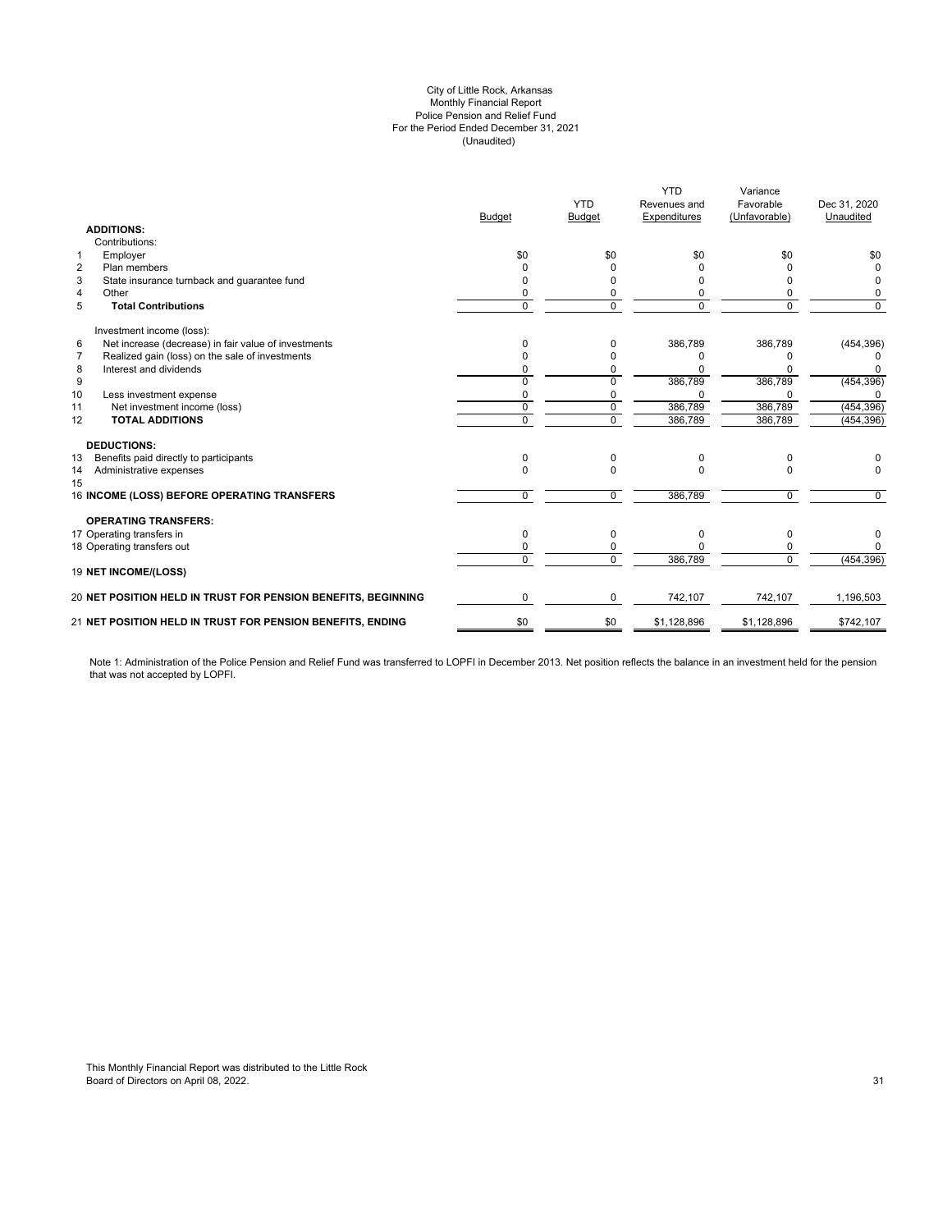#### (Unaudited) City of Little Rock, Arkansas Monthly Financial Report Police Pension and Relief Fund For the Period Ended December 31, 2021

|                                                               |               | <b>YTD</b>    | <b>YTD</b><br>Revenues and | Variance<br>Favorable | Dec 31, 2020 |
|---------------------------------------------------------------|---------------|---------------|----------------------------|-----------------------|--------------|
|                                                               | <b>Budget</b> | <b>Budget</b> | Expenditures               | (Unfavorable)         | Unaudited    |
| <b>ADDITIONS:</b>                                             |               |               |                            |                       |              |
| Contributions:                                                |               |               |                            |                       |              |
| Employer<br>$\mathbf{1}$                                      | \$0           | \$0           | \$0                        | \$0                   | \$0          |
| $\overline{2}$<br>Plan members                                |               | <sup>0</sup>  |                            |                       | 0            |
| 3<br>State insurance turnback and guarantee fund              |               | n             |                            | 0                     | 0            |
| $\overline{4}$<br>Other                                       |               | 0             |                            | 0                     | O            |
| 5<br><b>Total Contributions</b>                               | $\Omega$      | $\Omega$      | $\Omega$                   | $\Omega$              | $\Omega$     |
| Investment income (loss):                                     |               |               |                            |                       |              |
| Net increase (decrease) in fair value of investments<br>6     | n             | $\Omega$      | 386,789                    | 386,789               | (454, 396)   |
| Realized gain (loss) on the sale of investments<br>7          |               |               |                            | ŋ                     |              |
| Interest and dividends<br>8                                   |               | 0             |                            |                       | O            |
| 9                                                             | $\Omega$      | $\Omega$      | 386,789                    | 386,789               | (454, 396)   |
| 10<br>Less investment expense                                 |               | 0             |                            |                       |              |
| Net investment income (loss)<br>11                            | $\mathbf 0$   | $\mathbf 0$   | 386,789                    | 386,789               | (454, 396)   |
| 12<br><b>TOTAL ADDITIONS</b>                                  | $\Omega$      | $\Omega$      | 386,789                    | 386,789               | (454, 396)   |
| <b>DEDUCTIONS:</b>                                            |               |               |                            |                       |              |
| Benefits paid directly to participants<br>13                  | $\Omega$      | $\Omega$      | <sup>0</sup>               | 0                     | O            |
| Administrative expenses<br>14                                 | $\Omega$      | $\Omega$      | $\Omega$                   | 0                     | 0            |
| 15                                                            |               |               |                            |                       |              |
| 16 INCOME (LOSS) BEFORE OPERATING TRANSFERS                   | 0             | $\Omega$      | 386,789                    | 0                     | $\Omega$     |
| <b>OPERATING TRANSFERS:</b>                                   |               |               |                            |                       |              |
| 17 Operating transfers in                                     | 0             | 0             | n                          | 0                     | 0            |
| 18 Operating transfers out                                    |               | 0             |                            | 0                     | <sup>0</sup> |
|                                                               | $\Omega$      | $\Omega$      | 386,789                    | $\mathbf 0$           | (454, 396)   |
| 19 NET INCOME/(LOSS)                                          |               |               |                            |                       |              |
| 20 NET POSITION HELD IN TRUST FOR PENSION BENEFITS, BEGINNING | 0             | 0             | 742,107                    | 742.107               | 1,196,503    |
| 21 NET POSITION HELD IN TRUST FOR PENSION BENEFITS, ENDING    | \$0           | \$0           | \$1,128,896                | \$1,128,896           | \$742,107    |

Note 1: Administration of the Police Pension and Relief Fund was transferred to LOPFI in December 2013. Net position reflects the balance in an investment held for the pension that was not accepted by LOPFI.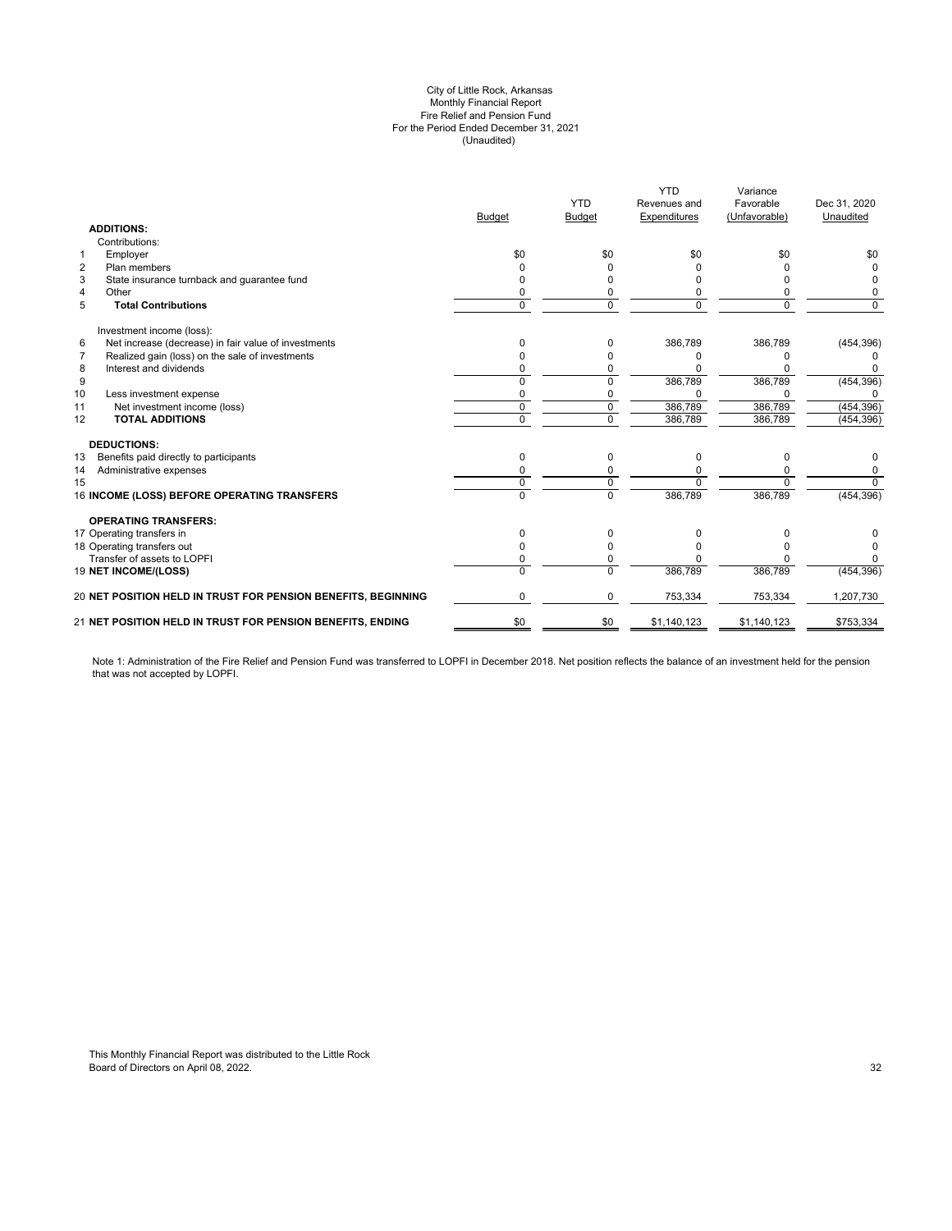#### (Unaudited) City of Little Rock, Arkansas Monthly Financial Report Fire Relief and Pension Fund For the Period Ended December 31, 2021

|               |                                                               | <b>YTD</b>   | Variance      |              |
|---------------|---------------------------------------------------------------|--------------|---------------|--------------|
|               | <b>YTD</b>                                                    | Revenues and | Favorable     | Dec 31, 2020 |
| <b>Budget</b> | <b>Budget</b>                                                 | Expenditures | (Unfavorable) | Unaudited    |
|               |                                                               |              |               |              |
|               |                                                               |              |               |              |
| \$0           | \$0                                                           | \$0          | \$0           | \$0          |
|               |                                                               |              |               |              |
|               | n                                                             | n            |               | 0            |
|               |                                                               | 0            |               | O            |
| $\mathbf 0$   | $\Omega$                                                      | $\Omega$     | $\Omega$      | $\Omega$     |
|               |                                                               |              |               |              |
|               | 0                                                             | 386,789      | 386,789       | (454, 396)   |
|               | o                                                             | $\Omega$     |               |              |
|               | 0                                                             | n            |               |              |
|               | $\Omega$                                                      | 386,789      | 386,789       | (454, 396)   |
| 0             | 0                                                             |              |               |              |
| $\mathbf 0$   | 0                                                             | 386,789      | 386,789       | (454, 396)   |
| $\Omega$      | $\Omega$                                                      | 386,789      | 386,789       | (454, 396)   |
|               |                                                               |              |               |              |
| 0             | 0                                                             | $\Omega$     |               | 0            |
|               | 0                                                             | 0            |               | 0            |
| $\mathbf 0$   | 0                                                             | $\Omega$     | $\Omega$      | $\Omega$     |
| $\Omega$      | $\Omega$                                                      | 386,789      | 386,789       | (454, 396)   |
|               |                                                               |              |               |              |
| 0             | 0                                                             | 0            |               |              |
|               | 0                                                             | n            |               |              |
|               | 0                                                             | n            |               |              |
| $\Omega$      | $\Omega$                                                      | 386,789      | 386,789       | (454, 396)   |
| $\Omega$      | 0                                                             | 753,334      | 753,334       | 1,207,730    |
| \$0           | \$0                                                           | \$1,140,123  | \$1,140,123   | \$753,334    |
|               | 20 NET POSITION HELD IN TRUST FOR PENSION BENEFITS, BEGINNING |              |               |              |

Note 1: Administration of the Fire Relief and Pension Fund was transferred to LOPFI in December 2018. Net position reflects the balance of an investment held for the pension that was not accepted by LOPFI.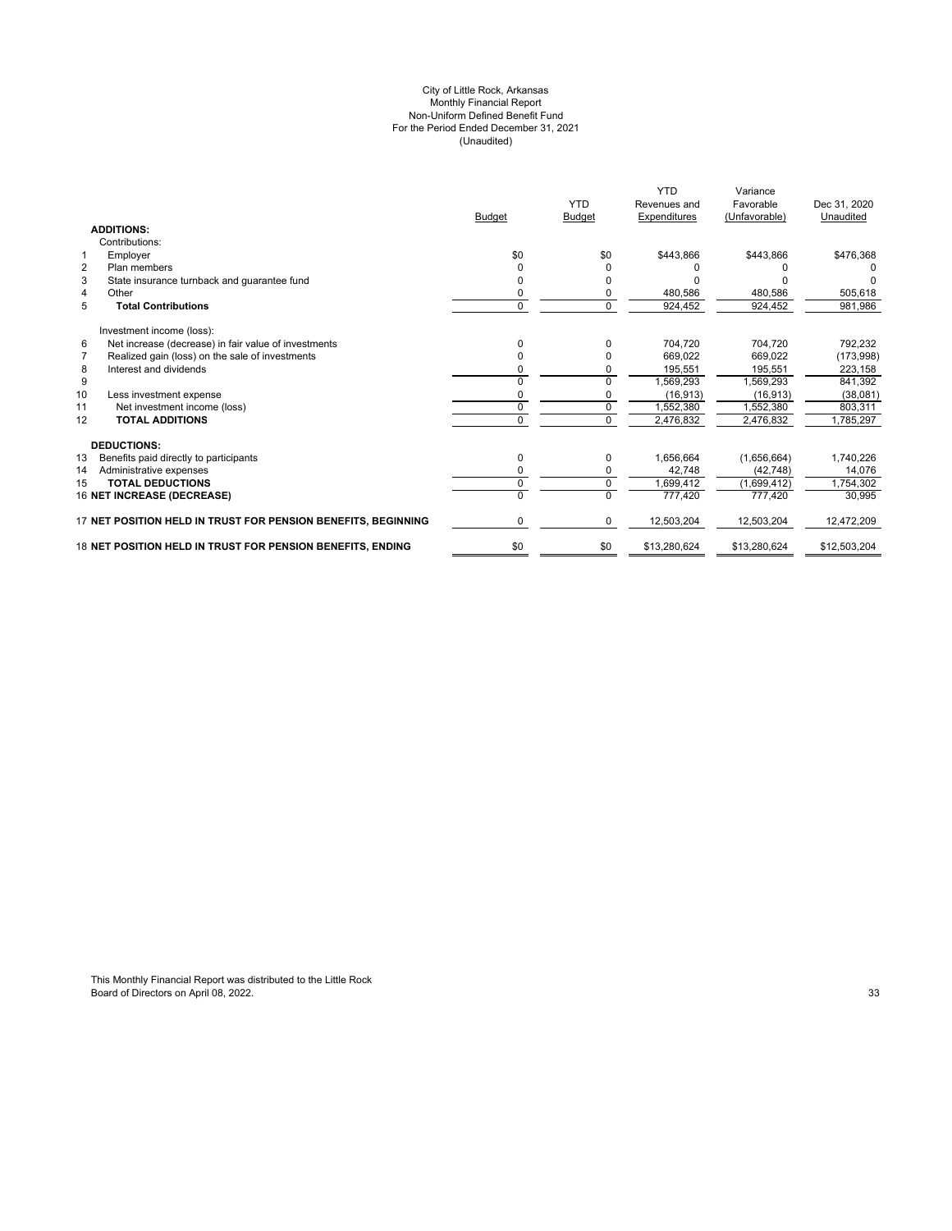#### (Unaudited) For the Period Ended December 31, 2021 City of Little Rock, Arkansas Monthly Financial Report Non-Uniform Defined Benefit Fund

|                                                                   | <b>Budget</b> | <b>YTD</b><br><b>Budget</b> | <b>YTD</b><br>Revenues and<br>Expenditures | Variance<br>Favorable<br>(Unfavorable) | Dec 31, 2020<br>Unaudited |
|-------------------------------------------------------------------|---------------|-----------------------------|--------------------------------------------|----------------------------------------|---------------------------|
| <b>ADDITIONS:</b>                                                 |               |                             |                                            |                                        |                           |
| Contributions:                                                    |               |                             |                                            |                                        |                           |
| $\mathbf{1}$<br>Employer                                          | \$0           | \$0                         | \$443,866                                  | \$443,866                              | \$476,368                 |
| $\overline{2}$<br>Plan members                                    | O             | O                           | n                                          |                                        |                           |
| 3<br>State insurance turnback and guarantee fund                  |               |                             |                                            |                                        |                           |
| 4<br>Other                                                        | 0             | 0                           | 480,586                                    | 480,586                                | 505,618                   |
| 5<br><b>Total Contributions</b>                                   | 0             | $\mathbf 0$                 | 924,452                                    | 924,452                                | 981,986                   |
| Investment income (loss):                                         |               |                             |                                            |                                        |                           |
| Net increase (decrease) in fair value of investments<br>6         | O             | $\Omega$                    | 704.720                                    | 704.720                                | 792,232                   |
| $\overline{7}$<br>Realized gain (loss) on the sale of investments |               | 0                           | 669.022                                    | 669.022                                | (173,998)                 |
| Interest and dividends<br>8                                       |               | n                           | 195,551                                    | 195,551                                | 223,158                   |
| 9                                                                 |               | $\Omega$                    | 1,569,293                                  | 1,569,293                              | 841,392                   |
| 10<br>Less investment expense                                     |               |                             | (16, 913)                                  | (16, 913)                              | (38,081)                  |
| Net investment income (loss)<br>11                                | $\Omega$      | $\Omega$                    | 1.552.380                                  | 1.552.380                              | 803.311                   |
| <b>TOTAL ADDITIONS</b><br>12                                      | $\Omega$      | $\mathbf 0$                 | 2,476,832                                  | 2,476,832                              | 1,785,297                 |
| <b>DEDUCTIONS:</b>                                                |               |                             |                                            |                                        |                           |
| 13<br>Benefits paid directly to participants                      | 0             | 0                           | 1,656,664                                  | (1,656,664)                            | 1,740,226                 |
| Administrative expenses<br>14                                     |               |                             | 42,748                                     | (42, 748)                              | 14,076                    |
| <b>TOTAL DEDUCTIONS</b><br>15                                     | $\Omega$      | 0                           | 1,699,412                                  | (1,699,412)                            | 1,754,302                 |
| <b>16 NET INCREASE (DECREASE)</b>                                 | $\Omega$      | $\Omega$                    | 777,420                                    | 777.420                                | 30,995                    |
| 17 NET POSITION HELD IN TRUST FOR PENSION BENEFITS. BEGINNING     | 0             | 0                           | 12,503,204                                 | 12,503,204                             | 12,472,209                |
| 18 NET POSITION HELD IN TRUST FOR PENSION BENEFITS. ENDING        | \$0           | \$0                         | \$13,280,624                               | \$13,280,624                           | \$12,503,204              |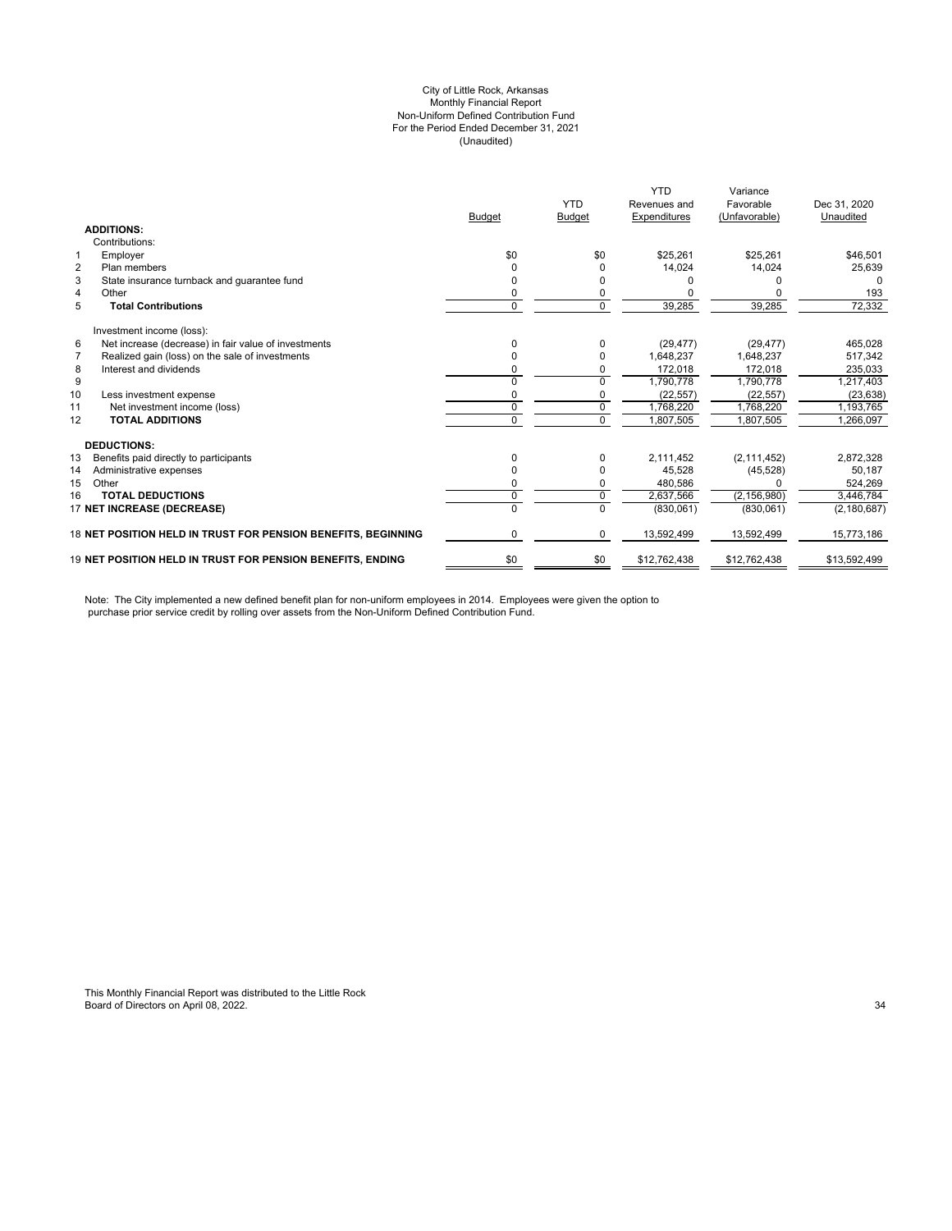#### City of Little Rock, Arkansas (Unaudited) For the Period Ended December 31, 2021 Non-Uniform Defined Contribution Fund Monthly Financial Report

|                                                                   |                                                               | <b>Budget</b> | <b>YTD</b><br><b>Budget</b> | <b>YTD</b><br>Revenues and<br><b>Expenditures</b> | Variance<br>Favorable<br>(Unfavorable) | Dec 31, 2020<br>Unaudited |
|-------------------------------------------------------------------|---------------------------------------------------------------|---------------|-----------------------------|---------------------------------------------------|----------------------------------------|---------------------------|
| <b>ADDITIONS:</b>                                                 |                                                               |               |                             |                                                   |                                        |                           |
| Contributions:                                                    |                                                               |               |                             |                                                   |                                        |                           |
| Employer<br>1                                                     |                                                               | \$0           | \$0                         | \$25.261                                          | \$25.261                               | \$46,501                  |
| $\overline{2}$<br>Plan members                                    |                                                               |               | 0                           | 14,024                                            | 14,024                                 | 25,639                    |
| 3<br>State insurance turnback and guarantee fund                  |                                                               | <sup>0</sup>  | $\Omega$                    |                                                   |                                        | O                         |
| $\overline{4}$<br>Other                                           |                                                               | 0             | $\mathbf 0$                 |                                                   |                                        | 193                       |
| 5<br><b>Total Contributions</b>                                   |                                                               | $\Omega$      | $\Omega$                    | 39,285                                            | 39,285                                 | 72,332                    |
| Investment income (loss):                                         |                                                               |               |                             |                                                   |                                        |                           |
| 6<br>Net increase (decrease) in fair value of investments         |                                                               | $\Omega$      | $\Omega$                    | (29, 477)                                         | (29, 477)                              | 465,028                   |
| 7<br>Realized gain (loss) on the sale of investments              |                                                               | 0             | $\Omega$                    | 1,648,237                                         | 1,648,237                              | 517,342                   |
| 8<br>Interest and dividends                                       |                                                               | 0             | $\mathbf 0$                 | 172,018                                           | 172,018                                | 235,033                   |
| 9                                                                 |                                                               | $\Omega$      | $\Omega$                    | 1,790,778                                         | 1,790,778                              | 1,217,403                 |
| 10<br>Less investment expense                                     |                                                               | 0             | $\mathbf 0$                 | (22, 557)                                         | (22, 557)                              | (23, 638)                 |
| 11<br>Net investment income (loss)                                |                                                               | $\mathbf 0$   | $\Omega$                    | 1.768.220                                         | 1.768.220                              | 1,193,765                 |
| <b>TOTAL ADDITIONS</b><br>12                                      |                                                               | 0             | $\Omega$                    | 1,807,505                                         | 1,807,505                              | 1,266,097                 |
| <b>DEDUCTIONS:</b>                                                |                                                               |               |                             |                                                   |                                        |                           |
| 13<br>Benefits paid directly to participants                      |                                                               | $\Omega$      | $\Omega$                    | 2,111,452                                         | (2, 111, 452)                          | 2,872,328                 |
| 14<br>Administrative expenses                                     |                                                               | 0             | $\Omega$                    | 45.528                                            | (45, 528)                              | 50,187                    |
| 15<br>Other                                                       |                                                               | 0             | 0                           | 480,586                                           |                                        | 524,269                   |
| <b>TOTAL DEDUCTIONS</b><br>16                                     |                                                               | $\mathbf 0$   | $\Omega$                    | 2,637,566                                         | (2, 156, 980)                          | 3,446,784                 |
| 17 NET INCREASE (DECREASE)                                        |                                                               | $\Omega$      | $\Omega$                    | (830,061)                                         | (830,061)                              | (2, 180, 687)             |
|                                                                   | 18 NET POSITION HELD IN TRUST FOR PENSION BENEFITS, BEGINNING | $\Omega$      | $\Omega$                    | 13,592,499                                        | 13,592,499                             | 15,773,186                |
| <b>19 NET POSITION HELD IN TRUST FOR PENSION BENEFITS. ENDING</b> |                                                               | \$0           | \$0                         | \$12,762,438                                      | \$12.762.438                           | \$13,592,499              |

Note: The City implemented a new defined benefit plan for non-uniform employees in 2014. Employees were given the option to purchase prior service credit by rolling over assets from the Non-Uniform Defined Contribution Fund.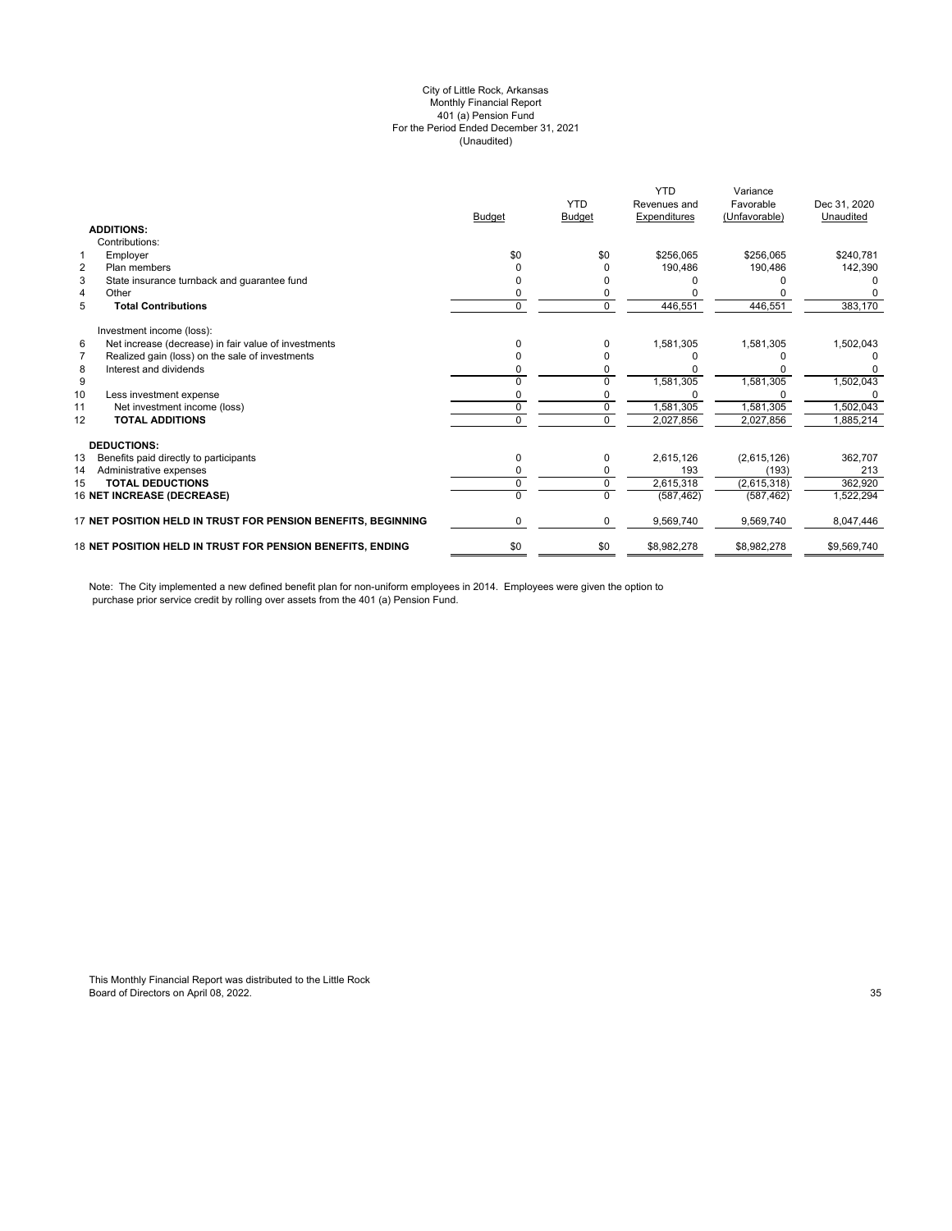#### (Unaudited) City of Little Rock, Arkansas Monthly Financial Report 401 (a) Pension Fund For the Period Ended December 31, 2021

|               |               | <b>YTD</b>   | Variance      |              |
|---------------|---------------|--------------|---------------|--------------|
|               | <b>YTD</b>    | Revenues and | Favorable     | Dec 31, 2020 |
| <b>Budget</b> | <b>Budget</b> | Expenditures | (Unfavorable) | Unaudited    |
|               |               |              |               |              |
|               |               |              |               |              |
| \$0           | \$0           | \$256.065    | \$256.065     | \$240,781    |
|               | <sup>0</sup>  | 190,486      | 190,486       | 142,390      |
|               |               |              |               |              |
|               |               |              |               |              |
| 0             | 0             | 446,551      | 446,551       | 383,170      |
|               |               |              |               |              |
| U             | $\Omega$      | 1,581,305    | 1,581,305     | 1,502,043    |
|               | <sup>0</sup>  |              |               |              |
|               | $\Omega$      |              |               | n            |
|               | U             | 1,581,305    | 1,581,305     | 1,502,043    |
|               |               |              |               |              |
| U             | $\Omega$      | 1,581,305    | 1,581,305     | ,502,043     |
|               | $\Omega$      | 2,027,856    | 2,027,856     | 1,885,214    |
|               |               |              |               |              |
| 0             | $\mathbf 0$   | 2,615,126    | (2,615,126)   | 362,707      |
|               | $\Omega$      | 193          | (193)         | 213          |
| 0             | $\mathbf 0$   | 2,615,318    | (2,615,318)   | 362,920      |
|               | $\Omega$      | (587, 462)   | (587, 462)    | 1,522,294    |
| 0             | $\mathbf 0$   | 9,569,740    | 9,569,740     | 8,047,446    |
| \$0           | \$0           | \$8,982,278  | \$8,982,278   | \$9,569,740  |
|               |               |              |               |              |

Note: The City implemented a new defined benefit plan for non-uniform employees in 2014. Employees were given the option to purchase prior service credit by rolling over assets from the 401 (a) Pension Fund.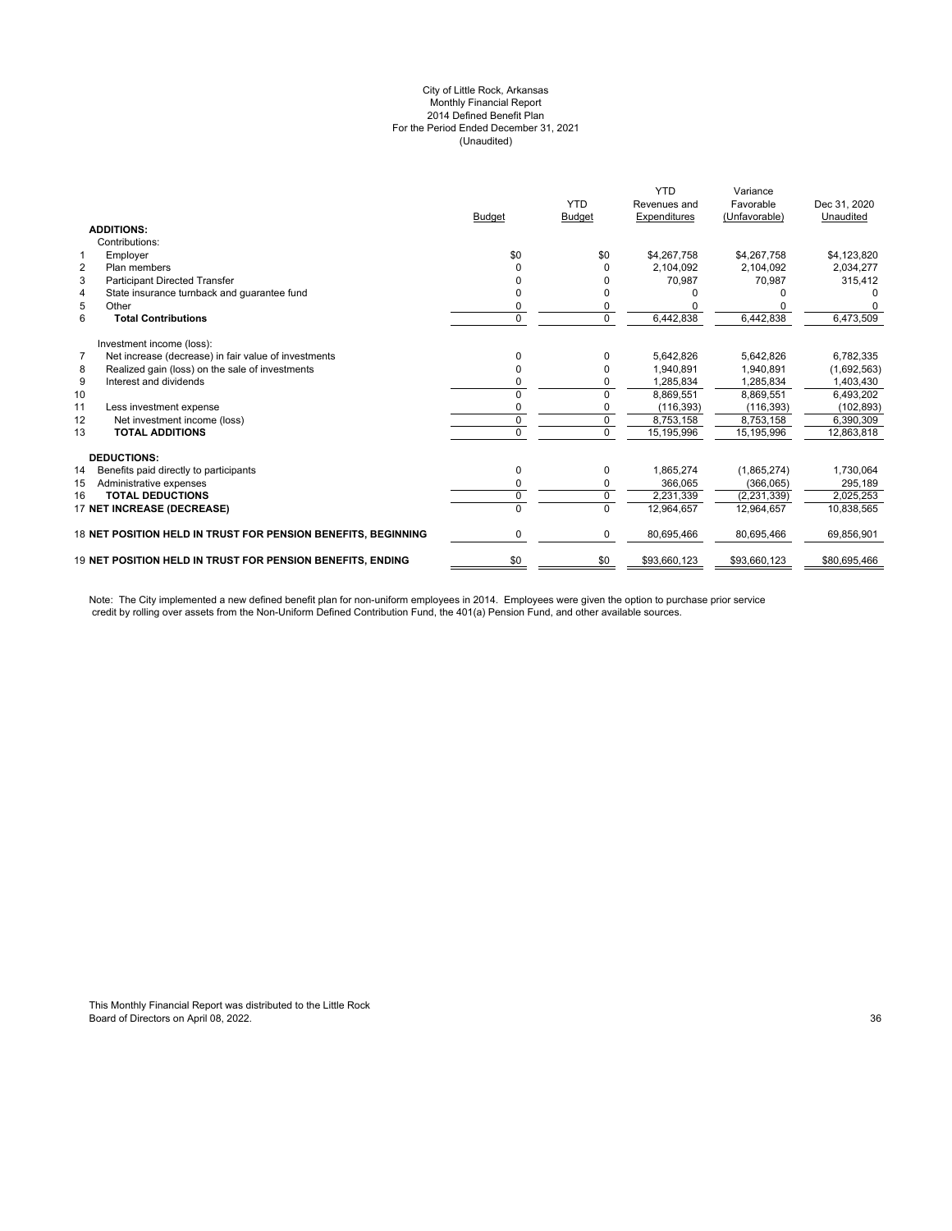#### City of Little Rock, Arkansas Monthly Financial Report 2014 Defined Benefit Plan For the Period Ended December 31, 2021 (Unaudited)

|                                                                        |               |               | <b>YTD</b>   | Variance      |              |
|------------------------------------------------------------------------|---------------|---------------|--------------|---------------|--------------|
|                                                                        |               | <b>YTD</b>    | Revenues and | Favorable     | Dec 31, 2020 |
|                                                                        | <b>Budget</b> | <b>Budget</b> | Expenditures | (Unfavorable) | Unaudited    |
| <b>ADDITIONS:</b>                                                      |               |               |              |               |              |
| Contributions:                                                         |               |               |              |               |              |
| $\mathbf{1}$<br>Employer                                               | \$0           | \$0           | \$4,267,758  | \$4,267,758   | \$4,123,820  |
| $\overline{2}$<br>Plan members                                         | 0             | O             | 2.104.092    | 2.104.092     | 2,034,277    |
| 3<br><b>Participant Directed Transfer</b>                              |               |               | 70,987       | 70,987        | 315,412      |
| State insurance turnback and guarantee fund<br>4                       |               |               |              |               |              |
| 5<br>Other                                                             | 0             |               |              |               |              |
| 6<br><b>Total Contributions</b>                                        | $\Omega$      | $\mathbf 0$   | 6,442,838    | 6,442,838     | 6,473,509    |
| Investment income (loss):                                              |               |               |              |               |              |
| $\overline{7}$<br>Net increase (decrease) in fair value of investments | U             | 0             | 5,642,826    | 5,642,826     | 6,782,335    |
| Realized gain (loss) on the sale of investments<br>8                   | 0             | 0             | 1,940,891    | 1,940,891     | (1,692,563)  |
| 9<br>Interest and dividends                                            | 0             | 0             | 1,285,834    | 1,285,834     | 1,403,430    |
| 10                                                                     | 0             | 0             | 8,869,551    | 8,869,551     | 6,493,202    |
| 11<br>Less investment expense                                          | 0             | 0             | (116, 393)   | (116, 393)    | (102, 893)   |
| 12<br>Net investment income (loss)                                     | 0             | $\mathbf 0$   | 8,753,158    | 8,753,158     | 6,390,309    |
| <b>TOTAL ADDITIONS</b><br>13                                           | 0             | $\Omega$      | 15, 195, 996 | 15,195,996    | 12,863,818   |
| <b>DEDUCTIONS:</b>                                                     |               |               |              |               |              |
| 14<br>Benefits paid directly to participants                           | 0             | 0             | 1,865,274    | (1,865,274)   | 1,730,064    |
| 15<br>Administrative expenses                                          | 0             | 0             | 366,065      | (366,065)     | 295,189      |
| <b>TOTAL DEDUCTIONS</b><br>16                                          | 0             | $\mathbf 0$   | 2.231.339    | (2, 231, 339) | 2,025,253    |
| 17 NET INCREASE (DECREASE)                                             | U             | $\Omega$      | 12,964,657   | 12,964,657    | 10,838,565   |
| 18 NET POSITION HELD IN TRUST FOR PENSION BENEFITS, BEGINNING          | 0             | 0             | 80,695,466   | 80,695,466    | 69,856,901   |
| <b>19 NET POSITION HELD IN TRUST FOR PENSION BENEFITS. ENDING</b>      | \$0           | \$0           | \$93,660,123 | \$93,660,123  | \$80,695,466 |

Note: The City implemented a new defined benefit plan for non-uniform employees in 2014. Employees were given the option to purchase prior service credit by rolling over assets from the Non-Uniform Defined Contribution Fund, the 401(a) Pension Fund, and other available sources.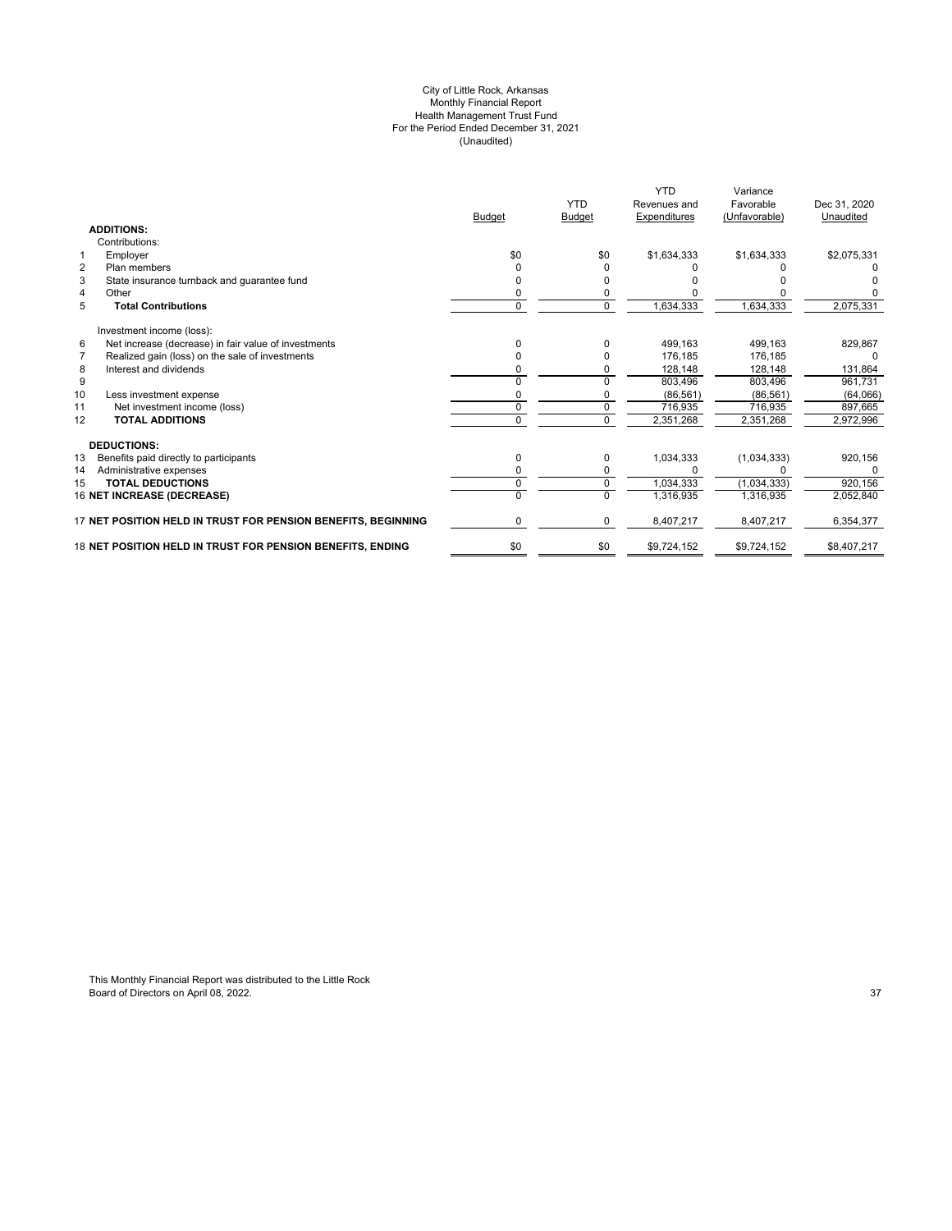#### City of Little Rock, Arkansas Monthly Financial Report Health Management Trust Fund For the Period Ended December 31, 2021 (Unaudited)

|                                                               |               | <b>YTD</b>    | <b>YTD</b><br>Revenues and | Variance<br>Favorable | Dec 31, 2020 |
|---------------------------------------------------------------|---------------|---------------|----------------------------|-----------------------|--------------|
| <b>ADDITIONS:</b>                                             | <b>Budget</b> | <b>Budget</b> | Expenditures               | (Unfavorable)         | Unaudited    |
| Contributions:                                                |               |               |                            |                       |              |
| Employer<br>$\mathbf{1}$                                      | \$0           | \$0           | \$1,634,333                | \$1,634,333           | \$2,075,331  |
| $\overline{2}$<br>Plan members                                |               | n             |                            |                       |              |
| 3<br>State insurance turnback and guarantee fund              |               |               |                            |                       |              |
| $\overline{4}$<br>Other                                       | ი             |               |                            |                       |              |
| 5<br><b>Total Contributions</b>                               | 0             | $\mathbf 0$   | 1,634,333                  | 1,634,333             | 2,075,331    |
| Investment income (loss):                                     |               |               |                            |                       |              |
| Net increase (decrease) in fair value of investments<br>6     | U             | 0             | 499.163                    | 499.163               | 829,867      |
| Realized gain (loss) on the sale of investments<br>7          | n             |               | 176.185                    | 176.185               | 0            |
| 8<br>Interest and dividends                                   |               |               | 128,148                    | 128,148               | 131,864      |
| 9                                                             | n             |               | 803.496                    | 803.496               | 961,731      |
| 10<br>Less investment expense                                 |               |               | (86, 561)                  | (86, 561)             | (64,066)     |
| Net investment income (loss)<br>11                            | 0             | $\Omega$      | 716.935                    | 716.935               | 897,665      |
| 12<br><b>TOTAL ADDITIONS</b>                                  | 0             | $\mathbf 0$   | 2,351,268                  | 2,351,268             | 2,972,996    |
| <b>DEDUCTIONS:</b>                                            |               |               |                            |                       |              |
| 13<br>Benefits paid directly to participants                  | 0             | 0             | 1,034,333                  | (1,034,333)           | 920,156      |
| 14<br>Administrative expenses                                 |               |               |                            |                       |              |
| <b>TOTAL DEDUCTIONS</b><br>15                                 | 0             | 0             | 1,034,333                  | (1,034,333)           | 920,156      |
| 16 NET INCREASE (DECREASE)                                    | U             | $\Omega$      | 1,316,935                  | 1.316.935             | 2,052,840    |
| 17 NET POSITION HELD IN TRUST FOR PENSION BENEFITS, BEGINNING | 0             | 0             | 8,407,217                  | 8,407,217             | 6,354,377    |
| 18 NET POSITION HELD IN TRUST FOR PENSION BENEFITS, ENDING    | \$0           | \$0           | \$9,724,152                | \$9,724,152           | \$8,407,217  |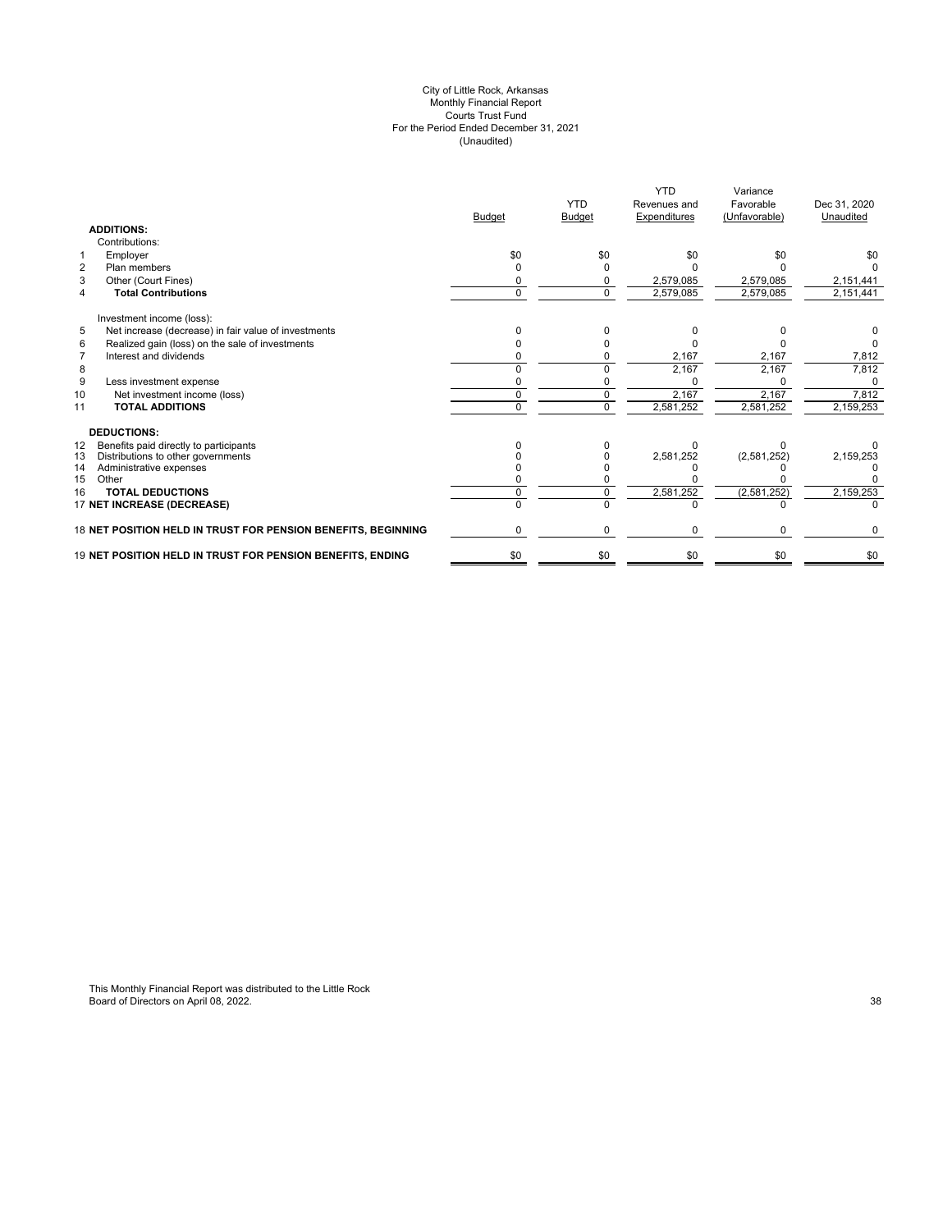#### City of Little Rock, Arkansas Monthly Financial Report Courts Trust Fund For the Period Ended December 31, 2021 (Unaudited)

|          | <b>YTD</b>         | <b>YTD</b><br>Revenues and | Variance<br>Favorable     | Dec 31, 2020<br>Unaudited    |
|----------|--------------------|----------------------------|---------------------------|------------------------------|
|          |                    |                            |                           |                              |
|          |                    |                            |                           |                              |
| \$0      | \$0                | \$0                        | \$0                       | \$0                          |
| o        |                    |                            |                           |                              |
|          |                    | 2,579,085                  | 2,579,085                 | 2,151,441                    |
| $\Omega$ | $\Omega$           | 2,579,085                  | 2,579,085                 | 2,151,441                    |
|          |                    |                            |                           |                              |
|          |                    |                            |                           |                              |
|          |                    |                            |                           |                              |
|          |                    | 2,167                      | 2,167                     | 7,812                        |
|          |                    | 2,167                      | 2,167                     | 7,812                        |
|          |                    |                            |                           | 0                            |
| U        |                    | 2,167                      | 2,167                     | 7,812                        |
| U        | $\Omega$           | 2,581,252                  | 2,581,252                 | 2,159,253                    |
|          |                    |                            |                           |                              |
|          |                    |                            |                           |                              |
|          |                    | 2,581,252                  | (2,581,252)               | 2,159,253                    |
|          |                    |                            |                           |                              |
|          |                    |                            |                           |                              |
|          |                    |                            |                           | 2,159,253                    |
|          |                    |                            |                           |                              |
| 0        | 0                  | $\Omega$                   | $\Omega$                  | 0                            |
| \$0      | \$0                | \$0                        | \$0                       | \$0                          |
|          | <b>Budget</b><br>U | <b>Budget</b>              | Expenditures<br>2,581,252 | (Unfavorable)<br>(2,581,252) |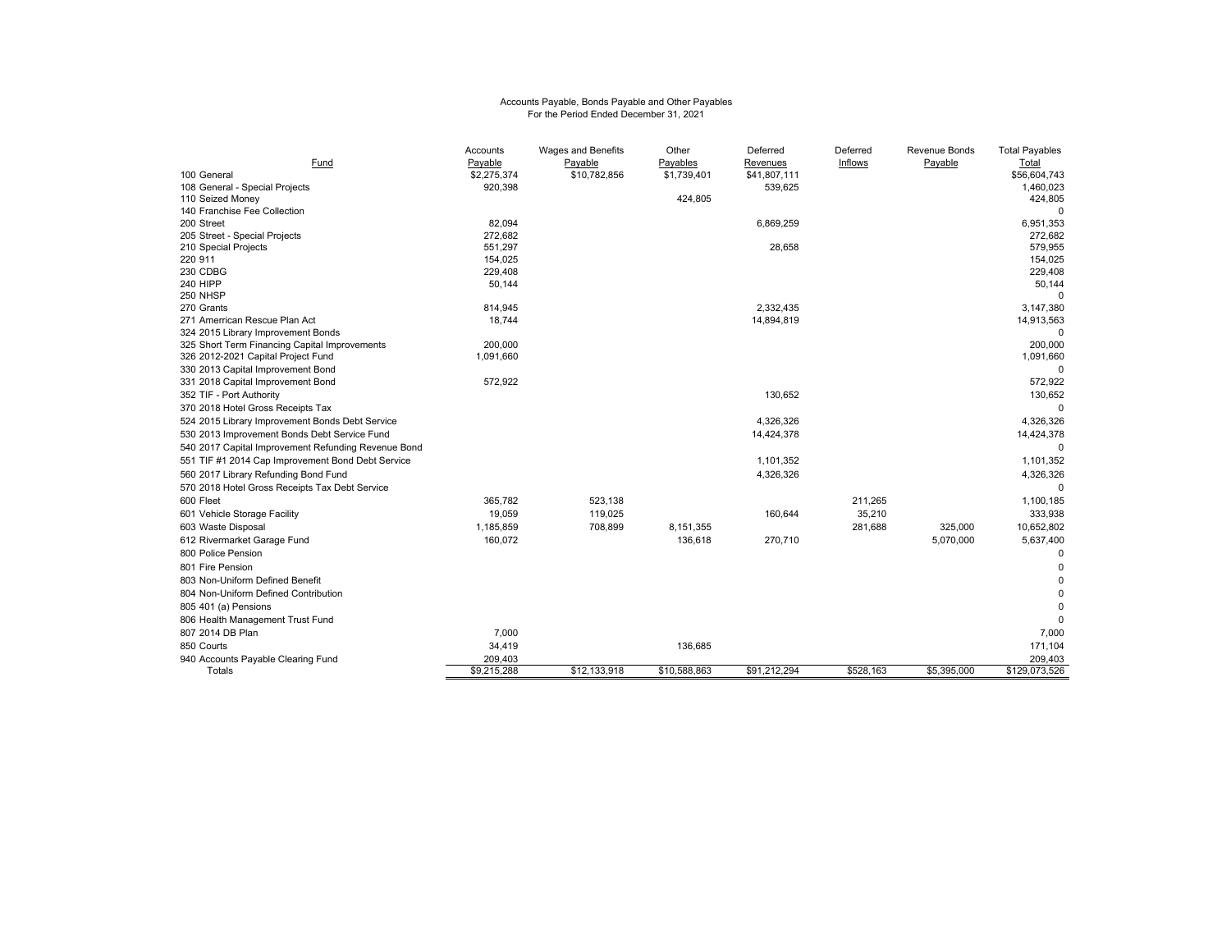# Accounts Payable, Bonds Payable and Other Payables For the Period Ended December 31, 2021

|                                                     | Accounts    | <b>Wages and Benefits</b> | Other        | Deferred     | Deferred  | <b>Revenue Bonds</b> | <b>Total Payables</b>  |
|-----------------------------------------------------|-------------|---------------------------|--------------|--------------|-----------|----------------------|------------------------|
| Fund                                                | Payable     | Payable                   | Payables     | Revenues     | Inflows   | Payable              | Total                  |
| 100 General                                         | \$2,275,374 | \$10,782,856              | \$1,739,401  | \$41,807,111 |           |                      | \$56,604,743           |
| 108 General - Special Projects                      | 920,398     |                           |              | 539,625      |           |                      | 1,460,023              |
| 110 Seized Money                                    |             |                           | 424,805      |              |           |                      | 424,805                |
| 140 Franchise Fee Collection                        |             |                           |              |              |           |                      |                        |
| 200 Street                                          | 82,094      |                           |              | 6,869,259    |           |                      | 6,951,353              |
| 205 Street - Special Projects                       | 272,682     |                           |              |              |           |                      | 272,682                |
| 210 Special Projects                                | 551,297     |                           |              | 28,658       |           |                      | 579,955                |
| 220 911                                             | 154,025     |                           |              |              |           |                      | 154,025                |
| 230 CDBG                                            | 229,408     |                           |              |              |           |                      | 229,408                |
| <b>240 HIPP</b>                                     | 50,144      |                           |              |              |           |                      | 50,144                 |
| 250 NHSP                                            |             |                           |              |              |           |                      |                        |
| 270 Grants                                          | 814,945     |                           |              | 2,332,435    |           |                      | 3,147,380              |
| 271 Amerrican Rescue Plan Act                       | 18,744      |                           |              | 14,894,819   |           |                      | 14,913,563<br>$\Omega$ |
| 324 2015 Library Improvement Bonds                  | 200,000     |                           |              |              |           |                      | 200,000                |
| 325 Short Term Financing Capital Improvements       | 1,091,660   |                           |              |              |           |                      | 1,091,660              |
| 326 2012-2021 Capital Project Fund                  |             |                           |              |              |           |                      |                        |
| 330 2013 Capital Improvement Bond                   |             |                           |              |              |           |                      | $\Omega$               |
| 331 2018 Capital Improvement Bond                   | 572,922     |                           |              |              |           |                      | 572,922                |
| 352 TIF - Port Authority                            |             |                           |              | 130,652      |           |                      | 130,652                |
| 370 2018 Hotel Gross Receipts Tax                   |             |                           |              |              |           |                      | $\Omega$               |
| 524 2015 Library Improvement Bonds Debt Service     |             |                           |              | 4.326.326    |           |                      | 4.326.326              |
| 530 2013 Improvement Bonds Debt Service Fund        |             |                           |              | 14,424,378   |           |                      | 14,424,378             |
| 540 2017 Capital Improvement Refunding Revenue Bond |             |                           |              |              |           |                      | $\Omega$               |
| 551 TIF #1 2014 Cap Improvement Bond Debt Service   |             |                           |              | 1,101,352    |           |                      | 1,101,352              |
| 560 2017 Library Refunding Bond Fund                |             |                           |              | 4,326,326    |           |                      | 4,326,326              |
| 570 2018 Hotel Gross Receipts Tax Debt Service      |             |                           |              |              |           |                      | 0                      |
| 600 Fleet                                           | 365,782     | 523,138                   |              |              | 211,265   |                      | 1,100,185              |
| 601 Vehicle Storage Facility                        | 19,059      | 119,025                   |              | 160,644      | 35,210    |                      | 333,938                |
| 603 Waste Disposal                                  | 1,185,859   | 708,899                   | 8,151,355    |              | 281,688   | 325,000              | 10,652,802             |
| 612 Rivermarket Garage Fund                         | 160,072     |                           | 136,618      | 270,710      |           | 5,070,000            | 5,637,400              |
| 800 Police Pension                                  |             |                           |              |              |           |                      | $\mathbf 0$            |
| 801 Fire Pension                                    |             |                           |              |              |           |                      | $\Omega$               |
| 803 Non-Uniform Defined Benefit                     |             |                           |              |              |           |                      | $\Omega$               |
| 804 Non-Uniform Defined Contribution                |             |                           |              |              |           |                      | $\Omega$               |
| 805 401 (a) Pensions                                |             |                           |              |              |           |                      | $\Omega$               |
| 806 Health Management Trust Fund                    |             |                           |              |              |           |                      | $\Omega$               |
| 807 2014 DB Plan                                    | 7,000       |                           |              |              |           |                      |                        |
|                                                     |             |                           |              |              |           |                      | 7,000                  |
| 850 Courts                                          | 34,419      |                           | 136,685      |              |           |                      | 171,104                |
| 940 Accounts Payable Clearing Fund                  | 209,403     |                           |              |              |           |                      | 209,403                |
| Totals                                              | \$9,215,288 | \$12.133.918              | \$10,588,863 | \$91,212,294 | \$528,163 | \$5,395,000          | \$129,073,526          |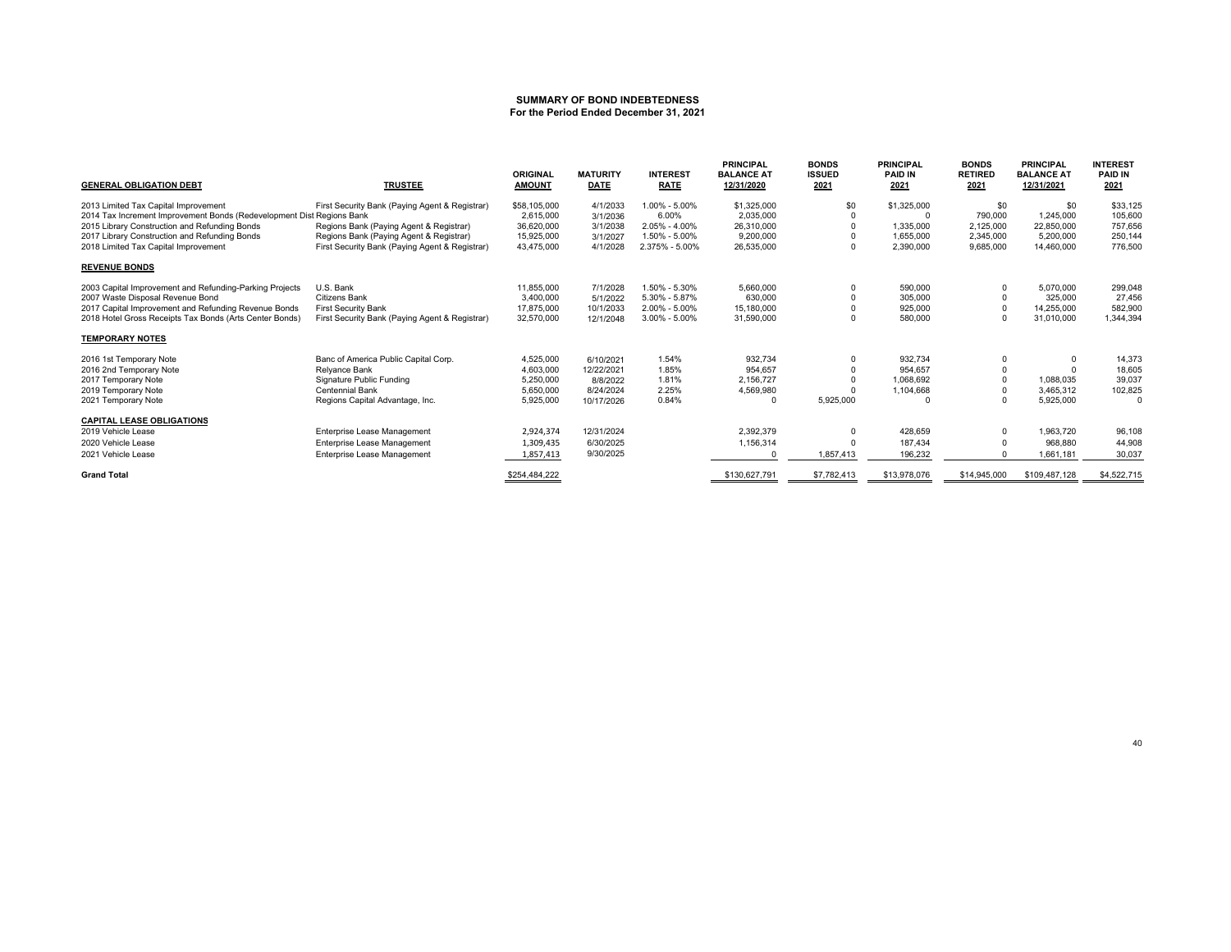#### **SUMMARY OF BOND INDEBTEDNESSFor the Period Ended December 31, 2021**

| <b>GENERAL OBLIGATION DEBT</b>                                                                                | <b>TRUSTEE</b>                                 | <b>ORIGINAL</b><br><b>AMOUNT</b> | <b>MATURITY</b><br><b>DATE</b> | <b>INTEREST</b><br><b>RATE</b> | <b>PRINCIPAL</b><br><b>BALANCE AT</b><br>12/31/2020 | <b>BONDS</b><br><b>ISSUED</b><br>2021 | <b>PRINCIPAL</b><br><b>PAID IN</b><br>2021 | <b>BONDS</b><br><b>RETIRED</b><br>2021 | <b>PRINCIPAL</b><br><b>BALANCE AT</b><br>12/31/2021 | <b>INTEREST</b><br><b>PAID IN</b><br>2021 |
|---------------------------------------------------------------------------------------------------------------|------------------------------------------------|----------------------------------|--------------------------------|--------------------------------|-----------------------------------------------------|---------------------------------------|--------------------------------------------|----------------------------------------|-----------------------------------------------------|-------------------------------------------|
| 2013 Limited Tax Capital Improvement<br>2014 Tax Increment Improvement Bonds (Redevelopment Dist Regions Bank | First Security Bank (Paying Agent & Registrar) | \$58,105,000<br>2.615.000        | 4/1/2033<br>3/1/2036           | 1.00% - 5.00%<br>6.00%         | \$1,325,000<br>2,035,000                            | \$0                                   | \$1,325,000                                | \$0<br>790,000                         | \$0<br>1.245.000                                    | \$33,125<br>105,600                       |
| 2015 Library Construction and Refunding Bonds                                                                 | Regions Bank (Paying Agent & Registrar)        | 36,620,000                       | 3/1/2038                       | 2.05% - 4.00%                  | 26,310,000                                          |                                       | 1,335,000                                  | 2,125,000                              | 22.850.000                                          | 757.656                                   |
| 2017 Library Construction and Refunding Bonds                                                                 | Regions Bank (Paying Agent & Registrar)        | 15.925.000                       | 3/1/2027                       | 1.50% - 5.00%                  | 9.200.000                                           |                                       | 1.655.000                                  | 2.345.000                              | 5.200.000                                           | 250,144                                   |
| 2018 Limited Tax Capital Improvement                                                                          | First Security Bank (Paying Agent & Registrar) | 43,475,000                       | 4/1/2028                       | 2.375% - 5.00%                 | 26,535,000                                          |                                       | 2,390,000                                  | 9,685,000                              | 14,460,000                                          | 776,500                                   |
| <b>REVENUE BONDS</b>                                                                                          |                                                |                                  |                                |                                |                                                     |                                       |                                            |                                        |                                                     |                                           |
| 2003 Capital Improvement and Refunding-Parking Projects                                                       | U.S. Bank                                      | 11.855.000                       | 7/1/2028                       | 1.50% - 5.30%                  | 5.660.000                                           |                                       | 590.000                                    | 0                                      | 5,070,000                                           | 299.048                                   |
| 2007 Waste Disposal Revenue Bond                                                                              | <b>Citizens Bank</b>                           | 3,400,000                        | 5/1/2022                       | 5.30% - 5.87%                  | 630,000                                             |                                       | 305,000                                    |                                        | 325,000                                             | 27,456                                    |
| 2017 Capital Improvement and Refunding Revenue Bonds                                                          | <b>First Security Bank</b>                     | 17.875.000                       | 10/1/2033                      | 2.00% - 5.00%                  | 15,180,000                                          |                                       | 925,000                                    |                                        | 14,255,000                                          | 582,900                                   |
| 2018 Hotel Gross Receipts Tax Bonds (Arts Center Bonds)                                                       | First Security Bank (Paying Agent & Registrar) | 32,570,000                       | 12/1/2048                      | $3.00\% - 5.00\%$              | 31,590,000                                          |                                       | 580,000                                    |                                        | 31,010,000                                          | 1.344.394                                 |
| <b>TEMPORARY NOTES</b>                                                                                        |                                                |                                  |                                |                                |                                                     |                                       |                                            |                                        |                                                     |                                           |
| 2016 1st Temporary Note                                                                                       | Banc of America Public Capital Corp.           | 4,525,000                        | 6/10/2021                      | 1.54%                          | 932.734                                             |                                       | 932,734                                    | 0                                      | $\Omega$                                            | 14,373                                    |
| 2016 2nd Temporary Note                                                                                       | Relyance Bank                                  | 4.603.000                        | 12/22/2021                     | 1.85%                          | 954.657                                             |                                       | 954.657                                    |                                        |                                                     | 18.605                                    |
| 2017 Temporary Note                                                                                           | Signature Public Funding                       | 5.250.000                        | 8/8/2022                       | 1.81%                          | 2.156.727                                           |                                       | 1.068.692                                  |                                        | 1.088.035                                           | 39.037                                    |
| 2019 Temporary Note                                                                                           | Centennial Bank                                | 5,650,000                        | 8/24/2024                      | 2.25%                          | 4,569,980                                           |                                       | 1,104,668                                  |                                        | 3,465,312                                           | 102,825                                   |
| 2021 Temporary Note                                                                                           | Regions Capital Advantage, Inc.                | 5,925,000                        | 10/17/2026                     | 0.84%                          | $\Omega$                                            | 5,925,000                             | $\Omega$                                   |                                        | 5,925,000                                           | $\Omega$                                  |
| <b>CAPITAL LEASE OBLIGATIONS</b>                                                                              |                                                |                                  |                                |                                |                                                     |                                       |                                            |                                        |                                                     |                                           |
| 2019 Vehicle Lease                                                                                            | Enterprise Lease Management                    | 2,924,374                        | 12/31/2024                     |                                | 2.392.379                                           | $\Omega$                              | 428,659                                    |                                        | 1.963.720                                           | 96,108                                    |
| 2020 Vehicle Lease                                                                                            | Enterprise Lease Management                    | 1,309,435                        | 6/30/2025                      |                                | 1,156,314                                           |                                       | 187.434                                    |                                        | 968.880                                             | 44.908                                    |
| 2021 Vehicle Lease                                                                                            | Enterprise Lease Management                    | 1,857,413                        | 9/30/2025                      |                                |                                                     | 1,857,413                             | 196,232                                    |                                        | 1.661.181                                           | 30.037                                    |
| <b>Grand Total</b>                                                                                            |                                                | \$254,484,222                    |                                |                                | \$130,627,791                                       | \$7,782,413                           | \$13,978,076                               | \$14,945,000                           | \$109,487,128                                       | \$4,522,715                               |